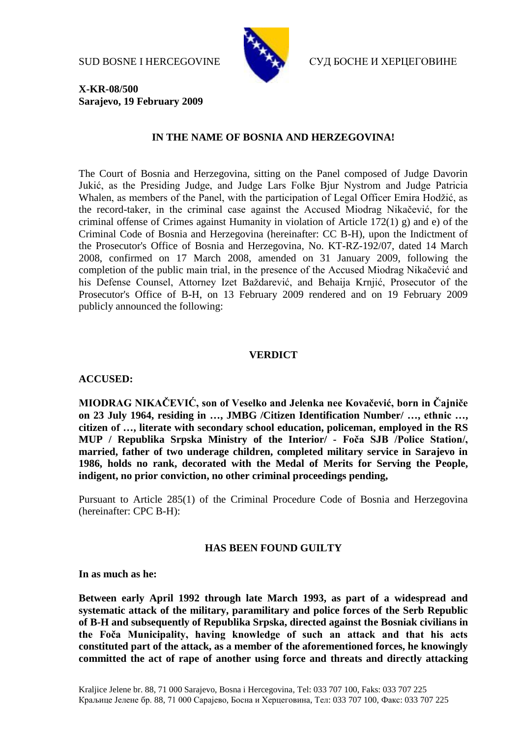

SUD BOSNE I HERCEGOVINE СУД БОСНЕ И ХЕРЦЕГОВИНЕ

**X-KR-08/500 Sarajevo, 19 February 2009**

#### **IN THE NAME OF BOSNIA AND HERZEGOVINA!**

The Court of Bosnia and Herzegovina, sitting on the Panel composed of Judge Davorin Jukić, as the Presiding Judge, and Judge Lars Folke Bjur Nystrom and Judge Patricia Whalen, as members of the Panel, with the participation of Legal Officer Emira Hodžić, as the record-taker, in the criminal case against the Accused Miodrag Nikačević, for the criminal offense of Crimes against Humanity in violation of Article 172(1) g) and e) of the Criminal Code of Bosnia and Herzegovina (hereinafter: CC B-H), upon the Indictment of the Prosecutor's Office of Bosnia and Herzegovina, No. KT-RZ-192/07, dated 14 March 2008, confirmed on 17 March 2008, amended on 31 January 2009, following the completion of the public main trial, in the presence of the Accused Miodrag Nikačević and his Defense Counsel, Attorney Izet Baždarević, and Behaija Krnjić, Prosecutor of the Prosecutor's Office of B-H, on 13 February 2009 rendered and on 19 February 2009 publicly announced the following:

#### **VERDICT**

#### **ACCUSED:**

**MIODRAG NIKAČEVIĆ, son of Veselko and Jelenka nee Kovačević, born in Čajniče on 23 July 1964, residing in …, JMBG /Citizen Identification Number/ …, ethnic …, citizen of …, literate with secondary school education, policeman, employed in the RS MUP / Republika Srpska Ministry of the Interior/ - Foča SJB /Police Station/, married, father of two underage children, completed military service in Sarajevo in 1986, holds no rank, decorated with the Medal of Merits for Serving the People, indigent, no prior conviction, no other criminal proceedings pending,** 

Pursuant to Article 285(1) of the Criminal Procedure Code of Bosnia and Herzegovina (hereinafter: CPC B-H):

#### **HAS BEEN FOUND GUILTY**

**In as much as he:**

**Between early April 1992 through late March 1993, as part of a widespread and systematic attack of the military, paramilitary and police forces of the Serb Republic of B-H and subsequently of Republika Srpska, directed against the Bosniak civilians in the Foča Municipality, having knowledge of such an attack and that his acts constituted part of the attack, as a member of the aforementioned forces, he knowingly committed the act of rape of another using force and threats and directly attacking**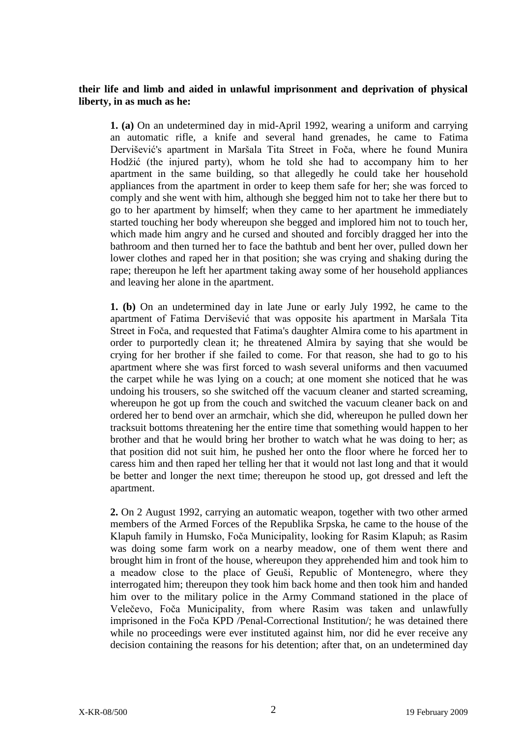### **their life and limb and aided in unlawful imprisonment and deprivation of physical liberty, in as much as he:**

**1. (a)** On an undetermined day in mid-April 1992, wearing a uniform and carrying an automatic rifle, a knife and several hand grenades, he came to Fatima Dervišević's apartment in Maršala Tita Street in Foča, where he found Munira Hodžić (the injured party), whom he told she had to accompany him to her apartment in the same building, so that allegedly he could take her household appliances from the apartment in order to keep them safe for her; she was forced to comply and she went with him, although she begged him not to take her there but to go to her apartment by himself; when they came to her apartment he immediately started touching her body whereupon she begged and implored him not to touch her, which made him angry and he cursed and shouted and forcibly dragged her into the bathroom and then turned her to face the bathtub and bent her over, pulled down her lower clothes and raped her in that position; she was crying and shaking during the rape; thereupon he left her apartment taking away some of her household appliances and leaving her alone in the apartment.

**1. (b)** On an undetermined day in late June or early July 1992, he came to the apartment of Fatima Dervišević that was opposite his apartment in Maršala Tita Street in Foča, and requested that Fatima's daughter Almira come to his apartment in order to purportedly clean it; he threatened Almira by saying that she would be crying for her brother if she failed to come. For that reason, she had to go to his apartment where she was first forced to wash several uniforms and then vacuumed the carpet while he was lying on a couch; at one moment she noticed that he was undoing his trousers, so she switched off the vacuum cleaner and started screaming, whereupon he got up from the couch and switched the vacuum cleaner back on and ordered her to bend over an armchair, which she did, whereupon he pulled down her tracksuit bottoms threatening her the entire time that something would happen to her brother and that he would bring her brother to watch what he was doing to her; as that position did not suit him, he pushed her onto the floor where he forced her to caress him and then raped her telling her that it would not last long and that it would be better and longer the next time; thereupon he stood up, got dressed and left the apartment.

**2.** On 2 August 1992, carrying an automatic weapon, together with two other armed members of the Armed Forces of the Republika Srpska, he came to the house of the Klapuh family in Humsko, Foča Municipality, looking for Rasim Klapuh; as Rasim was doing some farm work on a nearby meadow, one of them went there and brought him in front of the house, whereupon they apprehended him and took him to a meadow close to the place of Geuši, Republic of Montenegro, where they interrogated him; thereupon they took him back home and then took him and handed him over to the military police in the Army Command stationed in the place of Velečevo, Foča Municipality, from where Rasim was taken and unlawfully imprisoned in the Foča KPD /Penal-Correctional Institution/; he was detained there while no proceedings were ever instituted against him, nor did he ever receive any decision containing the reasons for his detention; after that, on an undetermined day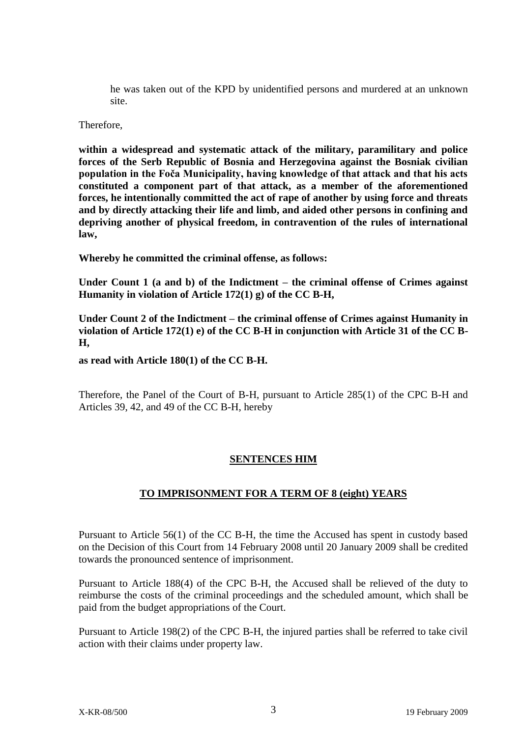he was taken out of the KPD by unidentified persons and murdered at an unknown site.

Therefore,

**within a widespread and systematic attack of the military, paramilitary and police forces of the Serb Republic of Bosnia and Herzegovina against the Bosniak civilian population in the Foča Municipality, having knowledge of that attack and that his acts constituted a component part of that attack, as a member of the aforementioned forces, he intentionally committed the act of rape of another by using force and threats and by directly attacking their life and limb, and aided other persons in confining and depriving another of physical freedom, in contravention of the rules of international law,** 

**Whereby he committed the criminal offense, as follows:** 

**Under Count 1 (a and b) of the Indictment – the criminal offense of Crimes against Humanity in violation of Article 172(1) g) of the CC B-H,**

**Under Count 2 of the Indictment – the criminal offense of Crimes against Humanity in violation of Article 172(1) e) of the CC B-H in conjunction with Article 31 of the CC B-H,**

**as read with Article 180(1) of the CC B-H.** 

Therefore, the Panel of the Court of B-H, pursuant to Article 285(1) of the CPC B-H and Articles 39, 42, and 49 of the CC B-H, hereby

### **SENTENCES HIM**

### **TO IMPRISONMENT FOR A TERM OF 8 (eight) YEARS**

Pursuant to Article 56(1) of the CC B-H, the time the Accused has spent in custody based on the Decision of this Court from 14 February 2008 until 20 January 2009 shall be credited towards the pronounced sentence of imprisonment.

Pursuant to Article 188(4) of the CPC B-H, the Accused shall be relieved of the duty to reimburse the costs of the criminal proceedings and the scheduled amount, which shall be paid from the budget appropriations of the Court.

Pursuant to Article 198(2) of the CPC B-H, the injured parties shall be referred to take civil action with their claims under property law.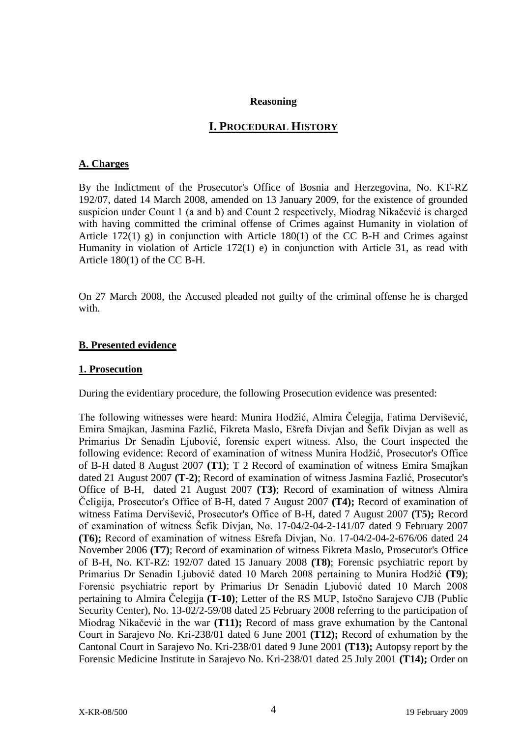#### **Reasoning**

## **I. PROCEDURAL HISTORY**

### **A. Charges**

By the Indictment of the Prosecutor's Office of Bosnia and Herzegovina, No. KT-RZ 192/07, dated 14 March 2008, amended on 13 January 2009, for the existence of grounded suspicion under Count 1 (a and b) and Count 2 respectively, Miodrag Nikačević is charged with having committed the criminal offense of Crimes against Humanity in violation of Article 172(1) g) in conjunction with Article 180(1) of the CC B-H and Crimes against Humanity in violation of Article 172(1) e) in conjunction with Article 31, as read with Article 180(1) of the CC B-H.

On 27 March 2008, the Accused pleaded not guilty of the criminal offense he is charged with.

### **B. Presented evidence**

### **1. Prosecution**

During the evidentiary procedure, the following Prosecution evidence was presented:

The following witnesses were heard: Munira Hodžić, Almira Čelegija, Fatima Dervišević, Emira Smajkan, Jasmina Fazlić, Fikreta Maslo, Ešrefa Divjan and Šefik Divjan as well as Primarius Dr Senadin Ljubović, forensic expert witness. Also, the Court inspected the following evidence: Record of examination of witness Munira Hodžić, Prosecutor's Office of B-H dated 8 August 2007 **(T1)**; T 2 Record of examination of witness Emira Smajkan dated 21 August 2007 **(T-2)**; Record of examination of witness Jasmina Fazlić, Prosecutor's Office of B-H, dated 21 August 2007 **(T3)**; Record of examination of witness Almira Čeligija, Prosecutor's Office of B-H, dated 7 August 2007 **(T4);** Record of examination of witness Fatima Dervišević, Prosecutor's Office of B-H, dated 7 August 2007 **(T5);** Record of examination of witness Šefik Divjan, No. 17-04/2-04-2-141/07 dated 9 February 2007 **(T6);** Record of examination of witness Ešrefa Divjan, No. 17-04/2-04-2-676/06 dated 24 November 2006 **(T7)**; Record of examination of witness Fikreta Maslo, Prosecutor's Office of B-H, No. KT-RZ: 192/07 dated 15 January 2008 **(T8)**; Forensic psychiatric report by Primarius Dr Senadin Ljubović dated 10 March 2008 pertaining to Munira Hodžić **(T9)**; Forensic psychiatric report by Primarius Dr Senadin Ljubović dated 10 March 2008 pertaining to Almira Čelegija **(T-10)**; Letter of the RS MUP, Istočno Sarajevo CJB (Public Security Center), No. 13-02/2-59/08 dated 25 February 2008 referring to the participation of Miodrag Nikačević in the war **(T11);** Record of mass grave exhumation by the Cantonal Court in Sarajevo No. Kri-238/01 dated 6 June 2001 **(T12);** Record of exhumation by the Cantonal Court in Sarajevo No. Kri-238/01 dated 9 June 2001 **(T13);** Autopsy report by the Forensic Medicine Institute in Sarajevo No. Kri-238/01 dated 25 July 2001 **(T14);** Order on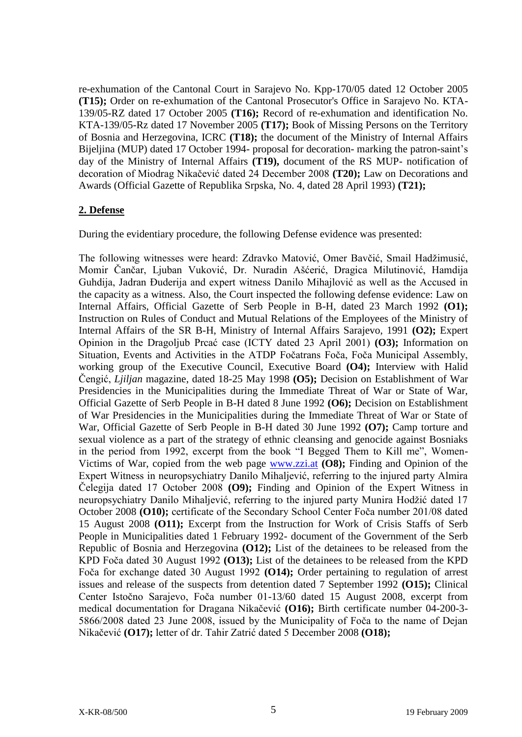re-exhumation of the Cantonal Court in Sarajevo No. Kpp-170/05 dated 12 October 2005 **(T15);** Order on re-exhumation of the Cantonal Prosecutor's Office in Sarajevo No. KTA-139/05-RZ dated 17 October 2005 **(T16);** Record of re-exhumation and identification No. KTA-139/05-Rz dated 17 November 2005 **(T17);** Book of Missing Persons on the Territory of Bosnia and Herzegovina, ICRC **(T18);** the document of the Ministry of Internal Affairs Bijeljina (MUP) dated 17 October 1994- proposal for decoration- marking the patron-saint's day of the Ministry of Internal Affairs **(T19),** document of the RS MUP- notification of decoration of Miodrag Nikačević dated 24 December 2008 **(T20);** Law on Decorations and Awards (Official Gazette of Republika Srpska, No. 4, dated 28 April 1993) **(T21);**

### **2. Defense**

During the evidentiary procedure, the following Defense evidence was presented:

The following witnesses were heard: Zdravko Matović, Omer Bavčić, Smail Hadžimusić, Momir Čančar, Ljuban Vuković, Dr. Nuradin Ašćerić, Dragica Milutinović, Hamdija Guhdija, Jadran Đuderija and expert witness Danilo Mihajlović as well as the Accused in the capacity as a witness. Also, the Court inspected the following defense evidence: Law on Internal Affairs, Official Gazette of Serb People in B-H, dated 23 March 1992 **(O1);** Instruction on Rules of Conduct and Mutual Relations of the Employees of the Ministry of Internal Affairs of the SR B-H, Ministry of Internal Affairs Sarajevo, 1991 **(O2);** Expert Opinion in the Dragoljub Prcać case (ICTY dated 23 April 2001) **(O3);** Information on Situation, Events and Activities in the ATDP Fočatrans Foča, Foča Municipal Assembly, working group of the Executive Council, Executive Board **(O4);** Interview with Halid Čengić, *Ljiljan* magazine, dated 18-25 May 1998 **(O5);** Decision on Establishment of War Presidencies in the Municipalities during the Immediate Threat of War or State of War, Official Gazette of Serb People in B-H dated 8 June 1992 **(O6);** Decision on Establishment of War Presidencies in the Municipalities during the Immediate Threat of War or State of War, Official Gazette of Serb People in B-H dated 30 June 1992 **(O7);** Camp torture and sexual violence as a part of the strategy of ethnic cleansing and genocide against Bosniaks in the period from 1992, excerpt from the book "I Begged Them to Kill me", Women-Victims of War, copied from the web page [www.zzi.at](http://www.zzi.at/) **(O8);** Finding and Opinion of the Expert Witness in neuropsychiatry Danilo Mihaljević, referring to the injured party Almira Čelegija dated 17 October 2008 **(O9);** Finding and Opinion of the Expert Witness in neuropsychiatry Danilo Mihaljević, referring to the injured party Munira Hodžić dated 17 October 2008 **(O10);** certificate of the Secondary School Center Foča number 201/08 dated 15 August 2008 **(O11);** Excerpt from the Instruction for Work of Crisis Staffs of Serb People in Municipalities dated 1 February 1992- document of the Government of the Serb Republic of Bosnia and Herzegovina **(O12);** List of the detainees to be released from the KPD Foča dated 30 August 1992 **(O13);** List of the detainees to be released from the KPD Foča for exchange dated 30 August 1992 **(O14);** Order pertaining to regulation of arrest issues and release of the suspects from detention dated 7 September 1992 **(O15);** Clinical Center Istočno Sarajevo, Foča number 01-13/60 dated 15 August 2008, excerpt from medical documentation for Dragana Nikačević **(O16);** Birth certificate number 04-200-3- 5866/2008 dated 23 June 2008, issued by the Municipality of Foča to the name of Dejan Nikačević **(O17);** letter of dr. Tahir Zatrić dated 5 December 2008 **(O18);**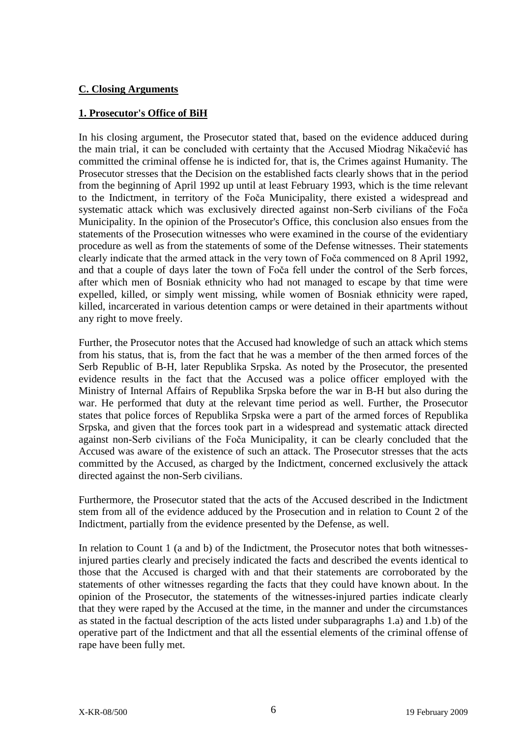## **C. Closing Arguments**

## **1. Prosecutor's Office of BiH**

In his closing argument, the Prosecutor stated that, based on the evidence adduced during the main trial, it can be concluded with certainty that the Accused Miodrag Nikačević has committed the criminal offense he is indicted for, that is, the Crimes against Humanity. The Prosecutor stresses that the Decision on the established facts clearly shows that in the period from the beginning of April 1992 up until at least February 1993, which is the time relevant to the Indictment, in territory of the Foča Municipality, there existed a widespread and systematic attack which was exclusively directed against non-Serb civilians of the Foča Municipality. In the opinion of the Prosecutor's Office, this conclusion also ensues from the statements of the Prosecution witnesses who were examined in the course of the evidentiary procedure as well as from the statements of some of the Defense witnesses. Their statements clearly indicate that the armed attack in the very town of Foča commenced on 8 April 1992, and that a couple of days later the town of Foča fell under the control of the Serb forces, after which men of Bosniak ethnicity who had not managed to escape by that time were expelled, killed, or simply went missing, while women of Bosniak ethnicity were raped, killed, incarcerated in various detention camps or were detained in their apartments without any right to move freely.

Further, the Prosecutor notes that the Accused had knowledge of such an attack which stems from his status, that is, from the fact that he was a member of the then armed forces of the Serb Republic of B-H, later Republika Srpska. As noted by the Prosecutor, the presented evidence results in the fact that the Accused was a police officer employed with the Ministry of Internal Affairs of Republika Srpska before the war in B-H but also during the war. He performed that duty at the relevant time period as well. Further, the Prosecutor states that police forces of Republika Srpska were a part of the armed forces of Republika Srpska, and given that the forces took part in a widespread and systematic attack directed against non-Serb civilians of the Foča Municipality, it can be clearly concluded that the Accused was aware of the existence of such an attack. The Prosecutor stresses that the acts committed by the Accused, as charged by the Indictment, concerned exclusively the attack directed against the non-Serb civilians.

Furthermore, the Prosecutor stated that the acts of the Accused described in the Indictment stem from all of the evidence adduced by the Prosecution and in relation to Count 2 of the Indictment, partially from the evidence presented by the Defense, as well.

In relation to Count 1 (a and b) of the Indictment, the Prosecutor notes that both witnessesinjured parties clearly and precisely indicated the facts and described the events identical to those that the Accused is charged with and that their statements are corroborated by the statements of other witnesses regarding the facts that they could have known about. In the opinion of the Prosecutor, the statements of the witnesses-injured parties indicate clearly that they were raped by the Accused at the time, in the manner and under the circumstances as stated in the factual description of the acts listed under subparagraphs 1.a) and 1.b) of the operative part of the Indictment and that all the essential elements of the criminal offense of rape have been fully met.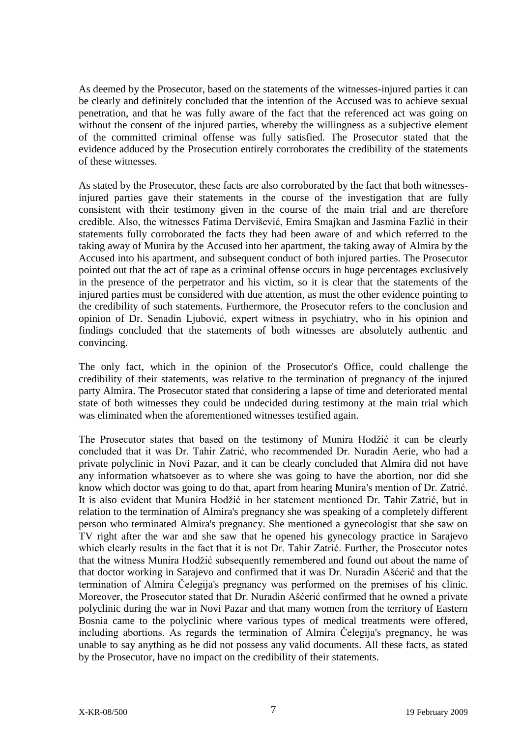As deemed by the Prosecutor, based on the statements of the witnesses-injured parties it can be clearly and definitely concluded that the intention of the Accused was to achieve sexual penetration, and that he was fully aware of the fact that the referenced act was going on without the consent of the injured parties, whereby the willingness as a subjective element of the committed criminal offense was fully satisfied. The Prosecutor stated that the evidence adduced by the Prosecution entirely corroborates the credibility of the statements of these witnesses.

As stated by the Prosecutor, these facts are also corroborated by the fact that both witnessesinjured parties gave their statements in the course of the investigation that are fully consistent with their testimony given in the course of the main trial and are therefore credible. Also, the witnesses Fatima Dervišević, Emira Smajkan and Jasmina Fazlić in their statements fully corroborated the facts they had been aware of and which referred to the taking away of Munira by the Accused into her apartment, the taking away of Almira by the Accused into his apartment, and subsequent conduct of both injured parties. The Prosecutor pointed out that the act of rape as a criminal offense occurs in huge percentages exclusively in the presence of the perpetrator and his victim, so it is clear that the statements of the injured parties must be considered with due attention, as must the other evidence pointing to the credibility of such statements. Furthermore, the Prosecutor refers to the conclusion and opinion of Dr. Senadin Ljubović, expert witness in psychiatry, who in his opinion and findings concluded that the statements of both witnesses are absolutely authentic and convincing.

The only fact, which in the opinion of the Prosecutor's Office, could challenge the credibility of their statements, was relative to the termination of pregnancy of the injured party Almira. The Prosecutor stated that considering a lapse of time and deteriorated mental state of both witnesses they could be undecided during testimony at the main trial which was eliminated when the aforementioned witnesses testified again.

The Prosecutor states that based on the testimony of Munira Hodžić it can be clearly concluded that it was Dr. Tahir Zatrić, who recommended Dr. Nuradin Aerie, who had a private polyclinic in Novi Pazar, and it can be clearly concluded that Almira did not have any information whatsoever as to where she was going to have the abortion, nor did she know which doctor was going to do that, apart from hearing Munira's mention of Dr. Zatrić. It is also evident that Munira Hodžić in her statement mentioned Dr. Tahir Zatrić, but in relation to the termination of Almira's pregnancy she was speaking of a completely different person who terminated Almira's pregnancy. She mentioned a gynecologist that she saw on TV right after the war and she saw that he opened his gynecology practice in Sarajevo which clearly results in the fact that it is not Dr. Tahir Zatrić. Further, the Prosecutor notes that the witness Munira Hodžić subsequently remembered and found out about the name of that doctor working in Sarajevo and confirmed that it was Dr. Nuradin Ašćerić and that the termination of Almira Čelegija's pregnancy was performed on the premises of his clinic. Moreover, the Prosecutor stated that Dr. Nuradin Ašćerić confirmed that he owned a private polyclinic during the war in Novi Pazar and that many women from the territory of Eastern Bosnia came to the polyclinic where various types of medical treatments were offered, including abortions. As regards the termination of Almira Čelegija's pregnancy, he was unable to say anything as he did not possess any valid documents. All these facts, as stated by the Prosecutor, have no impact on the credibility of their statements.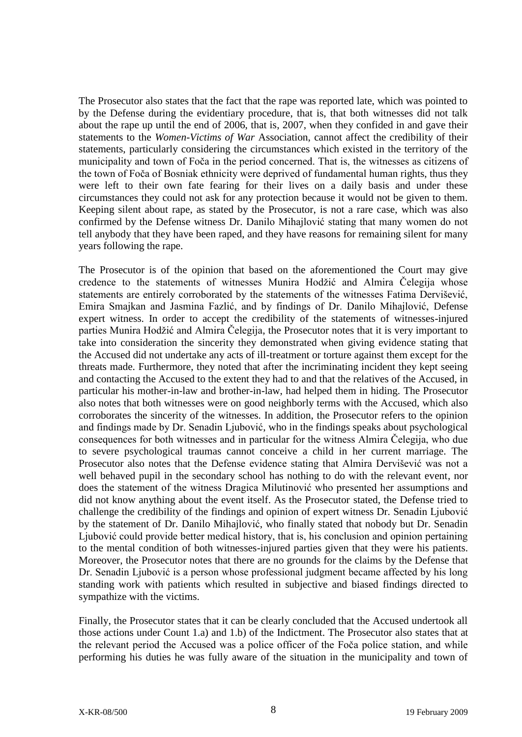The Prosecutor also states that the fact that the rape was reported late, which was pointed to by the Defense during the evidentiary procedure, that is, that both witnesses did not talk about the rape up until the end of 2006, that is, 2007, when they confided in and gave their statements to the *Women-Victims of War* Association, cannot affect the credibility of their statements, particularly considering the circumstances which existed in the territory of the municipality and town of Foča in the period concerned. That is, the witnesses as citizens of the town of Foča of Bosniak ethnicity were deprived of fundamental human rights, thus they were left to their own fate fearing for their lives on a daily basis and under these circumstances they could not ask for any protection because it would not be given to them. Keeping silent about rape, as stated by the Prosecutor, is not a rare case, which was also confirmed by the Defense witness Dr. Danilo Mihajlović stating that many women do not tell anybody that they have been raped, and they have reasons for remaining silent for many years following the rape.

The Prosecutor is of the opinion that based on the aforementioned the Court may give credence to the statements of witnesses Munira Hodžić and Almira Čelegija whose statements are entirely corroborated by the statements of the witnesses Fatima Dervišević, Emira Smajkan and Jasmina Fazlić, and by findings of Dr. Danilo Mihajlović, Defense expert witness. In order to accept the credibility of the statements of witnesses-injured parties Munira Hodžić and Almira Čelegija, the Prosecutor notes that it is very important to take into consideration the sincerity they demonstrated when giving evidence stating that the Accused did not undertake any acts of ill-treatment or torture against them except for the threats made. Furthermore, they noted that after the incriminating incident they kept seeing and contacting the Accused to the extent they had to and that the relatives of the Accused, in particular his mother-in-law and brother-in-law, had helped them in hiding*.* The Prosecutor also notes that both witnesses were on good neighborly terms with the Accused, which also corroborates the sincerity of the witnesses. In addition, the Prosecutor refers to the opinion and findings made by Dr. Senadin Ljubović, who in the findings speaks about psychological consequences for both witnesses and in particular for the witness Almira Čelegija, who due to severe psychological traumas cannot conceive a child in her current marriage. The Prosecutor also notes that the Defense evidence stating that Almira Dervišević was not a well behaved pupil in the secondary school has nothing to do with the relevant event, nor does the statement of the witness Dragica Milutinović who presented her assumptions and did not know anything about the event itself. As the Prosecutor stated, the Defense tried to challenge the credibility of the findings and opinion of expert witness Dr. Senadin Ljubović by the statement of Dr. Danilo Mihajlović, who finally stated that nobody but Dr. Senadin Ljubović could provide better medical history, that is, his conclusion and opinion pertaining to the mental condition of both witnesses-injured parties given that they were his patients. Moreover, the Prosecutor notes that there are no grounds for the claims by the Defense that Dr. Senadin Ljubović is a person whose professional judgment became affected by his long standing work with patients which resulted in subjective and biased findings directed to sympathize with the victims.

Finally, the Prosecutor states that it can be clearly concluded that the Accused undertook all those actions under Count 1.a) and 1.b) of the Indictment. The Prosecutor also states that at the relevant period the Accused was a police officer of the Foča police station, and while performing his duties he was fully aware of the situation in the municipality and town of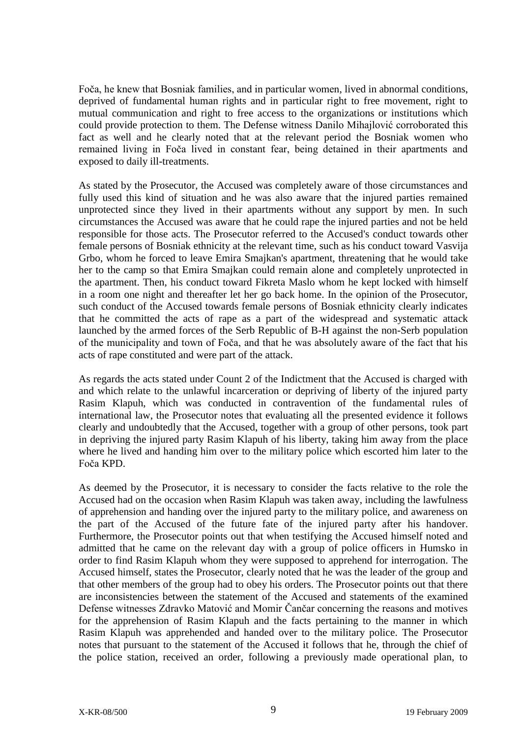Foča, he knew that Bosniak families, and in particular women, lived in abnormal conditions, deprived of fundamental human rights and in particular right to free movement, right to mutual communication and right to free access to the organizations or institutions which could provide protection to them. The Defense witness Danilo Mihajlović corroborated this fact as well and he clearly noted that at the relevant period the Bosniak women who remained living in Foča lived in constant fear, being detained in their apartments and exposed to daily ill-treatments.

As stated by the Prosecutor, the Accused was completely aware of those circumstances and fully used this kind of situation and he was also aware that the injured parties remained unprotected since they lived in their apartments without any support by men. In such circumstances the Accused was aware that he could rape the injured parties and not be held responsible for those acts. The Prosecutor referred to the Accused's conduct towards other female persons of Bosniak ethnicity at the relevant time, such as his conduct toward Vasvija Grbo, whom he forced to leave Emira Smajkan's apartment, threatening that he would take her to the camp so that Emira Smajkan could remain alone and completely unprotected in the apartment. Then, his conduct toward Fikreta Maslo whom he kept locked with himself in a room one night and thereafter let her go back home. In the opinion of the Prosecutor, such conduct of the Accused towards female persons of Bosniak ethnicity clearly indicates that he committed the acts of rape as a part of the widespread and systematic attack launched by the armed forces of the Serb Republic of B-H against the non-Serb population of the municipality and town of Foča, and that he was absolutely aware of the fact that his acts of rape constituted and were part of the attack.

As regards the acts stated under Count 2 of the Indictment that the Accused is charged with and which relate to the unlawful incarceration or depriving of liberty of the injured party Rasim Klapuh, which was conducted in contravention of the fundamental rules of international law, the Prosecutor notes that evaluating all the presented evidence it follows clearly and undoubtedly that the Accused, together with a group of other persons, took part in depriving the injured party Rasim Klapuh of his liberty, taking him away from the place where he lived and handing him over to the military police which escorted him later to the Foča KPD.

As deemed by the Prosecutor, it is necessary to consider the facts relative to the role the Accused had on the occasion when Rasim Klapuh was taken away, including the lawfulness of apprehension and handing over the injured party to the military police, and awareness on the part of the Accused of the future fate of the injured party after his handover. Furthermore, the Prosecutor points out that when testifying the Accused himself noted and admitted that he came on the relevant day with a group of police officers in Humsko in order to find Rasim Klapuh whom they were supposed to apprehend for interrogation*.* The Accused himself, states the Prosecutor, clearly noted that he was the leader of the group and that other members of the group had to obey his orders. The Prosecutor points out that there are inconsistencies between the statement of the Accused and statements of the examined Defense witnesses Zdravko Matović and Momir Čančar concerning the reasons and motives for the apprehension of Rasim Klapuh and the facts pertaining to the manner in which Rasim Klapuh was apprehended and handed over to the military police. The Prosecutor notes that pursuant to the statement of the Accused it follows that he, through the chief of the police station, received an order, following a previously made operational plan, to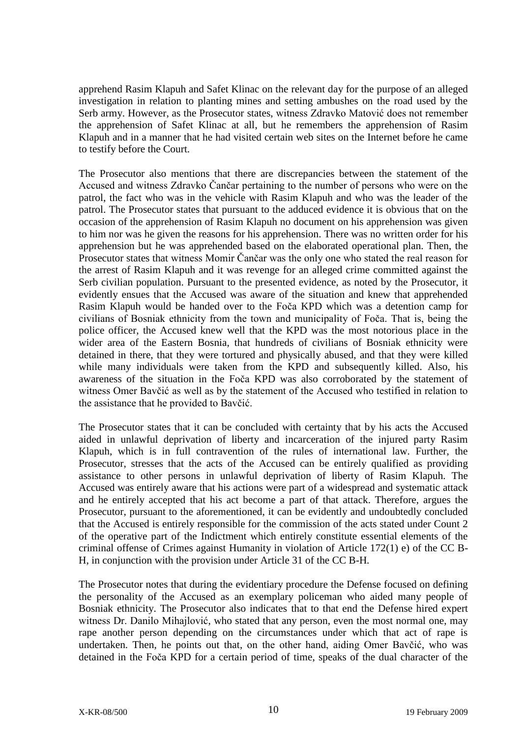apprehend Rasim Klapuh and Safet Klinac on the relevant day for the purpose of an alleged investigation in relation to planting mines and setting ambushes on the road used by the Serb army. However, as the Prosecutor states, witness Zdravko Matović does not remember the apprehension of Safet Klinac at all, but he remembers the apprehension of Rasim Klapuh and in a manner that he had visited certain web sites on the Internet before he came to testify before the Court.

The Prosecutor also mentions that there are discrepancies between the statement of the Accused and witness Zdravko Čančar pertaining to the number of persons who were on the patrol, the fact who was in the vehicle with Rasim Klapuh and who was the leader of the patrol. The Prosecutor states that pursuant to the adduced evidence it is obvious that on the occasion of the apprehension of Rasim Klapuh no document on his apprehension was given to him nor was he given the reasons for his apprehension. There was no written order for his apprehension but he was apprehended based on the elaborated operational plan. Then, the Prosecutor states that witness Momir Čančar was the only one who stated the real reason for the arrest of Rasim Klapuh and it was revenge for an alleged crime committed against the Serb civilian population. Pursuant to the presented evidence, as noted by the Prosecutor, it evidently ensues that the Accused was aware of the situation and knew that apprehended Rasim Klapuh would be handed over to the Foča KPD which was a detention camp for civilians of Bosniak ethnicity from the town and municipality of Foča. That is, being the police officer, the Accused knew well that the KPD was the most notorious place in the wider area of the Eastern Bosnia, that hundreds of civilians of Bosniak ethnicity were detained in there, that they were tortured and physically abused, and that they were killed while many individuals were taken from the KPD and subsequently killed. Also, his awareness of the situation in the Foča KPD was also corroborated by the statement of witness Omer Bavčić as well as by the statement of the Accused who testified in relation to the assistance that he provided to Bavčić.

The Prosecutor states that it can be concluded with certainty that by his acts the Accused aided in unlawful deprivation of liberty and incarceration of the injured party Rasim Klapuh, which is in full contravention of the rules of international law. Further, the Prosecutor, stresses that the acts of the Accused can be entirely qualified as providing assistance to other persons in unlawful deprivation of liberty of Rasim Klapuh. The Accused was entirely aware that his actions were part of a widespread and systematic attack and he entirely accepted that his act become a part of that attack. Therefore, argues the Prosecutor, pursuant to the aforementioned, it can be evidently and undoubtedly concluded that the Accused is entirely responsible for the commission of the acts stated under Count 2 of the operative part of the Indictment which entirely constitute essential elements of the criminal offense of Crimes against Humanity in violation of Article 172(1) e) of the CC B-H, in conjunction with the provision under Article 31 of the CC B-H*.*

The Prosecutor notes that during the evidentiary procedure the Defense focused on defining the personality of the Accused as an exemplary policeman who aided many people of Bosniak ethnicity. The Prosecutor also indicates that to that end the Defense hired expert witness Dr. Danilo Mihajlović, who stated that any person, even the most normal one, may rape another person depending on the circumstances under which that act of rape is undertaken. Then, he points out that, on the other hand, aiding Omer Bavčić, who was detained in the Foča KPD for a certain period of time, speaks of the dual character of the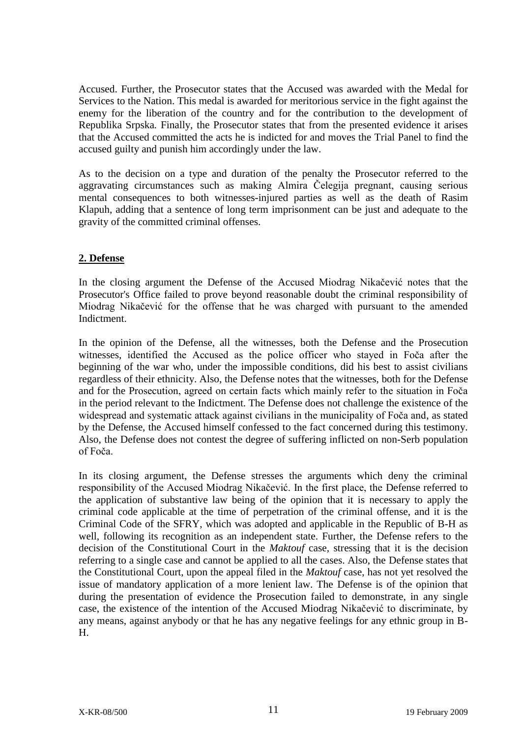Accused. Further, the Prosecutor states that the Accused was awarded with the Medal for Services to the Nation. This medal is awarded for meritorious service in the fight against the enemy for the liberation of the country and for the contribution to the development of Republika Srpska*.* Finally, the Prosecutor states that from the presented evidence it arises that the Accused committed the acts he is indicted for and moves the Trial Panel to find the accused guilty and punish him accordingly under the law.

As to the decision on a type and duration of the penalty the Prosecutor referred to the aggravating circumstances such as making Almira Čelegija pregnant, causing serious mental consequences to both witnesses-injured parties as well as the death of Rasim Klapuh, adding that a sentence of long term imprisonment can be just and adequate to the gravity of the committed criminal offenses.

## **2. Defense**

In the closing argument the Defense of the Accused Miodrag Nikačević notes that the Prosecutor's Office failed to prove beyond reasonable doubt the criminal responsibility of Miodrag Nikačević for the offense that he was charged with pursuant to the amended Indictment.

In the opinion of the Defense, all the witnesses, both the Defense and the Prosecution witnesses, identified the Accused as the police officer who stayed in Foča after the beginning of the war who, under the impossible conditions, did his best to assist civilians regardless of their ethnicity. Also, the Defense notes that the witnesses, both for the Defense and for the Prosecution, agreed on certain facts which mainly refer to the situation in Foča in the period relevant to the Indictment. The Defense does not challenge the existence of the widespread and systematic attack against civilians in the municipality of Foča and, as stated by the Defense, the Accused himself confessed to the fact concerned during this testimony. Also, the Defense does not contest the degree of suffering inflicted on non-Serb population of Foča.

In its closing argument, the Defense stresses the arguments which deny the criminal responsibility of the Accused Miodrag Nikačević. In the first place, the Defense referred to the application of substantive law being of the opinion that it is necessary to apply the criminal code applicable at the time of perpetration of the criminal offense, and it is the Criminal Code of the SFRY, which was adopted and applicable in the Republic of B-H as well, following its recognition as an independent state. Further, the Defense refers to the decision of the Constitutional Court in the *Maktouf* case, stressing that it is the decision referring to a single case and cannot be applied to all the cases. Also, the Defense states that the Constitutional Court, upon the appeal filed in the *Maktouf* case, has not yet resolved the issue of mandatory application of a more lenient law. The Defense is of the opinion that during the presentation of evidence the Prosecution failed to demonstrate, in any single case, the existence of the intention of the Accused Miodrag Nikačević to discriminate, by any means, against anybody or that he has any negative feelings for any ethnic group in B-H.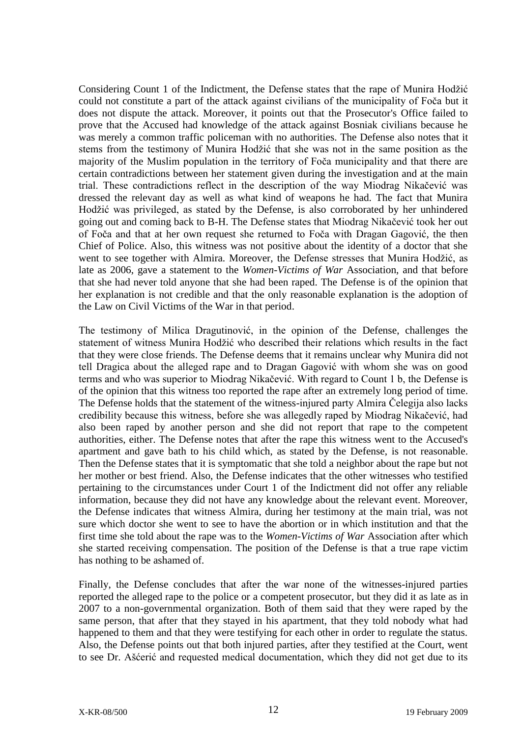Considering Count 1 of the Indictment, the Defense states that the rape of Munira Hodžić could not constitute a part of the attack against civilians of the municipality of Foča but it does not dispute the attack. Moreover, it points out that the Prosecutor's Office failed to prove that the Accused had knowledge of the attack against Bosniak civilians because he was merely a common traffic policeman with no authorities. The Defense also notes that it stems from the testimony of Munira Hodžić that she was not in the same position as the majority of the Muslim population in the territory of Foča municipality and that there are certain contradictions between her statement given during the investigation and at the main trial. These contradictions reflect in the description of the way Miodrag Nikačević was dressed the relevant day as well as what kind of weapons he had. The fact that Munira Hodžić was privileged, as stated by the Defense, is also corroborated by her unhindered going out and coming back to B-H. The Defense states that Miodrag Nikačević took her out of Foča and that at her own request she returned to Foča with Dragan Gagović, the then Chief of Police. Also, this witness was not positive about the identity of a doctor that she went to see together with Almira. Moreover, the Defense stresses that Munira Hodžić, as late as 2006, gave a statement to the *Women-Victims of War* Association, and that before that she had never told anyone that she had been raped. The Defense is of the opinion that her explanation is not credible and that the only reasonable explanation is the adoption of the Law on Civil Victims of the War in that period.

The testimony of Milica Dragutinović, in the opinion of the Defense, challenges the statement of witness Munira Hodžić who described their relations which results in the fact that they were close friends. The Defense deems that it remains unclear why Munira did not tell Dragica about the alleged rape and to Dragan Gagović with whom she was on good terms and who was superior to Miodrag Nikačević. With regard to Count 1 b, the Defense is of the opinion that this witness too reported the rape after an extremely long period of time. The Defense holds that the statement of the witness-injured party Almira Čelegija also lacks credibility because this witness, before she was allegedly raped by Miodrag Nikačević, had also been raped by another person and she did not report that rape to the competent authorities, either. The Defense notes that after the rape this witness went to the Accused's apartment and gave bath to his child which, as stated by the Defense, is not reasonable. Then the Defense states that it is symptomatic that she told a neighbor about the rape but not her mother or best friend. Also, the Defense indicates that the other witnesses who testified pertaining to the circumstances under Court 1 of the Indictment did not offer any reliable information, because they did not have any knowledge about the relevant event. Moreover, the Defense indicates that witness Almira, during her testimony at the main trial, was not sure which doctor she went to see to have the abortion or in which institution and that the first time she told about the rape was to the *Women-Victims of War* Association after which she started receiving compensation. The position of the Defense is that a true rape victim has nothing to be ashamed of.

Finally, the Defense concludes that after the war none of the witnesses-injured parties reported the alleged rape to the police or a competent prosecutor, but they did it as late as in 2007 to a non-governmental organization. Both of them said that they were raped by the same person, that after that they stayed in his apartment, that they told nobody what had happened to them and that they were testifying for each other in order to regulate the status. Also, the Defense points out that both injured parties, after they testified at the Court, went to see Dr. Ašćerić and requested medical documentation, which they did not get due to its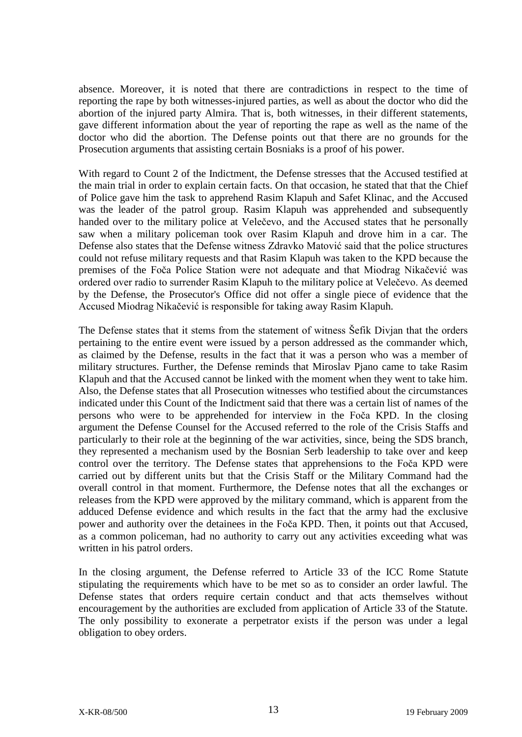absence. Moreover, it is noted that there are contradictions in respect to the time of reporting the rape by both witnesses-injured parties, as well as about the doctor who did the abortion of the injured party Almira. That is, both witnesses, in their different statements, gave different information about the year of reporting the rape as well as the name of the doctor who did the abortion. The Defense points out that there are no grounds for the Prosecution arguments that assisting certain Bosniaks is a proof of his power.

With regard to Count 2 of the Indictment, the Defense stresses that the Accused testified at the main trial in order to explain certain facts. On that occasion, he stated that that the Chief of Police gave him the task to apprehend Rasim Klapuh and Safet Klinac, and the Accused was the leader of the patrol group. Rasim Klapuh was apprehended and subsequently handed over to the military police at Velečevo, and the Accused states that he personally saw when a military policeman took over Rasim Klapuh and drove him in a car. The Defense also states that the Defense witness Zdravko Matović said that the police structures could not refuse military requests and that Rasim Klapuh was taken to the KPD because the premises of the Foča Police Station were not adequate and that Miodrag Nikačević was ordered over radio to surrender Rasim Klapuh to the military police at Velečevo. As deemed by the Defense, the Prosecutor's Office did not offer a single piece of evidence that the Accused Miodrag Nikačević is responsible for taking away Rasim Klapuh.

The Defense states that it stems from the statement of witness Šefik Divjan that the orders pertaining to the entire event were issued by a person addressed as the commander which, as claimed by the Defense, results in the fact that it was a person who was a member of military structures. Further, the Defense reminds that Miroslav Pjano came to take Rasim Klapuh and that the Accused cannot be linked with the moment when they went to take him. Also, the Defense states that all Prosecution witnesses who testified about the circumstances indicated under this Count of the Indictment said that there was a certain list of names of the persons who were to be apprehended for interview in the Foča KPD. In the closing argument the Defense Counsel for the Accused referred to the role of the Crisis Staffs and particularly to their role at the beginning of the war activities, since, being the SDS branch, they represented a mechanism used by the Bosnian Serb leadership to take over and keep control over the territory. The Defense states that apprehensions to the Foča KPD were carried out by different units but that the Crisis Staff or the Military Command had the overall control in that moment. Furthermore, the Defense notes that all the exchanges or releases from the KPD were approved by the military command, which is apparent from the adduced Defense evidence and which results in the fact that the army had the exclusive power and authority over the detainees in the Foča KPD. Then, it points out that Accused, as a common policeman, had no authority to carry out any activities exceeding what was written in his patrol orders.

In the closing argument, the Defense referred to Article 33 of the ICC Rome Statute stipulating the requirements which have to be met so as to consider an order lawful. The Defense states that orders require certain conduct and that acts themselves without encouragement by the authorities are excluded from application of Article 33 of the Statute. The only possibility to exonerate a perpetrator exists if the person was under a legal obligation to obey orders.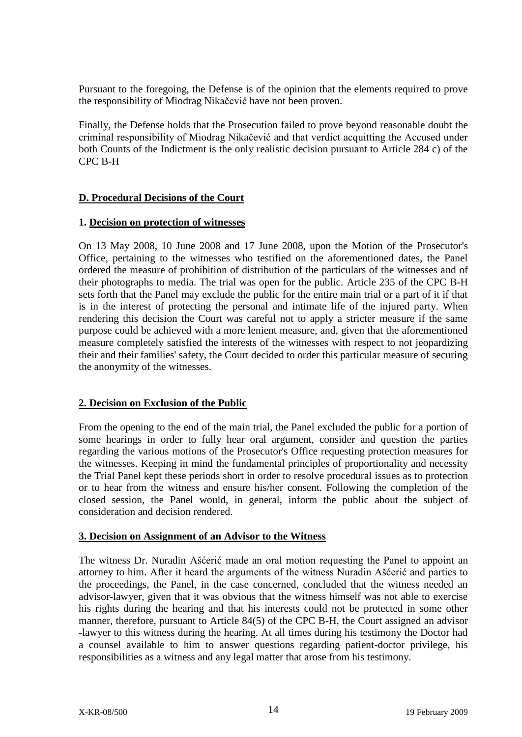Pursuant to the foregoing, the Defense is of the opinion that the elements required to prove the responsibility of Miodrag Nikačević have not been proven.

Finally, the Defense holds that the Prosecution failed to prove beyond reasonable doubt the criminal responsibility of Miodrag Nikačević and that verdict acquitting the Accused under both Counts of the Indictment is the only realistic decision pursuant to Article 284 c) of the CPC B-H

## **D. Procedural Decisions of the Court**

### **1. Decision on protection of witnesses**

On 13 May 2008, 10 June 2008 and 17 June 2008, upon the Motion of the Prosecutor's Office, pertaining to the witnesses who testified on the aforementioned dates, the Panel ordered the measure of prohibition of distribution of the particulars of the witnesses and of their photographs to media. The trial was open for the public. Article 235 of the CPC B-H sets forth that the Panel may exclude the public for the entire main trial or a part of it if that is in the interest of protecting the personal and intimate life of the injured party. When rendering this decision the Court was careful not to apply a stricter measure if the same purpose could be achieved with a more lenient measure, and, given that the aforementioned measure completely satisfied the interests of the witnesses with respect to not jeopardizing their and their families' safety, the Court decided to order this particular measure of securing the anonymity of the witnesses.

## **2. Decision on Exclusion of the Public**

From the opening to the end of the main trial, the Panel excluded the public for a portion of some hearings in order to fully hear oral argument, consider and question the parties regarding the various motions of the Prosecutor's Office requesting protection measures for the witnesses. Keeping in mind the fundamental principles of proportionality and necessity the Trial Panel kept these periods short in order to resolve procedural issues as to protection or to hear from the witness and ensure his/her consent. Following the completion of the closed session, the Panel would, in general, inform the public about the subject of consideration and decision rendered.

### **3. Decision on Assignment of an Advisor to the Witness**

The witness Dr. Nuradin Ašćerić made an oral motion requesting the Panel to appoint an attorney to him. After it heard the arguments of the witness Nuradin Ašćerić and parties to the proceedings, the Panel, in the case concerned, concluded that the witness needed an advisor-lawyer, given that it was obvious that the witness himself was not able to exercise his rights during the hearing and that his interests could not be protected in some other manner, therefore, pursuant to Article 84(5) of the CPC B-H, the Court assigned an advisor -lawyer to this witness during the hearing. At all times during his testimony the Doctor had a counsel available to him to answer questions regarding patient-doctor privilege, his responsibilities as a witness and any legal matter that arose from his testimony.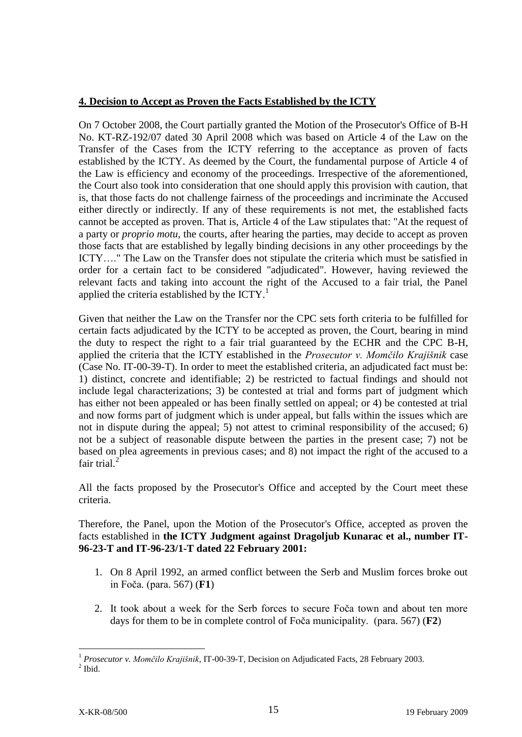## **4. Decision to Accept as Proven the Facts Established by the ICTY**

On 7 October 2008, the Court partially granted the Motion of the Prosecutor's Office of B-H No. KT-RZ-192/07 dated 30 April 2008 which was based on Article 4 of the Law on the Transfer of the Cases from the ICTY referring to the acceptance as proven of facts established by the ICTY. As deemed by the Court, the fundamental purpose of Article 4 of the Law is efficiency and economy of the proceedings. Irrespective of the aforementioned, the Court also took into consideration that one should apply this provision with caution, that is, that those facts do not challenge fairness of the proceedings and incriminate the Accused either directly or indirectly. If any of these requirements is not met, the established facts cannot be accepted as proven. That is, Article 4 of the Law stipulates that: "At the request of a party or *proprio motu*, the courts, after hearing the parties, may decide to accept as proven those facts that are established by legally binding decisions in any other proceedings by the ICTY…." The Law on the Transfer does not stipulate the criteria which must be satisfied in order for a certain fact to be considered "adjudicated". However, having reviewed the relevant facts and taking into account the right of the Accused to a fair trial, the Panel applied the criteria established by the ICTY.<sup>1</sup>

Given that neither the Law on the Transfer nor the CPC sets forth criteria to be fulfilled for certain facts adjudicated by the ICTY to be accepted as proven, the Court, bearing in mind the duty to respect the right to a fair trial guaranteed by the ECHR and the CPC B-H, applied the criteria that the ICTY established in the *Prosecutor v. Momčilo Krajišnik* case (Case No. IT-00-39-T). In order to meet the established criteria, an adjudicated fact must be: 1) distinct, concrete and identifiable; 2) be restricted to factual findings and should not include legal characterizations; 3) be contested at trial and forms part of judgment which has either not been appealed or has been finally settled on appeal; or 4) be contested at trial and now forms part of judgment which is under appeal, but falls within the issues which are not in dispute during the appeal; 5) not attest to criminal responsibility of the accused; 6) not be a subject of reasonable dispute between the parties in the present case; 7) not be based on plea agreements in previous cases; and 8) not impact the right of the accused to a fair trial. $<sup>2</sup>$ </sup>

All the facts proposed by the Prosecutor's Office and accepted by the Court meet these criteria.

Therefore, the Panel, upon the Motion of the Prosecutor's Office, accepted as proven the facts established in **the ICTY Judgment against Dragoljub Kunarac et al., number IT-96-23-T and IT-96-23/1-T dated 22 February 2001:** 

- 1. On 8 April 1992, an armed conflict between the Serb and Muslim forces broke out in Foča. (para. 567) (**F1**)
- 2. It took about a week for the Serb forces to secure Foča town and about ten more days for them to be in complete control of Foča municipality. (para. 567) (**F2**)

<sup>1</sup> *Prosecutor v. Momčilo Krajišnik,* IT-00-39-T, Decision on Adjudicated Facts, 28 February 2003.

 $<sup>2</sup>$  Ibid.</sup>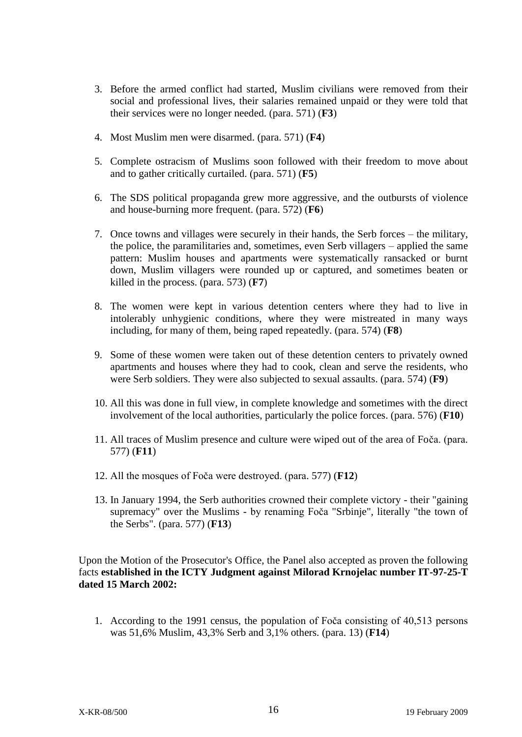- 3. Before the armed conflict had started, Muslim civilians were removed from their social and professional lives, their salaries remained unpaid or they were told that their services were no longer needed. (para. 571) (**F3**)
- 4. Most Muslim men were disarmed. (para. 571) (**F4**)
- 5. Complete ostracism of Muslims soon followed with their freedom to move about and to gather critically curtailed. (para. 571) (**F5**)
- 6. The SDS political propaganda grew more aggressive, and the outbursts of violence and house-burning more frequent. (para. 572) (**F6**)
- 7. Once towns and villages were securely in their hands, the Serb forces the military, the police, the paramilitaries and, sometimes, even Serb villagers – applied the same pattern: Muslim houses and apartments were systematically ransacked or burnt down, Muslim villagers were rounded up or captured, and sometimes beaten or killed in the process. (para. 573) (**F7**)
- 8. The women were kept in various detention centers where they had to live in intolerably unhygienic conditions, where they were mistreated in many ways including, for many of them, being raped repeatedly. (para. 574) (**F8**)
- 9. Some of these women were taken out of these detention centers to privately owned apartments and houses where they had to cook, clean and serve the residents, who were Serb soldiers. They were also subjected to sexual assaults. (para. 574) (**F9**)
- 10. All this was done in full view, in complete knowledge and sometimes with the direct involvement of the local authorities, particularly the police forces. (para. 576) (**F10**)
- 11. All traces of Muslim presence and culture were wiped out of the area of Foča. (para. 577) (**F11**)
- 12. All the mosques of Foča were destroyed. (para. 577) (**F12**)
- 13. In January 1994, the Serb authorities crowned their complete victory their "gaining supremacy" over the Muslims - by renaming Foča "Srbinje", literally "the town of the Serbs". (para. 577) (**F13**)

Upon the Motion of the Prosecutor's Office, the Panel also accepted as proven the following facts **established in the ICTY Judgment against Milorad Krnojelac number IT-97-25-T dated 15 March 2002:**

1. According to the 1991 census, the population of Foča consisting of 40,513 persons was 51,6% Muslim, 43,3% Serb and 3,1% others. (para. 13) (**F14**)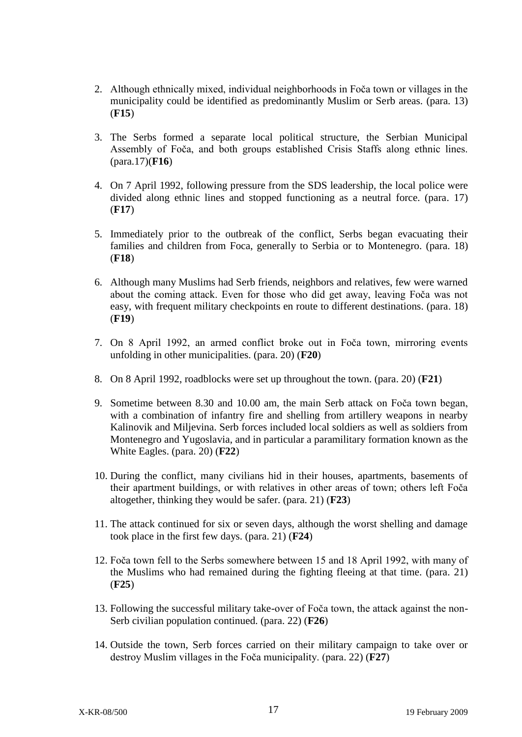- 2. Although ethnically mixed, individual neighborhoods in Foča town or villages in the municipality could be identified as predominantly Muslim or Serb areas. (para. 13) (**F15**)
- 3. The Serbs formed a separate local political structure, the Serbian Municipal Assembly of Foča, and both groups established Crisis Staffs along ethnic lines. (para.17)(**F16**)
- 4. On 7 April 1992, following pressure from the SDS leadership, the local police were divided along ethnic lines and stopped functioning as a neutral force. (para. 17) (**F17**)
- 5. Immediately prior to the outbreak of the conflict, Serbs began evacuating their families and children from Foca, generally to Serbia or to Montenegro. (para. 18) (**F18**)
- 6. Although many Muslims had Serb friends, neighbors and relatives, few were warned about the coming attack. Even for those who did get away, leaving Foča was not easy, with frequent military checkpoints en route to different destinations. (para. 18) (**F19**)
- 7. On 8 April 1992, an armed conflict broke out in Foča town, mirroring events unfolding in other municipalities. (para. 20) (**F20**)
- 8. On 8 April 1992, roadblocks were set up throughout the town. (para. 20) (**F21**)
- 9. Sometime between 8.30 and 10.00 am, the main Serb attack on Foča town began, with a combination of infantry fire and shelling from artillery weapons in nearby Kalinovik and Miljevina. Serb forces included local soldiers as well as soldiers from Montenegro and Yugoslavia, and in particular a paramilitary formation known as the White Eagles. (para. 20) (**F22**)
- 10. During the conflict, many civilians hid in their houses, apartments, basements of their apartment buildings, or with relatives in other areas of town; others left Foča altogether, thinking they would be safer. (para. 21) (**F23**)
- 11. The attack continued for six or seven days, although the worst shelling and damage took place in the first few days. (para. 21) (**F24**)
- 12. Foča town fell to the Serbs somewhere between 15 and 18 April 1992, with many of the Muslims who had remained during the fighting fleeing at that time. (para. 21) (**F25**)
- 13. Following the successful military take-over of Foča town, the attack against the non-Serb civilian population continued. (para. 22) (**F26**)
- 14. Outside the town, Serb forces carried on their military campaign to take over or destroy Muslim villages in the Foča municipality. (para. 22) (**F27**)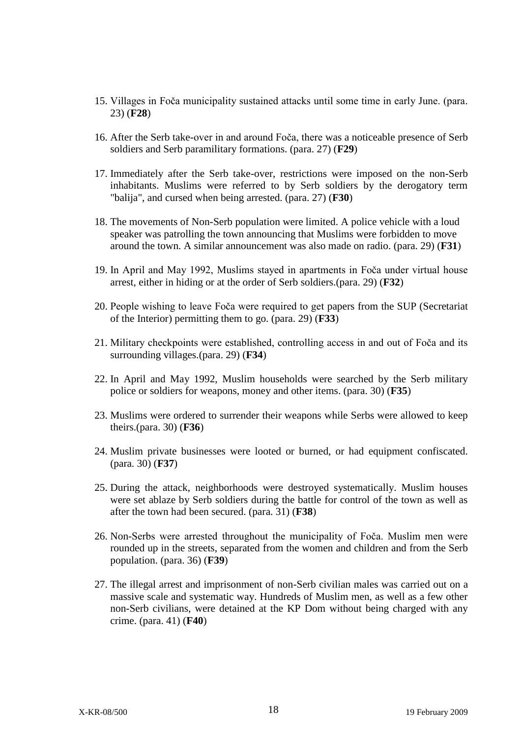- 15. Villages in Foča municipality sustained attacks until some time in early June. (para. 23) (**F28**)
- 16. After the Serb take-over in and around Foča, there was a noticeable presence of Serb soldiers and Serb paramilitary formations. (para. 27) (**F29**)
- 17. Immediately after the Serb take-over, restrictions were imposed on the non-Serb inhabitants. Muslims were referred to by Serb soldiers by the derogatory term "balija", and cursed when being arrested. (para. 27) (**F30**)
- 18. The movements of Non-Serb population were limited. A police vehicle with a loud speaker was patrolling the town announcing that Muslims were forbidden to move around the town. A similar announcement was also made on radio. (para. 29) (**F31**)
- 19. In April and May 1992, Muslims stayed in apartments in Foča under virtual house arrest, either in hiding or at the order of Serb soldiers.(para. 29) (**F32**)
- 20. People wishing to leave Foča were required to get papers from the SUP (Secretariat of the Interior) permitting them to go. (para. 29) (**F33**)
- 21. Military checkpoints were established, controlling access in and out of Foča and its surrounding villages.(para. 29) (**F34**)
- 22. In April and May 1992, Muslim households were searched by the Serb military police or soldiers for weapons, money and other items. (para. 30) (**F35**)
- 23. Muslims were ordered to surrender their weapons while Serbs were allowed to keep theirs.(para. 30) (**F36**)
- 24. Muslim private businesses were looted or burned, or had equipment confiscated. (para. 30) (**F37**)
- 25. During the attack, neighborhoods were destroyed systematically. Muslim houses were set ablaze by Serb soldiers during the battle for control of the town as well as after the town had been secured. (para. 31) (**F38**)
- 26. Non-Serbs were arrested throughout the municipality of Foča. Muslim men were rounded up in the streets, separated from the women and children and from the Serb population. (para. 36) (**F39**)
- 27. The illegal arrest and imprisonment of non-Serb civilian males was carried out on a massive scale and systematic way. Hundreds of Muslim men, as well as a few other non-Serb civilians, were detained at the KP Dom without being charged with any crime. (para. 41) (**F40**)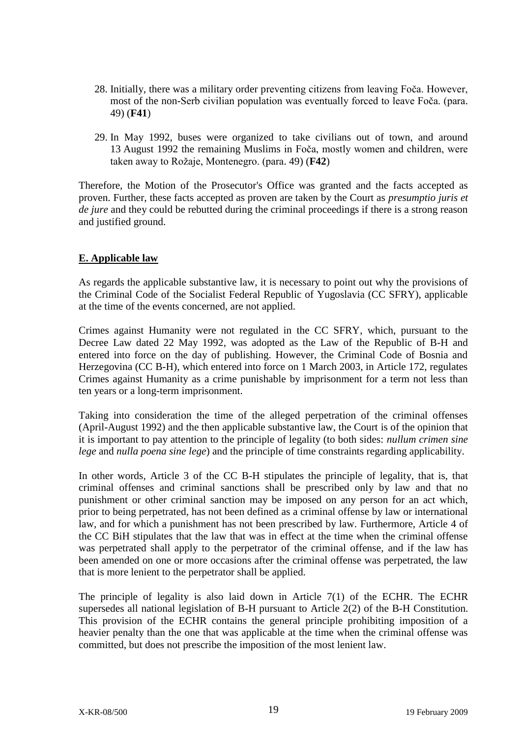- 28. Initially, there was a military order preventing citizens from leaving Foča. However, most of the non-Serb civilian population was eventually forced to leave Foča. (para. 49) (**F41**)
- 29. In May 1992, buses were organized to take civilians out of town, and around 13 August 1992 the remaining Muslims in Foča, mostly women and children, were taken away to Rožaje, Montenegro. (para. 49) (**F42**)

Therefore, the Motion of the Prosecutor's Office was granted and the facts accepted as proven. Further, these facts accepted as proven are taken by the Court as *presumptio juris et de jure* and they could be rebutted during the criminal proceedings if there is a strong reason and justified ground.

## **E. Applicable law**

As regards the applicable substantive law, it is necessary to point out why the provisions of the Criminal Code of the Socialist Federal Republic of Yugoslavia (CC SFRY), applicable at the time of the events concerned, are not applied.

Crimes against Humanity were not regulated in the CC SFRY, which, pursuant to the Decree Law dated 22 May 1992, was adopted as the Law of the Republic of B-H and entered into force on the day of publishing. However, the Criminal Code of Bosnia and Herzegovina (CC B-H), which entered into force on 1 March 2003, in Article 172, regulates Crimes against Humanity as a crime punishable by imprisonment for a term not less than ten years or a long-term imprisonment.

Taking into consideration the time of the alleged perpetration of the criminal offenses (April-August 1992) and the then applicable substantive law, the Court is of the opinion that it is important to pay attention to the principle of legality (to both sides: *nullum crimen sine lege* and *nulla poena sine lege*) and the principle of time constraints regarding applicability.

In other words, Article 3 of the CC B-H stipulates the principle of legality, that is, that criminal offenses and criminal sanctions shall be prescribed only by law and that no punishment or other criminal sanction may be imposed on any person for an act which, prior to being perpetrated, has not been defined as a criminal offense by law or international law, and for which a punishment has not been prescribed by law. Furthermore, Article 4 of the CC BiH stipulates that the law that was in effect at the time when the criminal offense was perpetrated shall apply to the perpetrator of the criminal offense, and if the law has been amended on one or more occasions after the criminal offense was perpetrated, the law that is more lenient to the perpetrator shall be applied.

The principle of legality is also laid down in Article 7(1) of the ECHR. The ECHR supersedes all national legislation of B-H pursuant to Article 2(2) of the B-H Constitution. This provision of the ECHR contains the general principle prohibiting imposition of a heavier penalty than the one that was applicable at the time when the criminal offense was committed, but does not prescribe the imposition of the most lenient law.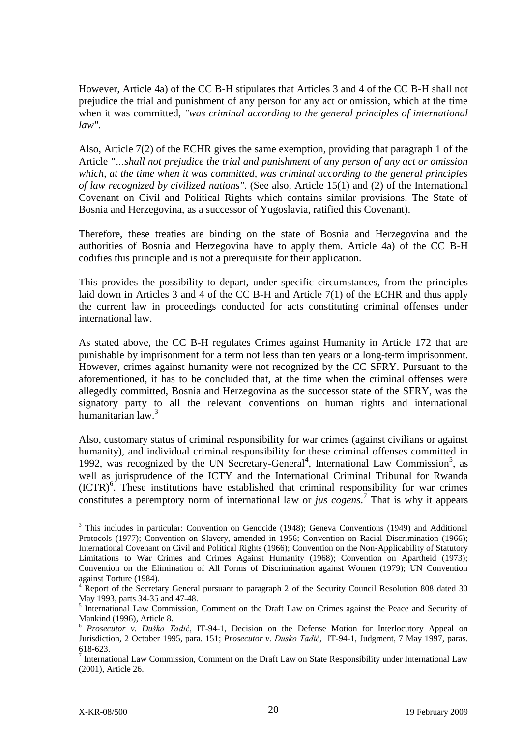However, Article 4a) of the CC B-H stipulates that Articles 3 and 4 of the CC B-H shall not prejudice the trial and punishment of any person for any act or omission, which at the time when it was committed, *"was criminal according to the general principles of international law".*

Also, Article 7(2) of the ECHR gives the same exemption, providing that paragraph 1 of the Article *"…shall not prejudice the trial and punishment of any person of any act or omission which, at the time when it was committed, was criminal according to the general principles of law recognized by civilized nations"*. (See also, Article 15(1) and (2) of the International Covenant on Civil and Political Rights which contains similar provisions. The State of Bosnia and Herzegovina, as a successor of Yugoslavia, ratified this Covenant).

Therefore, these treaties are binding on the state of Bosnia and Herzegovina and the authorities of Bosnia and Herzegovina have to apply them. Article 4a) of the CC B-H codifies this principle and is not a prerequisite for their application.

This provides the possibility to depart, under specific circumstances, from the principles laid down in Articles 3 and 4 of the CC B-H and Article 7(1) of the ECHR and thus apply the current law in proceedings conducted for acts constituting criminal offenses under international law.

As stated above, the CC B-H regulates Crimes against Humanity in Article 172 that are punishable by imprisonment for a term not less than ten years or a long-term imprisonment. However, crimes against humanity were not recognized by the CC SFRY. Pursuant to the aforementioned, it has to be concluded that, at the time when the criminal offenses were allegedly committed, Bosnia and Herzegovina as the successor state of the SFRY, was the signatory party to all the relevant conventions on human rights and international humanitarian law.<sup>3</sup>

Also, customary status of criminal responsibility for war crimes (against civilians or against humanity), and individual criminal responsibility for these criminal offenses committed in 1992, was recognized by the UN Secretary-General<sup>4</sup>, International Law Commission<sup>5</sup>, as well as jurisprudence of the ICTY and the International Criminal Tribunal for Rwanda  $(ICTR)<sup>6</sup>$ . These institutions have established that criminal responsibility for war crimes constitutes a peremptory norm of international law or *jus cogens*. 7 That is why it appears

<sup>&</sup>lt;sup>3</sup> This includes in particular: Convention on Genocide (1948); Geneva Conventions (1949) and Additional Protocols (1977); Convention on Slavery, amended in 1956; Convention on Racial Discrimination (1966); International Covenant on Civil and Political Rights (1966); Convention on the Non-Applicability of Statutory Limitations to War Crimes and Crimes Against Humanity (1968); Convention on Apartheid (1973); Convention on the Elimination of All Forms of Discrimination against Women (1979); UN Convention against Torture (1984).

<sup>&</sup>lt;sup>4</sup> Report of the Secretary General pursuant to paragraph 2 of the Security Council Resolution 808 dated 30 May 1993, parts 34-35 and 47-48.

<sup>&</sup>lt;sup>5</sup> International Law Commission, Comment on the Draft Law on Crimes against the Peace and Security of Mankind (1996), Article 8.

<sup>6</sup> *Prosecutor v. Duško Tadić*, IT-94-1, Decision on the Defense Motion for Interlocutory Appeal on Jurisdiction, 2 October 1995, para. 151; *Prosecutor v. Dusko Tadić,* IT-94-1, Judgment, 7 May 1997, paras. 618-623.

<sup>&</sup>lt;sup>7</sup> International Law Commission, Comment on the Draft Law on State Responsibility under International Law (2001), Article 26.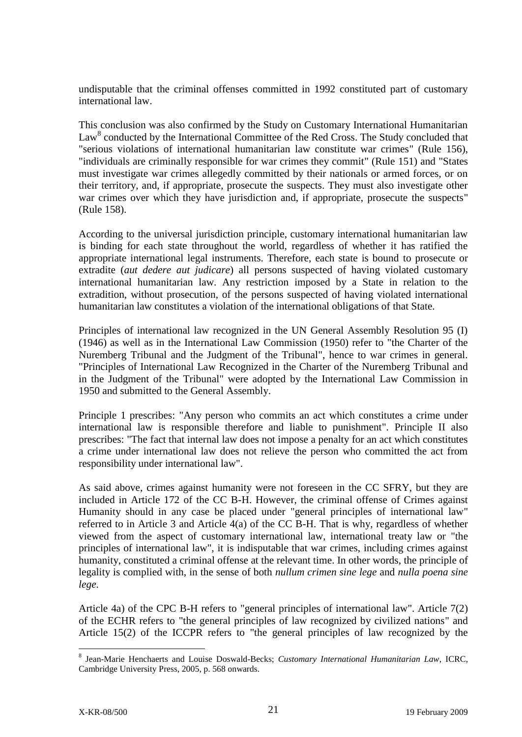undisputable that the criminal offenses committed in 1992 constituted part of customary international law.

This conclusion was also confirmed by the Study on Customary International Humanitarian Law<sup>8</sup> conducted by the International Committee of the Red Cross. The Study concluded that "serious violations of international humanitarian law constitute war crimes" (Rule 156), "individuals are criminally responsible for war crimes they commit" (Rule 151) and "States must investigate war crimes allegedly committed by their nationals or armed forces, or on their territory, and, if appropriate, prosecute the suspects. They must also investigate other war crimes over which they have jurisdiction and, if appropriate, prosecute the suspects" (Rule 158).

According to the universal jurisdiction principle, customary international humanitarian law is binding for each state throughout the world, regardless of whether it has ratified the appropriate international legal instruments. Therefore, each state is bound to prosecute or extradite (*aut dedere aut judicare*) all persons suspected of having violated customary international humanitarian law. Any restriction imposed by a State in relation to the extradition, without prosecution, of the persons suspected of having violated international humanitarian law constitutes a violation of the international obligations of that State.

Principles of international law recognized in the UN General Assembly Resolution 95 (I) (1946) as well as in the International Law Commission (1950) refer to "the Charter of the Nuremberg Tribunal and the Judgment of the Tribunal", hence to war crimes in general. "Principles of International Law Recognized in the Charter of the Nuremberg Tribunal and in the Judgment of the Tribunal" were adopted by the International Law Commission in 1950 and submitted to the General Assembly.

Principle 1 prescribes: "Any person who commits an act which constitutes a crime under international law is responsible therefore and liable to punishment". Principle II also prescribes: "The fact that internal law does not impose a penalty for an act which constitutes a crime under international law does not relieve the person who committed the act from responsibility under international law".

As said above, crimes against humanity were not foreseen in the CC SFRY, but they are included in Article 172 of the CC B-H. However, the criminal offense of Crimes against Humanity should in any case be placed under "general principles of international law" referred to in Article 3 and Article 4(a) of the CC B-H. That is why, regardless of whether viewed from the aspect of customary international law, international treaty law or "the principles of international law", it is indisputable that war crimes, including crimes against humanity, constituted a criminal offense at the relevant time. In other words, the principle of legality is complied with, in the sense of both *nullum crimen sine lege* and *nulla poena sine lege*.

Article 4a) of the CPC B-H refers to "general principles of international law". Article 7(2) of the ECHR refers to "the general principles of law recognized by civilized nations" and Article 15(2) of the ICCPR refers to "the general principles of law recognized by the

<sup>8</sup> Jean-Marie Henchaerts and Louise Doswald-Becks; *Customary International Humanitarian Law*, ICRC, Cambridge University Press, 2005, p. 568 onwards.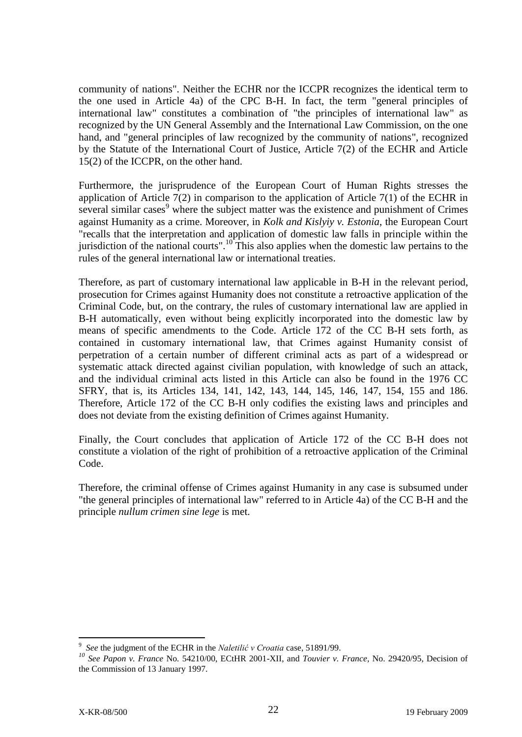community of nations". Neither the ECHR nor the ICCPR recognizes the identical term to the one used in Article 4a) of the CPC B-H. In fact, the term "general principles of international law" constitutes a combination of "the principles of international law" as recognized by the UN General Assembly and the International Law Commission, on the one hand, and "general principles of law recognized by the community of nations", recognized by the Statute of the International Court of Justice, Article 7(2) of the ECHR and Article 15(2) of the ICCPR, on the other hand.

Furthermore, the jurisprudence of the European Court of Human Rights stresses the application of Article 7(2) in comparison to the application of Article 7(1) of the ECHR in several similar cases<sup>9</sup> where the subject matter was the existence and punishment of Crimes against Humanity as a crime. Moreover, in *Kolk and Kislyiy v. Estonia*, the European Court "recalls that the interpretation and application of domestic law falls in principle within the jurisdiction of the national courts".<sup>10</sup> This also applies when the domestic law pertains to the rules of the general international law or international treaties.

Therefore, as part of customary international law applicable in B-H in the relevant period, prosecution for Crimes against Humanity does not constitute a retroactive application of the Criminal Code, but, on the contrary, the rules of customary international law are applied in B-H automatically, even without being explicitly incorporated into the domestic law by means of specific amendments to the Code. Article 172 of the CC B-H sets forth, as contained in customary international law, that Crimes against Humanity consist of perpetration of a certain number of different criminal acts as part of a widespread or systematic attack directed against civilian population, with knowledge of such an attack, and the individual criminal acts listed in this Article can also be found in the 1976 CC SFRY, that is, its Articles 134, 141, 142, 143, 144, 145, 146, 147, 154, 155 and 186. Therefore, Article 172 of the CC B-H only codifies the existing laws and principles and does not deviate from the existing definition of Crimes against Humanity.

Finally, the Court concludes that application of Article 172 of the CC B-H does not constitute a violation of the right of prohibition of a retroactive application of the Criminal Code.

Therefore, the criminal offense of Crimes against Humanity in any case is subsumed under "the general principles of international law" referred to in Article 4a) of the CC B-H and the principle *nullum crimen sine lege* is met.

 9 *See* the judgment of the ECHR in the *Naletilić v Croatia* case, 51891/99.

*<sup>10</sup> See Papon v. France* No*.* 54210/00, ECtHR 2001-XII, and *Touvier v. France,* No. 29420/95, Decision of the Commission of 13 January 1997.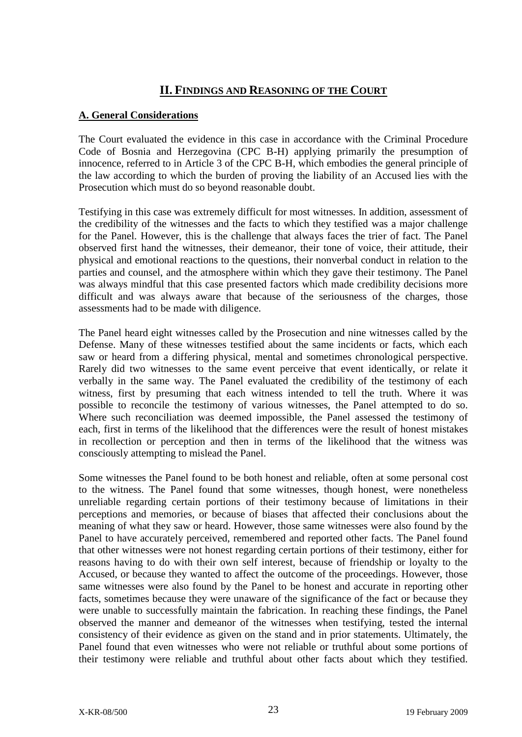# **II. FINDINGS AND REASONING OF THE COURT**

## **A. General Considerations**

The Court evaluated the evidence in this case in accordance with the Criminal Procedure Code of Bosnia and Herzegovina (CPC B-H) applying primarily the presumption of innocence, referred to in Article 3 of the CPC B-H, which embodies the general principle of the law according to which the burden of proving the liability of an Accused lies with the Prosecution which must do so beyond reasonable doubt.

Testifying in this case was extremely difficult for most witnesses. In addition, assessment of the credibility of the witnesses and the facts to which they testified was a major challenge for the Panel. However, this is the challenge that always faces the trier of fact. The Panel observed first hand the witnesses, their demeanor, their tone of voice, their attitude, their physical and emotional reactions to the questions, their nonverbal conduct in relation to the parties and counsel, and the atmosphere within which they gave their testimony. The Panel was always mindful that this case presented factors which made credibility decisions more difficult and was always aware that because of the seriousness of the charges, those assessments had to be made with diligence.

The Panel heard eight witnesses called by the Prosecution and nine witnesses called by the Defense. Many of these witnesses testified about the same incidents or facts, which each saw or heard from a differing physical, mental and sometimes chronological perspective. Rarely did two witnesses to the same event perceive that event identically, or relate it verbally in the same way. The Panel evaluated the credibility of the testimony of each witness, first by presuming that each witness intended to tell the truth. Where it was possible to reconcile the testimony of various witnesses, the Panel attempted to do so. Where such reconciliation was deemed impossible, the Panel assessed the testimony of each, first in terms of the likelihood that the differences were the result of honest mistakes in recollection or perception and then in terms of the likelihood that the witness was consciously attempting to mislead the Panel.

Some witnesses the Panel found to be both honest and reliable, often at some personal cost to the witness. The Panel found that some witnesses, though honest, were nonetheless unreliable regarding certain portions of their testimony because of limitations in their perceptions and memories, or because of biases that affected their conclusions about the meaning of what they saw or heard. However, those same witnesses were also found by the Panel to have accurately perceived, remembered and reported other facts. The Panel found that other witnesses were not honest regarding certain portions of their testimony, either for reasons having to do with their own self interest, because of friendship or loyalty to the Accused, or because they wanted to affect the outcome of the proceedings. However, those same witnesses were also found by the Panel to be honest and accurate in reporting other facts, sometimes because they were unaware of the significance of the fact or because they were unable to successfully maintain the fabrication. In reaching these findings, the Panel observed the manner and demeanor of the witnesses when testifying, tested the internal consistency of their evidence as given on the stand and in prior statements. Ultimately, the Panel found that even witnesses who were not reliable or truthful about some portions of their testimony were reliable and truthful about other facts about which they testified.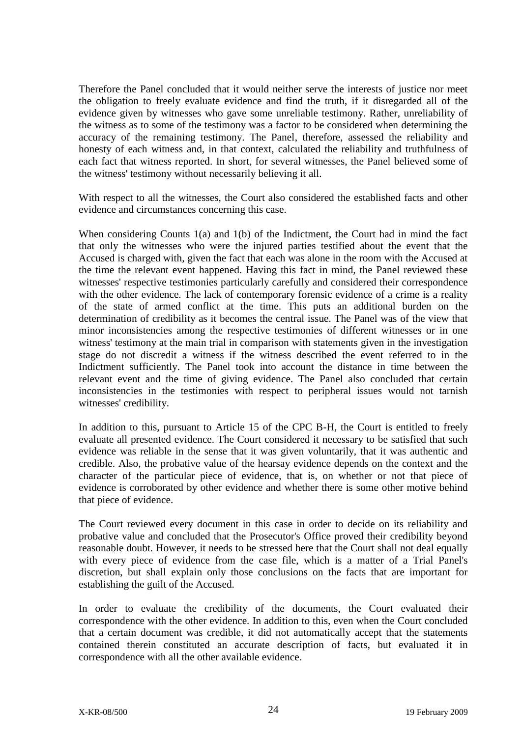Therefore the Panel concluded that it would neither serve the interests of justice nor meet the obligation to freely evaluate evidence and find the truth, if it disregarded all of the evidence given by witnesses who gave some unreliable testimony. Rather, unreliability of the witness as to some of the testimony was a factor to be considered when determining the accuracy of the remaining testimony. The Panel, therefore, assessed the reliability and honesty of each witness and, in that context, calculated the reliability and truthfulness of each fact that witness reported. In short, for several witnesses, the Panel believed some of the witness' testimony without necessarily believing it all.

With respect to all the witnesses, the Court also considered the established facts and other evidence and circumstances concerning this case.

When considering Counts 1(a) and 1(b) of the Indictment, the Court had in mind the fact that only the witnesses who were the injured parties testified about the event that the Accused is charged with, given the fact that each was alone in the room with the Accused at the time the relevant event happened. Having this fact in mind, the Panel reviewed these witnesses' respective testimonies particularly carefully and considered their correspondence with the other evidence. The lack of contemporary forensic evidence of a crime is a reality of the state of armed conflict at the time. This puts an additional burden on the determination of credibility as it becomes the central issue. The Panel was of the view that minor inconsistencies among the respective testimonies of different witnesses or in one witness' testimony at the main trial in comparison with statements given in the investigation stage do not discredit a witness if the witness described the event referred to in the Indictment sufficiently. The Panel took into account the distance in time between the relevant event and the time of giving evidence. The Panel also concluded that certain inconsistencies in the testimonies with respect to peripheral issues would not tarnish witnesses' credibility.

In addition to this, pursuant to Article 15 of the CPC B-H, the Court is entitled to freely evaluate all presented evidence. The Court considered it necessary to be satisfied that such evidence was reliable in the sense that it was given voluntarily, that it was authentic and credible. Also, the probative value of the hearsay evidence depends on the context and the character of the particular piece of evidence, that is, on whether or not that piece of evidence is corroborated by other evidence and whether there is some other motive behind that piece of evidence.

The Court reviewed every document in this case in order to decide on its reliability and probative value and concluded that the Prosecutor's Office proved their credibility beyond reasonable doubt. However, it needs to be stressed here that the Court shall not deal equally with every piece of evidence from the case file, which is a matter of a Trial Panel's discretion, but shall explain only those conclusions on the facts that are important for establishing the guilt of the Accused.

In order to evaluate the credibility of the documents, the Court evaluated their correspondence with the other evidence. In addition to this, even when the Court concluded that a certain document was credible, it did not automatically accept that the statements contained therein constituted an accurate description of facts, but evaluated it in correspondence with all the other available evidence.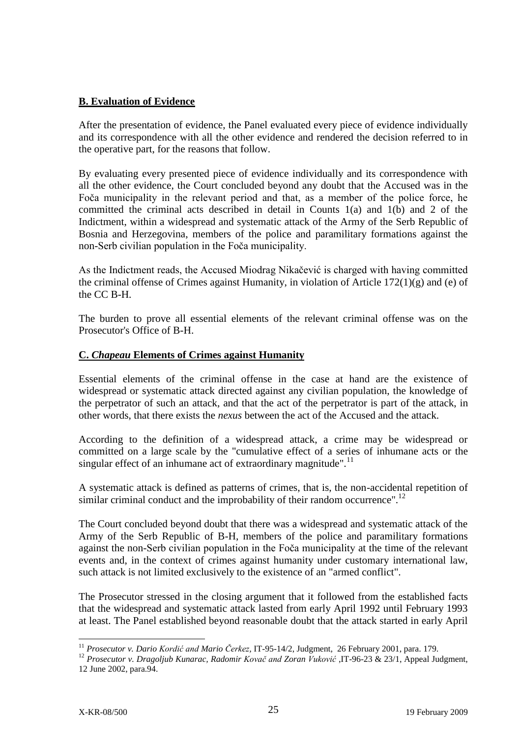## **B. Evaluation of Evidence**

After the presentation of evidence, the Panel evaluated every piece of evidence individually and its correspondence with all the other evidence and rendered the decision referred to in the operative part, for the reasons that follow.

By evaluating every presented piece of evidence individually and its correspondence with all the other evidence, the Court concluded beyond any doubt that the Accused was in the Foča municipality in the relevant period and that, as a member of the police force, he committed the criminal acts described in detail in Counts 1(a) and 1(b) and 2 of the Indictment, within a widespread and systematic attack of the Army of the Serb Republic of Bosnia and Herzegovina, members of the police and paramilitary formations against the non-Serb civilian population in the Foča municipality.

As the Indictment reads, the Accused Miodrag Nikačević is charged with having committed the criminal offense of Crimes against Humanity, in violation of Article 172(1)(g) and (e) of the CC B-H.

The burden to prove all essential elements of the relevant criminal offense was on the Prosecutor's Office of B-H.

## **C.** *Chapeau* **Elements of Crimes against Humanity**

Essential elements of the criminal offense in the case at hand are the existence of widespread or systematic attack directed against any civilian population, the knowledge of the perpetrator of such an attack, and that the act of the perpetrator is part of the attack, in other words, that there exists the *nexus* between the act of the Accused and the attack.

According to the definition of a widespread attack, a crime may be widespread or committed on a large scale by the "cumulative effect of a series of inhumane acts or the singular effect of an inhumane act of extraordinary magnitude".<sup>11</sup>

A systematic attack is defined as patterns of crimes, that is, the non-accidental repetition of similar criminal conduct and the improbability of their random occurrence".<sup>12</sup>

The Court concluded beyond doubt that there was a widespread and systematic attack of the Army of the Serb Republic of B-H, members of the police and paramilitary formations against the non-Serb civilian population in the Foča municipality at the time of the relevant events and, in the context of crimes against humanity under customary international law, such attack is not limited exclusively to the existence of an "armed conflict".

The Prosecutor stressed in the closing argument that it followed from the established facts that the widespread and systematic attack lasted from early April 1992 until February 1993 at least. The Panel established beyond reasonable doubt that the attack started in early April

<sup>11</sup> *Prosecutor v. Dario Kordić and Mario Čerkez,* IT-95-14/2, Judgment, 26 February 2001, para. 179.

<sup>12</sup> *Prosecutor v. Dragoljub Kunarac, Radomir Kovač and Zoran Vuković* ,IT-96-23 & 23/1, Appeal Judgment, 12 June 2002, para.94.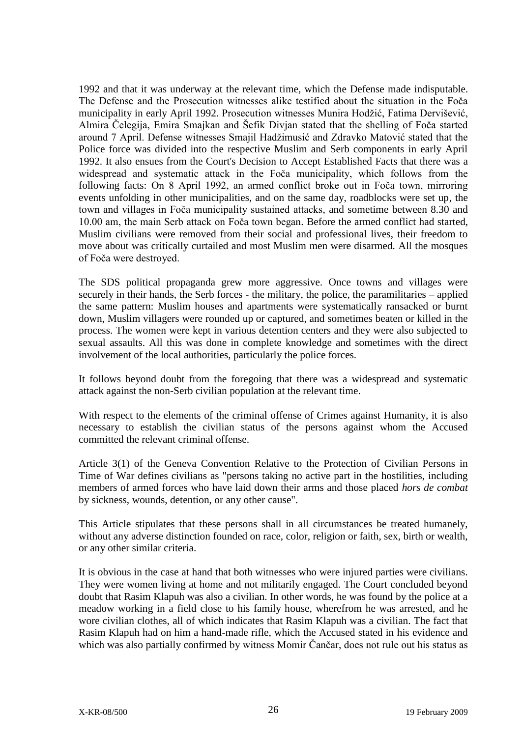1992 and that it was underway at the relevant time, which the Defense made indisputable. The Defense and the Prosecution witnesses alike testified about the situation in the Foča municipality in early April 1992. Prosecution witnesses Munira Hodžić, Fatima Dervišević, Almira Čelegija, Emira Smajkan and Šefik Divjan stated that the shelling of Foča started around 7 April. Defense witnesses Smajil Hadžimusić and Zdravko Matović stated that the Police force was divided into the respective Muslim and Serb components in early April 1992. It also ensues from the Court's Decision to Accept Established Facts that there was a widespread and systematic attack in the Foča municipality, which follows from the following facts: On 8 April 1992, an armed conflict broke out in Foča town, mirroring events unfolding in other municipalities, and on the same day, roadblocks were set up, the town and villages in Foča municipality sustained attacks, and sometime between 8.30 and 10.00 am, the main Serb attack on Foča town began. Before the armed conflict had started, Muslim civilians were removed from their social and professional lives, their freedom to move about was critically curtailed and most Muslim men were disarmed. All the mosques of Foča were destroyed.

The SDS political propaganda grew more aggressive. Once towns and villages were securely in their hands, the Serb forces - the military, the police, the paramilitaries – applied the same pattern: Muslim houses and apartments were systematically ransacked or burnt down, Muslim villagers were rounded up or captured, and sometimes beaten or killed in the process. The women were kept in various detention centers and they were also subjected to sexual assaults. All this was done in complete knowledge and sometimes with the direct involvement of the local authorities, particularly the police forces.

It follows beyond doubt from the foregoing that there was a widespread and systematic attack against the non-Serb civilian population at the relevant time.

With respect to the elements of the criminal offense of Crimes against Humanity, it is also necessary to establish the civilian status of the persons against whom the Accused committed the relevant criminal offense.

Article 3(1) of the Geneva Convention Relative to the Protection of Civilian Persons in Time of War defines civilians as "persons taking no active part in the hostilities, including members of armed forces who have laid down their arms and those placed *hors de combat* by sickness, wounds, detention, or any other cause".

This Article stipulates that these persons shall in all circumstances be treated humanely, without any adverse distinction founded on race, color, religion or faith, sex, birth or wealth, or any other similar criteria.

It is obvious in the case at hand that both witnesses who were injured parties were civilians. They were women living at home and not militarily engaged. The Court concluded beyond doubt that Rasim Klapuh was also a civilian. In other words, he was found by the police at a meadow working in a field close to his family house, wherefrom he was arrested, and he wore civilian clothes, all of which indicates that Rasim Klapuh was a civilian. The fact that Rasim Klapuh had on him a hand-made rifle, which the Accused stated in his evidence and which was also partially confirmed by witness Momir Čančar, does not rule out his status as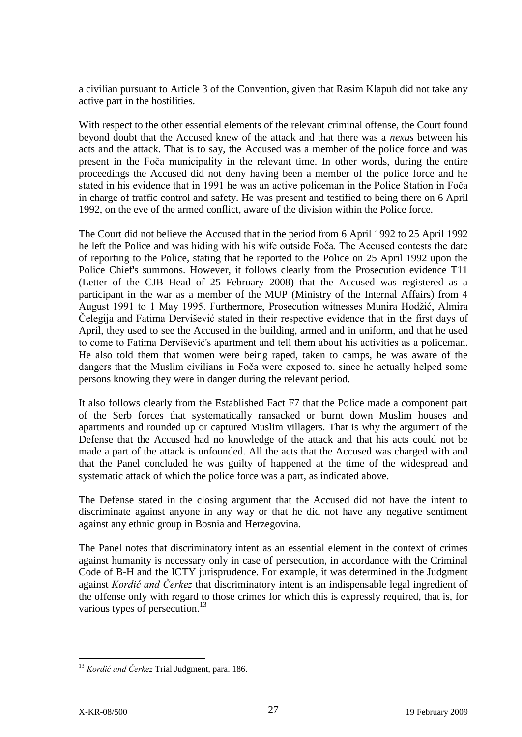a civilian pursuant to Article 3 of the Convention, given that Rasim Klapuh did not take any active part in the hostilities.

With respect to the other essential elements of the relevant criminal offense, the Court found beyond doubt that the Accused knew of the attack and that there was a *nexus* between his acts and the attack. That is to say, the Accused was a member of the police force and was present in the Foča municipality in the relevant time. In other words, during the entire proceedings the Accused did not deny having been a member of the police force and he stated in his evidence that in 1991 he was an active policeman in the Police Station in Foča in charge of traffic control and safety. He was present and testified to being there on 6 April 1992, on the eve of the armed conflict, aware of the division within the Police force.

The Court did not believe the Accused that in the period from 6 April 1992 to 25 April 1992 he left the Police and was hiding with his wife outside Foča. The Accused contests the date of reporting to the Police, stating that he reported to the Police on 25 April 1992 upon the Police Chief's summons. However, it follows clearly from the Prosecution evidence T11 (Letter of the CJB Head of 25 February 2008) that the Accused was registered as a participant in the war as a member of the MUP (Ministry of the Internal Affairs) from 4 August 1991 to 1 May 1995. Furthermore, Prosecution witnesses Munira Hodžić, Almira Čelegija and Fatima Dervišević stated in their respective evidence that in the first days of April, they used to see the Accused in the building, armed and in uniform, and that he used to come to Fatima Dervišević's apartment and tell them about his activities as a policeman. He also told them that women were being raped, taken to camps, he was aware of the dangers that the Muslim civilians in Foča were exposed to, since he actually helped some persons knowing they were in danger during the relevant period.

It also follows clearly from the Established Fact F7 that the Police made a component part of the Serb forces that systematically ransacked or burnt down Muslim houses and apartments and rounded up or captured Muslim villagers. That is why the argument of the Defense that the Accused had no knowledge of the attack and that his acts could not be made a part of the attack is unfounded. All the acts that the Accused was charged with and that the Panel concluded he was guilty of happened at the time of the widespread and systematic attack of which the police force was a part, as indicated above.

The Defense stated in the closing argument that the Accused did not have the intent to discriminate against anyone in any way or that he did not have any negative sentiment against any ethnic group in Bosnia and Herzegovina.

The Panel notes that discriminatory intent as an essential element in the context of crimes against humanity is necessary only in case of persecution, in accordance with the Criminal Code of B-H and the ICTY jurisprudence. For example, it was determined in the Judgment against *Kordić and Čerkez* that discriminatory intent is an indispensable legal ingredient of the offense only with regard to those crimes for which this is expressly required, that is, for various types of persecution.<sup>13</sup>

<sup>13</sup> *Kordić and Čerkez* Trial Judgment, para. 186.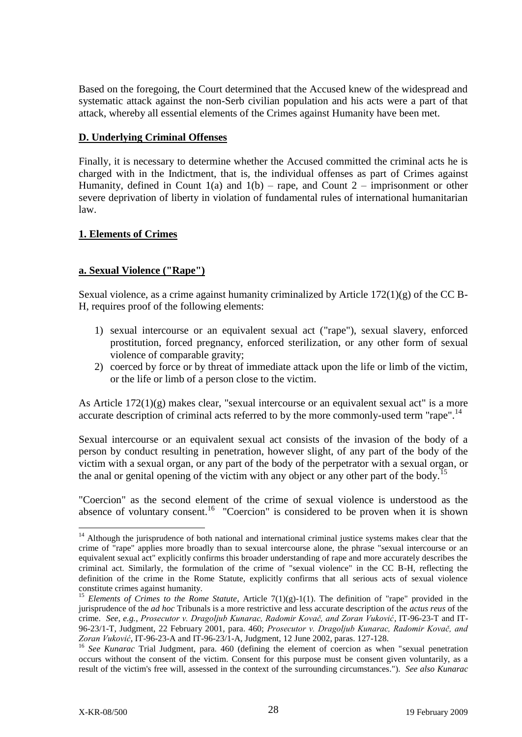Based on the foregoing, the Court determined that the Accused knew of the widespread and systematic attack against the non-Serb civilian population and his acts were a part of that attack, whereby all essential elements of the Crimes against Humanity have been met.

### **D. Underlying Criminal Offenses**

Finally, it is necessary to determine whether the Accused committed the criminal acts he is charged with in the Indictment, that is, the individual offenses as part of Crimes against Humanity, defined in Count  $1(a)$  and  $1(b)$  – rape, and Count 2 – imprisonment or other severe deprivation of liberty in violation of fundamental rules of international humanitarian law.

### **1. Elements of Crimes**

### **a. Sexual Violence ("Rape")**

Sexual violence, as a crime against humanity criminalized by Article  $172(1)(g)$  of the CC B-H, requires proof of the following elements:

- 1) sexual intercourse or an equivalent sexual act ("rape"), sexual slavery, enforced prostitution, forced pregnancy, enforced sterilization, or any other form of sexual violence of comparable gravity;
- 2) coerced by force or by threat of immediate attack upon the life or limb of the victim, or the life or limb of a person close to the victim.

As Article 172(1)(g) makes clear, "sexual intercourse or an equivalent sexual act" is a more accurate description of criminal acts referred to by the more commonly-used term "rape".<sup>14</sup>

Sexual intercourse or an equivalent sexual act consists of the invasion of the body of a person by conduct resulting in penetration, however slight, of any part of the body of the victim with a sexual organ, or any part of the body of the perpetrator with a sexual organ, or the anal or genital opening of the victim with any object or any other part of the body.<sup>15</sup>

"Coercion" as the second element of the crime of sexual violence is understood as the absence of voluntary consent.<sup>16</sup> "Coercion" is considered to be proven when it is shown

 $\overline{a}$ <sup>14</sup> Although the jurisprudence of both national and international criminal justice systems makes clear that the crime of "rape" applies more broadly than to sexual intercourse alone, the phrase "sexual intercourse or an equivalent sexual act" explicitly confirms this broader understanding of rape and more accurately describes the criminal act. Similarly, the formulation of the crime of "sexual violence" in the CC B-H, reflecting the definition of the crime in the Rome Statute, explicitly confirms that all serious acts of sexual violence constitute crimes against humanity.

<sup>&</sup>lt;sup>15</sup> Elements of Crimes to the Rome Statute, Article 7(1)(g)-1(1). The definition of "rape" provided in the jurisprudence of the *ad hoc* Tribunals is a more restrictive and less accurate description of the *actus reus* of the crime. *See, e.g.*, *Prosecutor v. Dragoljub Kunarac, Radomir Kovač, and Zoran Vuković*, IT-96-23-T and IT-96-23/1-T, Judgment, 22 February 2001, para. 460; *Prosecutor v. Dragoljub Kunarac, Radomir Kovač, and Zoran Vuković*, IT-96-23-A and IT-96-23/1-A, Judgment, 12 June 2002, paras. 127-128.

<sup>&</sup>lt;sup>16</sup> See Kunarac Trial Judgment, para. 460 (defining the element of coercion as when "sexual penetration occurs without the consent of the victim. Consent for this purpose must be consent given voluntarily, as a result of the victim's free will, assessed in the context of the surrounding circumstances."). *See also Kunarac*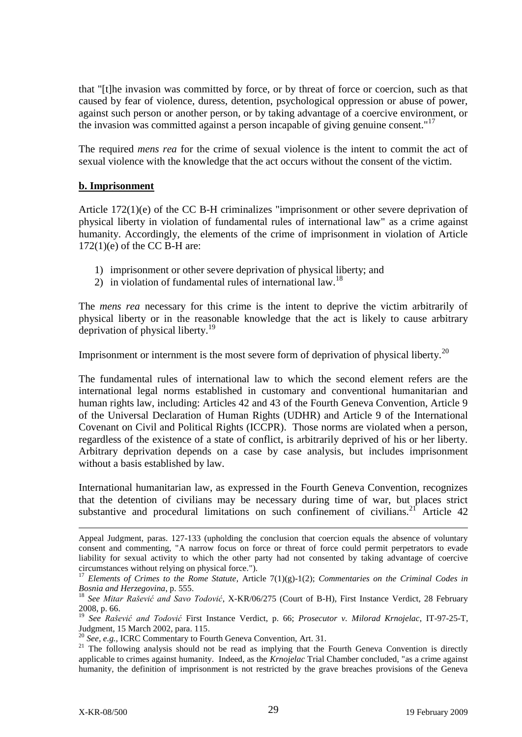that "[t]he invasion was committed by force, or by threat of force or coercion, such as that caused by fear of violence, duress, detention, psychological oppression or abuse of power, against such person or another person, or by taking advantage of a coercive environment, or the invasion was committed against a person incapable of giving genuine consent." 17

The required *mens rea* for the crime of sexual violence is the intent to commit the act of sexual violence with the knowledge that the act occurs without the consent of the victim.

### **b. Imprisonment**

Article 172(1)(e) of the CC B-H criminalizes "imprisonment or other severe deprivation of physical liberty in violation of fundamental rules of international law" as a crime against humanity. Accordingly, the elements of the crime of imprisonment in violation of Article  $172(1)(e)$  of the CC B-H are:

- 1) imprisonment or other severe deprivation of physical liberty; and
- 2) in violation of fundamental rules of international law.<sup>18</sup>

The *mens rea* necessary for this crime is the intent to deprive the victim arbitrarily of physical liberty or in the reasonable knowledge that the act is likely to cause arbitrary deprivation of physical liberty.<sup>19</sup>

Imprisonment or internment is the most severe form of deprivation of physical liberty.<sup>20</sup>

The fundamental rules of international law to which the second element refers are the international legal norms established in customary and conventional humanitarian and human rights law, including: Articles 42 and 43 of the Fourth Geneva Convention, Article 9 of the Universal Declaration of Human Rights (UDHR) and Article 9 of the International Covenant on Civil and Political Rights (ICCPR). Those norms are violated when a person, regardless of the existence of a state of conflict, is arbitrarily deprived of his or her liberty. Arbitrary deprivation depends on a case by case analysis, but includes imprisonment without a basis established by law.

International humanitarian law, as expressed in the Fourth Geneva Convention, recognizes that the detention of civilians may be necessary during time of war, but places strict substantive and procedural limitations on such confinement of civilians.<sup>21</sup> Article 42

Appeal Judgment, paras. 127-133 (upholding the conclusion that coercion equals the absence of voluntary consent and commenting, "A narrow focus on force or threat of force could permit perpetrators to evade liability for sexual activity to which the other party had not consented by taking advantage of coercive circumstances without relying on physical force.").

<sup>17</sup> *Elements of Crimes to the Rome Statute*, Article 7(1)(g)-1(2); *Commentaries on the Criminal Codes in Bosnia and Herzegovina*, p. 555.

<sup>18</sup> *See Mitar Rašević and Savo Todović*, X-KR/06/275 (Court of B-H), First Instance Verdict, 28 February 2008, p. 66.

<sup>19</sup> *See Rašević and Todović* First Instance Verdict, p. 66; *Prosecutor v. Milorad Krnojelac*, IT-97-25-T, Judgment, 15 March 2002, para. 115.

<sup>20</sup> *See, e.g.,* ICRC Commentary to Fourth Geneva Convention, Art. 31.

<sup>&</sup>lt;sup>21</sup> The following analysis should not be read as implying that the Fourth Geneva Convention is directly applicable to crimes against humanity. Indeed, as the *Krnojelac* Trial Chamber concluded, "as a crime against humanity, the definition of imprisonment is not restricted by the grave breaches provisions of the Geneva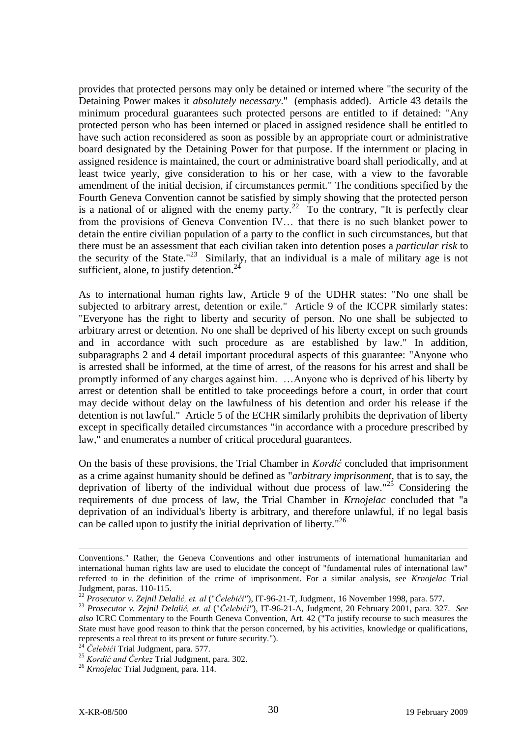provides that protected persons may only be detained or interned where "the security of the Detaining Power makes it *absolutely necessary*." (emphasis added). Article 43 details the minimum procedural guarantees such protected persons are entitled to if detained: "Any protected person who has been interned or placed in assigned residence shall be entitled to have such action reconsidered as soon as possible by an appropriate court or administrative board designated by the Detaining Power for that purpose. If the internment or placing in assigned residence is maintained, the court or administrative board shall periodically, and at least twice yearly, give consideration to his or her case, with a view to the favorable amendment of the initial decision, if circumstances permit." The conditions specified by the Fourth Geneva Convention cannot be satisfied by simply showing that the protected person is a national of or aligned with the enemy party.<sup>22</sup> To the contrary, "It is perfectly clear from the provisions of Geneva Convention IV… that there is no such blanket power to detain the entire civilian population of a party to the conflict in such circumstances, but that there must be an assessment that each civilian taken into detention poses a *particular risk* to the security of the State."<sup>23</sup> Similarly, that an individual is a male of military age is not sufficient, alone, to justify detention. $^{24}$ 

As to international human rights law, Article 9 of the UDHR states: "No one shall be subjected to arbitrary arrest, detention or exile." Article 9 of the ICCPR similarly states: "Everyone has the right to liberty and security of person. No one shall be subjected to arbitrary arrest or detention. No one shall be deprived of his liberty except on such grounds and in accordance with such procedure as are established by law." In addition, subparagraphs 2 and 4 detail important procedural aspects of this guarantee: "Anyone who is arrested shall be informed, at the time of arrest, of the reasons for his arrest and shall be promptly informed of any charges against him. …Anyone who is deprived of his liberty by arrest or detention shall be entitled to take proceedings before a court, in order that court may decide without delay on the lawfulness of his detention and order his release if the detention is not lawful." Article 5 of the ECHR similarly prohibits the deprivation of liberty except in specifically detailed circumstances "in accordance with a procedure prescribed by law," and enumerates a number of critical procedural guarantees.

On the basis of these provisions, the Trial Chamber in *Kordić* concluded that imprisonment as a crime against humanity should be defined as "*arbitrary imprisonment*, that is to say, the deprivation of liberty of the individual without due process of law." <sup>25</sup> Considering the requirements of due process of law, the Trial Chamber in *Krnojelac* concluded that "a deprivation of an individual's liberty is arbitrary, and therefore unlawful, if no legal basis can be called upon to justify the initial deprivation of liberty."<sup>26</sup>

Conventions." Rather, the Geneva Conventions and other instruments of international humanitarian and international human rights law are used to elucidate the concept of "fundamental rules of international law" referred to in the definition of the crime of imprisonment. For a similar analysis, see *Krnojelac* Trial Judgment, paras. 110-115.

<sup>22</sup> *Prosecutor v. Zejnil Delalić, et. al* ("*Čelebići"*), IT-96-21-T, Judgment, 16 November 1998, para. 577.

<sup>23</sup> *Prosecutor v. Zejnil Delalić, et. al* ("*Čelebići"*), IT-96-21-A, Judgment, 20 February 2001, para. 327. *See also* ICRC Commentary to the Fourth Geneva Convention, Art. 42 ("To justify recourse to such measures the State must have good reason to think that the person concerned, by his activities, knowledge or qualifications, represents a real threat to its present or future security.").

<sup>&</sup>lt;sup>24</sup> Čelebići Trial Judgment, para. 577.

<sup>25</sup> *Kordić and Čerkez* Trial Judgment, para. 302.

<sup>26</sup> *Krnojelac* Trial Judgment, para. 114.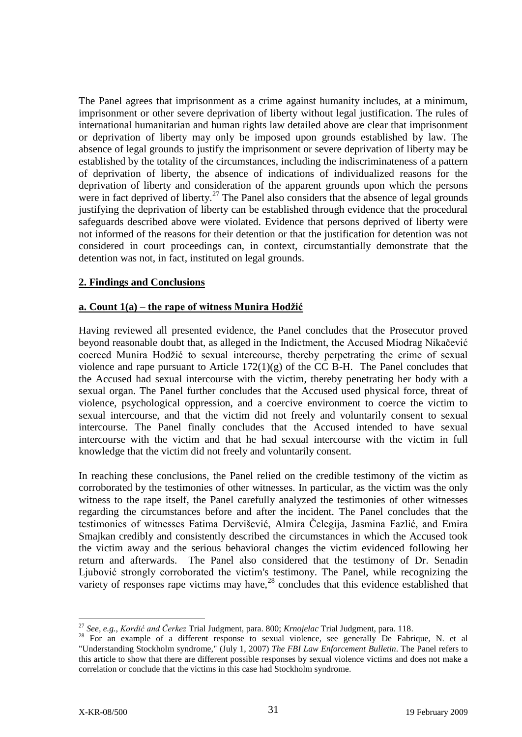The Panel agrees that imprisonment as a crime against humanity includes, at a minimum, imprisonment or other severe deprivation of liberty without legal justification. The rules of international humanitarian and human rights law detailed above are clear that imprisonment or deprivation of liberty may only be imposed upon grounds established by law. The absence of legal grounds to justify the imprisonment or severe deprivation of liberty may be established by the totality of the circumstances, including the indiscriminateness of a pattern of deprivation of liberty, the absence of indications of individualized reasons for the deprivation of liberty and consideration of the apparent grounds upon which the persons were in fact deprived of liberty.<sup>27</sup> The Panel also considers that the absence of legal grounds justifying the deprivation of liberty can be established through evidence that the procedural safeguards described above were violated. Evidence that persons deprived of liberty were not informed of the reasons for their detention or that the justification for detention was not considered in court proceedings can, in context, circumstantially demonstrate that the detention was not, in fact, instituted on legal grounds.

### **2. Findings and Conclusions**

### **a. Count 1(a) – the rape of witness Munira Hodžić**

Having reviewed all presented evidence, the Panel concludes that the Prosecutor proved beyond reasonable doubt that, as alleged in the Indictment, the Accused Miodrag Nikačević coerced Munira Hodžić to sexual intercourse, thereby perpetrating the crime of sexual violence and rape pursuant to Article  $172(1)(g)$  of the CC B-H. The Panel concludes that the Accused had sexual intercourse with the victim, thereby penetrating her body with a sexual organ. The Panel further concludes that the Accused used physical force, threat of violence, psychological oppression, and a coercive environment to coerce the victim to sexual intercourse, and that the victim did not freely and voluntarily consent to sexual intercourse. The Panel finally concludes that the Accused intended to have sexual intercourse with the victim and that he had sexual intercourse with the victim in full knowledge that the victim did not freely and voluntarily consent.

In reaching these conclusions, the Panel relied on the credible testimony of the victim as corroborated by the testimonies of other witnesses. In particular, as the victim was the only witness to the rape itself, the Panel carefully analyzed the testimonies of other witnesses regarding the circumstances before and after the incident. The Panel concludes that the testimonies of witnesses Fatima Dervišević, Almira Čelegija, Jasmina Fazlić, and Emira Smajkan credibly and consistently described the circumstances in which the Accused took the victim away and the serious behavioral changes the victim evidenced following her return and afterwards. The Panel also considered that the testimony of Dr. Senadin Ljubović strongly corroborated the victim's testimony. The Panel, while recognizing the variety of responses rape victims may have, $2^8$  concludes that this evidence established that

<sup>27</sup> *See, e.g., Kordić and Čerkez* Trial Judgment, para. 800; *Krnojelac* Trial Judgment, para. 118.

<sup>&</sup>lt;sup>28</sup> For an example of a different response to sexual violence, see generally De Fabrique, N. et al "Understanding Stockholm syndrome," (July 1, 2007) *The FBI Law Enforcement Bulletin*. The Panel refers to this article to show that there are different possible responses by sexual violence victims and does not make a correlation or conclude that the victims in this case had Stockholm syndrome.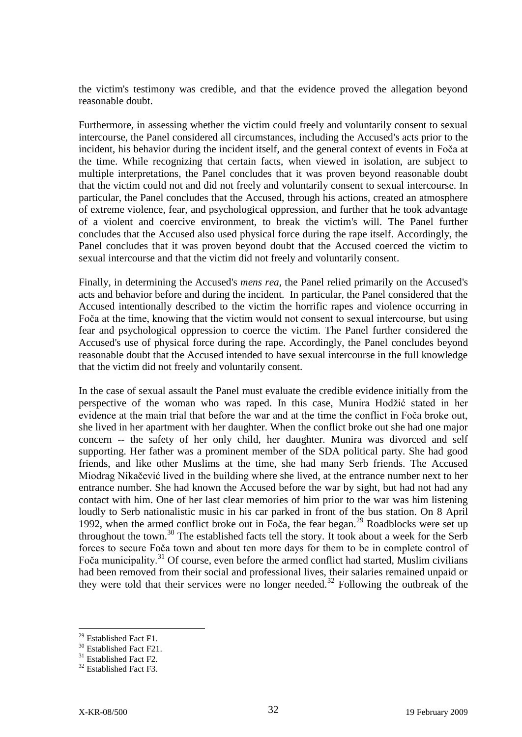the victim's testimony was credible, and that the evidence proved the allegation beyond reasonable doubt.

Furthermore, in assessing whether the victim could freely and voluntarily consent to sexual intercourse, the Panel considered all circumstances, including the Accused's acts prior to the incident, his behavior during the incident itself, and the general context of events in Foča at the time. While recognizing that certain facts, when viewed in isolation, are subject to multiple interpretations, the Panel concludes that it was proven beyond reasonable doubt that the victim could not and did not freely and voluntarily consent to sexual intercourse. In particular, the Panel concludes that the Accused, through his actions, created an atmosphere of extreme violence, fear, and psychological oppression, and further that he took advantage of a violent and coercive environment, to break the victim's will. The Panel further concludes that the Accused also used physical force during the rape itself. Accordingly, the Panel concludes that it was proven beyond doubt that the Accused coerced the victim to sexual intercourse and that the victim did not freely and voluntarily consent.

Finally, in determining the Accused's *mens rea*, the Panel relied primarily on the Accused's acts and behavior before and during the incident. In particular, the Panel considered that the Accused intentionally described to the victim the horrific rapes and violence occurring in Foča at the time, knowing that the victim would not consent to sexual intercourse, but using fear and psychological oppression to coerce the victim. The Panel further considered the Accused's use of physical force during the rape. Accordingly, the Panel concludes beyond reasonable doubt that the Accused intended to have sexual intercourse in the full knowledge that the victim did not freely and voluntarily consent.

In the case of sexual assault the Panel must evaluate the credible evidence initially from the perspective of the woman who was raped. In this case, Munira Hodžić stated in her evidence at the main trial that before the war and at the time the conflict in Foča broke out, she lived in her apartment with her daughter. When the conflict broke out she had one major concern -- the safety of her only child, her daughter. Munira was divorced and self supporting. Her father was a prominent member of the SDA political party. She had good friends, and like other Muslims at the time, she had many Serb friends. The Accused Miodrag Nikačević lived in the building where she lived, at the entrance number next to her entrance number. She had known the Accused before the war by sight, but had not had any contact with him. One of her last clear memories of him prior to the war was him listening loudly to Serb nationalistic music in his car parked in front of the bus station. On 8 April 1992, when the armed conflict broke out in Foča, the fear began.<sup>29</sup> Roadblocks were set up throughout the town.<sup>30</sup> The established facts tell the story. It took about a week for the Serb forces to secure Foča town and about ten more days for them to be in complete control of Foča municipality.<sup>31</sup> Of course, even before the armed conflict had started, Muslim civilians had been removed from their social and professional lives, their salaries remained unpaid or they were told that their services were no longer needed.<sup>32</sup> Following the outbreak of the

 $29$  Established Fact F1.

<sup>&</sup>lt;sup>30</sup> Established Fact F21.

 $31$  Established Fact F2.

<sup>&</sup>lt;sup>32</sup> Established Fact F3.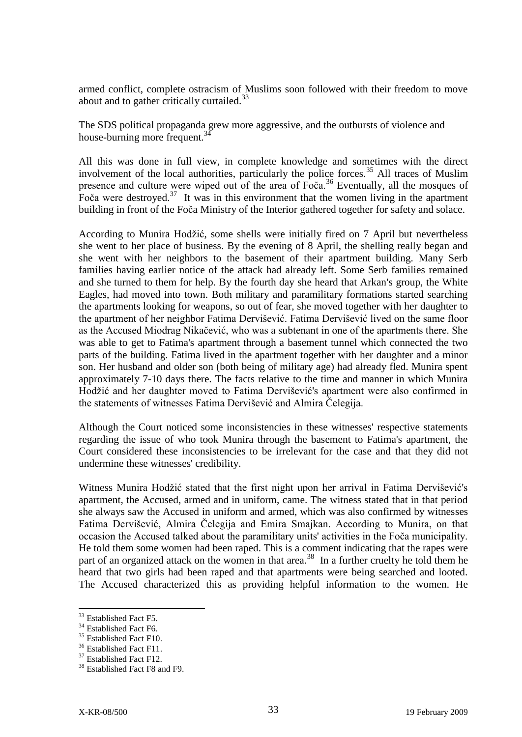armed conflict, complete ostracism of Muslims soon followed with their freedom to move about and to gather critically curtailed. $33$ 

The SDS political propaganda grew more aggressive, and the outbursts of violence and house-burning more frequent. $34$ 

All this was done in full view, in complete knowledge and sometimes with the direct involvement of the local authorities, particularly the police forces.<sup>35</sup> All traces of Muslim presence and culture were wiped out of the area of Foča.<sup>36</sup> Eventually, all the mosques of Foča were destroyed.<sup>37</sup> It was in this environment that the women living in the apartment building in front of the Foča Ministry of the Interior gathered together for safety and solace.

According to Munira Hodžić, some shells were initially fired on 7 April but nevertheless she went to her place of business. By the evening of 8 April, the shelling really began and she went with her neighbors to the basement of their apartment building. Many Serb families having earlier notice of the attack had already left. Some Serb families remained and she turned to them for help. By the fourth day she heard that Arkan's group, the White Eagles, had moved into town. Both military and paramilitary formations started searching the apartments looking for weapons, so out of fear, she moved together with her daughter to the apartment of her neighbor Fatima Dervišević. Fatima Dervišević lived on the same floor as the Accused Miodrag Nikačević, who was a subtenant in one of the apartments there. She was able to get to Fatima's apartment through a basement tunnel which connected the two parts of the building. Fatima lived in the apartment together with her daughter and a minor son. Her husband and older son (both being of military age) had already fled. Munira spent approximately 7-10 days there. The facts relative to the time and manner in which Munira Hodžić and her daughter moved to Fatima Dervišević's apartment were also confirmed in the statements of witnesses Fatima Dervišević and Almira Čelegija.

Although the Court noticed some inconsistencies in these witnesses' respective statements regarding the issue of who took Munira through the basement to Fatima's apartment, the Court considered these inconsistencies to be irrelevant for the case and that they did not undermine these witnesses' credibility.

Witness Munira Hodžić stated that the first night upon her arrival in Fatima Dervišević's apartment, the Accused, armed and in uniform, came. The witness stated that in that period she always saw the Accused in uniform and armed, which was also confirmed by witnesses Fatima Dervišević, Almira Čelegija and Emira Smajkan. According to Munira, on that occasion the Accused talked about the paramilitary units' activities in the Foča municipality. He told them some women had been raped. This is a comment indicating that the rapes were part of an organized attack on the women in that area.<sup>38</sup> In a further cruelty he told them he heard that two girls had been raped and that apartments were being searched and looted. The Accused characterized this as providing helpful information to the women. He

<sup>&</sup>lt;sup>33</sup> Established Fact F5.

<sup>&</sup>lt;sup>34</sup> Established Fact F6.

<sup>&</sup>lt;sup>35</sup> Established Fact F10.

<sup>&</sup>lt;sup>36</sup> Established Fact F11.

 $37$  Established Fact F12.

<sup>&</sup>lt;sup>38</sup> Established Fact F8 and F9.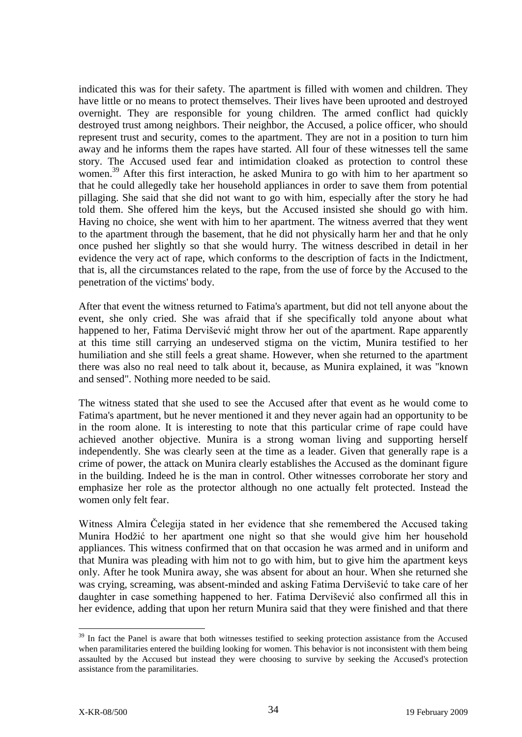indicated this was for their safety. The apartment is filled with women and children. They have little or no means to protect themselves. Their lives have been uprooted and destroyed overnight. They are responsible for young children. The armed conflict had quickly destroyed trust among neighbors. Their neighbor, the Accused, a police officer, who should represent trust and security, comes to the apartment. They are not in a position to turn him away and he informs them the rapes have started. All four of these witnesses tell the same story. The Accused used fear and intimidation cloaked as protection to control these women.<sup>39</sup> After this first interaction, he asked Munira to go with him to her apartment so that he could allegedly take her household appliances in order to save them from potential pillaging. She said that she did not want to go with him, especially after the story he had told them. She offered him the keys, but the Accused insisted she should go with him. Having no choice, she went with him to her apartment. The witness averred that they went to the apartment through the basement, that he did not physically harm her and that he only once pushed her slightly so that she would hurry. The witness described in detail in her evidence the very act of rape, which conforms to the description of facts in the Indictment, that is, all the circumstances related to the rape, from the use of force by the Accused to the penetration of the victims' body.

After that event the witness returned to Fatima's apartment, but did not tell anyone about the event, she only cried. She was afraid that if she specifically told anyone about what happened to her, Fatima Dervišević might throw her out of the apartment. Rape apparently at this time still carrying an undeserved stigma on the victim, Munira testified to her humiliation and she still feels a great shame. However, when she returned to the apartment there was also no real need to talk about it, because, as Munira explained, it was "known and sensed". Nothing more needed to be said.

The witness stated that she used to see the Accused after that event as he would come to Fatima's apartment, but he never mentioned it and they never again had an opportunity to be in the room alone. It is interesting to note that this particular crime of rape could have achieved another objective. Munira is a strong woman living and supporting herself independently. She was clearly seen at the time as a leader. Given that generally rape is a crime of power, the attack on Munira clearly establishes the Accused as the dominant figure in the building. Indeed he is the man in control. Other witnesses corroborate her story and emphasize her role as the protector although no one actually felt protected. Instead the women only felt fear.

Witness Almira Čelegija stated in her evidence that she remembered the Accused taking Munira Hodžić to her apartment one night so that she would give him her household appliances. This witness confirmed that on that occasion he was armed and in uniform and that Munira was pleading with him not to go with him, but to give him the apartment keys only. After he took Munira away, she was absent for about an hour. When she returned she was crying, screaming, was absent-minded and asking Fatima Dervišević to take care of her daughter in case something happened to her. Fatima Dervišević also confirmed all this in her evidence, adding that upon her return Munira said that they were finished and that there

<sup>&</sup>lt;sup>39</sup> In fact the Panel is aware that both witnesses testified to seeking protection assistance from the Accused when paramilitaries entered the building looking for women. This behavior is not inconsistent with them being assaulted by the Accused but instead they were choosing to survive by seeking the Accused's protection assistance from the paramilitaries.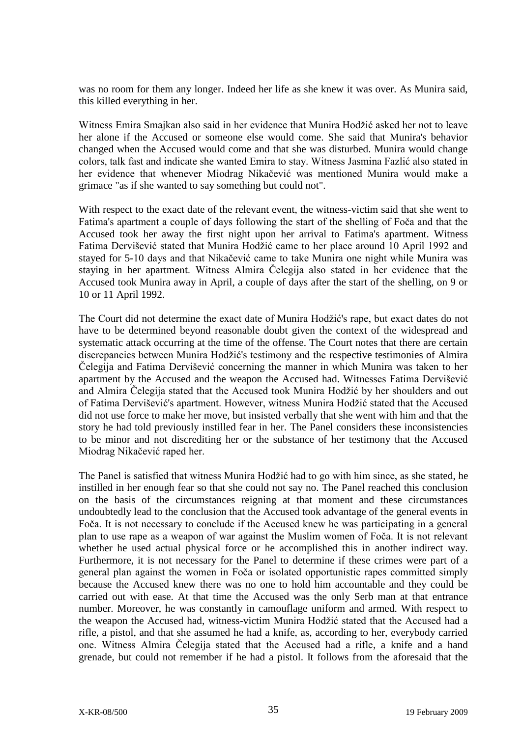was no room for them any longer. Indeed her life as she knew it was over. As Munira said, this killed everything in her.

Witness Emira Smajkan also said in her evidence that Munira Hodžić asked her not to leave her alone if the Accused or someone else would come. She said that Munira's behavior changed when the Accused would come and that she was disturbed. Munira would change colors, talk fast and indicate she wanted Emira to stay. Witness Jasmina Fazlić also stated in her evidence that whenever Miodrag Nikačević was mentioned Munira would make a grimace "as if she wanted to say something but could not".

With respect to the exact date of the relevant event, the witness-victim said that she went to Fatima's apartment a couple of days following the start of the shelling of Foča and that the Accused took her away the first night upon her arrival to Fatima's apartment. Witness Fatima Dervišević stated that Munira Hodžić came to her place around 10 April 1992 and stayed for 5-10 days and that Nikačević came to take Munira one night while Munira was staying in her apartment. Witness Almira Čelegija also stated in her evidence that the Accused took Munira away in April, a couple of days after the start of the shelling, on 9 or 10 or 11 April 1992.

The Court did not determine the exact date of Munira Hodžić's rape, but exact dates do not have to be determined beyond reasonable doubt given the context of the widespread and systematic attack occurring at the time of the offense. The Court notes that there are certain discrepancies between Munira Hodžić's testimony and the respective testimonies of Almira Čelegija and Fatima Dervišević concerning the manner in which Munira was taken to her apartment by the Accused and the weapon the Accused had. Witnesses Fatima Dervišević and Almira Čelegija stated that the Accused took Munira Hodžić by her shoulders and out of Fatima Dervišević's apartment. However, witness Munira Hodžić stated that the Accused did not use force to make her move, but insisted verbally that she went with him and that the story he had told previously instilled fear in her. The Panel considers these inconsistencies to be minor and not discrediting her or the substance of her testimony that the Accused Miodrag Nikačević raped her.

The Panel is satisfied that witness Munira Hodžić had to go with him since, as she stated, he instilled in her enough fear so that she could not say no. The Panel reached this conclusion on the basis of the circumstances reigning at that moment and these circumstances undoubtedly lead to the conclusion that the Accused took advantage of the general events in Foča. It is not necessary to conclude if the Accused knew he was participating in a general plan to use rape as a weapon of war against the Muslim women of Foča. It is not relevant whether he used actual physical force or he accomplished this in another indirect way. Furthermore, it is not necessary for the Panel to determine if these crimes were part of a general plan against the women in Foča or isolated opportunistic rapes committed simply because the Accused knew there was no one to hold him accountable and they could be carried out with ease. At that time the Accused was the only Serb man at that entrance number. Moreover, he was constantly in camouflage uniform and armed. With respect to the weapon the Accused had, witness-victim Munira Hodžić stated that the Accused had a rifle, a pistol, and that she assumed he had a knife, as, according to her, everybody carried one. Witness Almira Čelegija stated that the Accused had a rifle, a knife and a hand grenade, but could not remember if he had a pistol. It follows from the aforesaid that the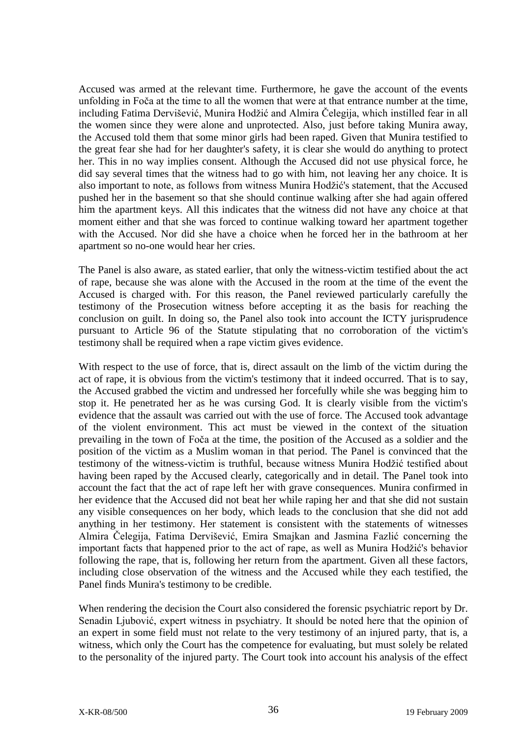Accused was armed at the relevant time. Furthermore, he gave the account of the events unfolding in Foča at the time to all the women that were at that entrance number at the time, including Fatima Dervišević, Munira Hodžić and Almira Čelegija, which instilled fear in all the women since they were alone and unprotected. Also, just before taking Munira away, the Accused told them that some minor girls had been raped. Given that Munira testified to the great fear she had for her daughter's safety, it is clear she would do anything to protect her. This in no way implies consent. Although the Accused did not use physical force, he did say several times that the witness had to go with him, not leaving her any choice. It is also important to note, as follows from witness Munira Hodžić's statement, that the Accused pushed her in the basement so that she should continue walking after she had again offered him the apartment keys. All this indicates that the witness did not have any choice at that moment either and that she was forced to continue walking toward her apartment together with the Accused. Nor did she have a choice when he forced her in the bathroom at her apartment so no-one would hear her cries.

The Panel is also aware, as stated earlier, that only the witness-victim testified about the act of rape, because she was alone with the Accused in the room at the time of the event the Accused is charged with. For this reason, the Panel reviewed particularly carefully the testimony of the Prosecution witness before accepting it as the basis for reaching the conclusion on guilt. In doing so, the Panel also took into account the ICTY jurisprudence pursuant to Article 96 of the Statute stipulating that no corroboration of the victim's testimony shall be required when a rape victim gives evidence.

With respect to the use of force, that is, direct assault on the limb of the victim during the act of rape, it is obvious from the victim's testimony that it indeed occurred. That is to say, the Accused grabbed the victim and undressed her forcefully while she was begging him to stop it. He penetrated her as he was cursing God. It is clearly visible from the victim's evidence that the assault was carried out with the use of force. The Accused took advantage of the violent environment. This act must be viewed in the context of the situation prevailing in the town of Foča at the time, the position of the Accused as a soldier and the position of the victim as a Muslim woman in that period. The Panel is convinced that the testimony of the witness-victim is truthful, because witness Munira Hodžić testified about having been raped by the Accused clearly, categorically and in detail. The Panel took into account the fact that the act of rape left her with grave consequences. Munira confirmed in her evidence that the Accused did not beat her while raping her and that she did not sustain any visible consequences on her body, which leads to the conclusion that she did not add anything in her testimony. Her statement is consistent with the statements of witnesses Almira Čelegija, Fatima Dervišević, Emira Smajkan and Jasmina Fazlić concerning the important facts that happened prior to the act of rape, as well as Munira Hodžić's behavior following the rape, that is, following her return from the apartment. Given all these factors, including close observation of the witness and the Accused while they each testified, the Panel finds Munira's testimony to be credible.

When rendering the decision the Court also considered the forensic psychiatric report by Dr. Senadin Ljubović, expert witness in psychiatry. It should be noted here that the opinion of an expert in some field must not relate to the very testimony of an injured party, that is, a witness, which only the Court has the competence for evaluating, but must solely be related to the personality of the injured party. The Court took into account his analysis of the effect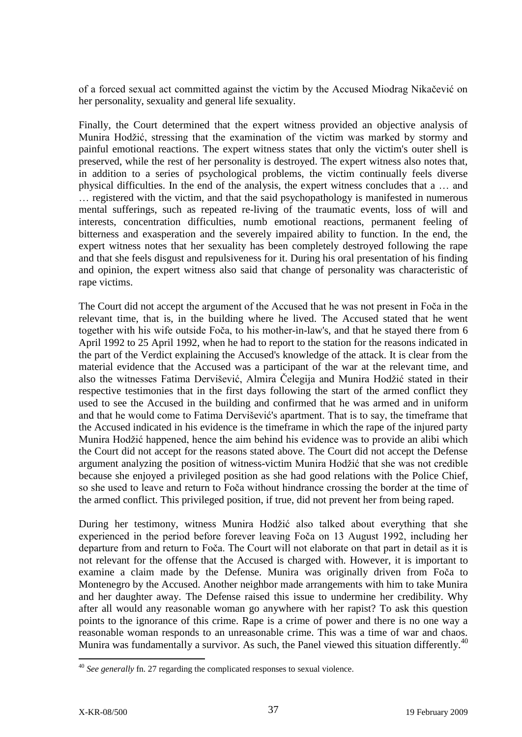of a forced sexual act committed against the victim by the Accused Miodrag Nikačević on her personality, sexuality and general life sexuality.

Finally, the Court determined that the expert witness provided an objective analysis of Munira Hodžić, stressing that the examination of the victim was marked by stormy and painful emotional reactions. The expert witness states that only the victim's outer shell is preserved, while the rest of her personality is destroyed. The expert witness also notes that, in addition to a series of psychological problems, the victim continually feels diverse physical difficulties. In the end of the analysis, the expert witness concludes that a … and … registered with the victim, and that the said psychopathology is manifested in numerous mental sufferings, such as repeated re-living of the traumatic events, loss of will and interests, concentration difficulties, numb emotional reactions, permanent feeling of bitterness and exasperation and the severely impaired ability to function. In the end, the expert witness notes that her sexuality has been completely destroyed following the rape and that she feels disgust and repulsiveness for it. During his oral presentation of his finding and opinion, the expert witness also said that change of personality was characteristic of rape victims.

The Court did not accept the argument of the Accused that he was not present in Foča in the relevant time, that is, in the building where he lived. The Accused stated that he went together with his wife outside Foča, to his mother-in-law's, and that he stayed there from 6 April 1992 to 25 April 1992, when he had to report to the station for the reasons indicated in the part of the Verdict explaining the Accused's knowledge of the attack. It is clear from the material evidence that the Accused was a participant of the war at the relevant time, and also the witnesses Fatima Dervišević, Almira Čelegija and Munira Hodžić stated in their respective testimonies that in the first days following the start of the armed conflict they used to see the Accused in the building and confirmed that he was armed and in uniform and that he would come to Fatima Dervišević's apartment. That is to say, the timeframe that the Accused indicated in his evidence is the timeframe in which the rape of the injured party Munira Hodžić happened, hence the aim behind his evidence was to provide an alibi which the Court did not accept for the reasons stated above. The Court did not accept the Defense argument analyzing the position of witness-victim Munira Hodžić that she was not credible because she enjoyed a privileged position as she had good relations with the Police Chief, so she used to leave and return to Foča without hindrance crossing the border at the time of the armed conflict. This privileged position, if true, did not prevent her from being raped.

During her testimony, witness Munira Hodžić also talked about everything that she experienced in the period before forever leaving Foča on 13 August 1992, including her departure from and return to Foča. The Court will not elaborate on that part in detail as it is not relevant for the offense that the Accused is charged with. However, it is important to examine a claim made by the Defense. Munira was originally driven from Foča to Montenegro by the Accused. Another neighbor made arrangements with him to take Munira and her daughter away. The Defense raised this issue to undermine her credibility. Why after all would any reasonable woman go anywhere with her rapist? To ask this question points to the ignorance of this crime. Rape is a crime of power and there is no one way a reasonable woman responds to an unreasonable crime. This was a time of war and chaos. Munira was fundamentally a survivor. As such, the Panel viewed this situation differently.<sup>40</sup>

<sup>&</sup>lt;sup>40</sup> See generally fn. 27 regarding the complicated responses to sexual violence.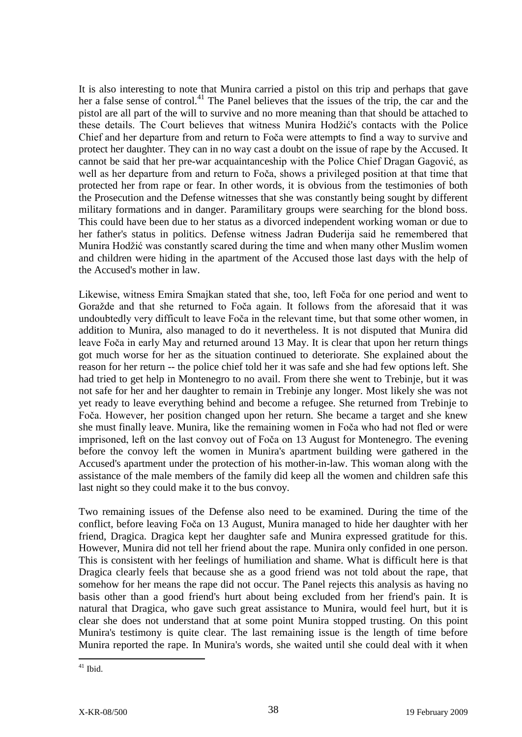It is also interesting to note that Munira carried a pistol on this trip and perhaps that gave her a false sense of control.<sup>41</sup> The Panel believes that the issues of the trip, the car and the pistol are all part of the will to survive and no more meaning than that should be attached to these details. The Court believes that witness Munira Hodžić's contacts with the Police Chief and her departure from and return to Foča were attempts to find a way to survive and protect her daughter. They can in no way cast a doubt on the issue of rape by the Accused. It cannot be said that her pre-war acquaintanceship with the Police Chief Dragan Gagović, as well as her departure from and return to Foča, shows a privileged position at that time that protected her from rape or fear. In other words, it is obvious from the testimonies of both the Prosecution and the Defense witnesses that she was constantly being sought by different military formations and in danger. Paramilitary groups were searching for the blond boss. This could have been due to her status as a divorced independent working woman or due to her father's status in politics. Defense witness Jadran Đuderija said he remembered that Munira Hodžić was constantly scared during the time and when many other Muslim women and children were hiding in the apartment of the Accused those last days with the help of the Accused's mother in law.

Likewise, witness Emira Smajkan stated that she, too, left Foča for one period and went to Goražde and that she returned to Foča again. It follows from the aforesaid that it was undoubtedly very difficult to leave Foča in the relevant time, but that some other women, in addition to Munira, also managed to do it nevertheless. It is not disputed that Munira did leave Foča in early May and returned around 13 May. It is clear that upon her return things got much worse for her as the situation continued to deteriorate. She explained about the reason for her return -- the police chief told her it was safe and she had few options left. She had tried to get help in Montenegro to no avail. From there she went to Trebinje, but it was not safe for her and her daughter to remain in Trebinje any longer. Most likely she was not yet ready to leave everything behind and become a refugee. She returned from Trebinje to Foča. However, her position changed upon her return. She became a target and she knew she must finally leave. Munira, like the remaining women in Foča who had not fled or were imprisoned, left on the last convoy out of Foča on 13 August for Montenegro. The evening before the convoy left the women in Munira's apartment building were gathered in the Accused's apartment under the protection of his mother-in-law. This woman along with the assistance of the male members of the family did keep all the women and children safe this last night so they could make it to the bus convoy.

Two remaining issues of the Defense also need to be examined. During the time of the conflict, before leaving Foča on 13 August, Munira managed to hide her daughter with her friend, Dragica. Dragica kept her daughter safe and Munira expressed gratitude for this. However, Munira did not tell her friend about the rape. Munira only confided in one person. This is consistent with her feelings of humiliation and shame. What is difficult here is that Dragica clearly feels that because she as a good friend was not told about the rape, that somehow for her means the rape did not occur. The Panel rejects this analysis as having no basis other than a good friend's hurt about being excluded from her friend's pain. It is natural that Dragica, who gave such great assistance to Munira, would feel hurt, but it is clear she does not understand that at some point Munira stopped trusting. On this point Munira's testimony is quite clear. The last remaining issue is the length of time before Munira reported the rape. In Munira's words, she waited until she could deal with it when

 $\overline{a}$  $41$  Ibid.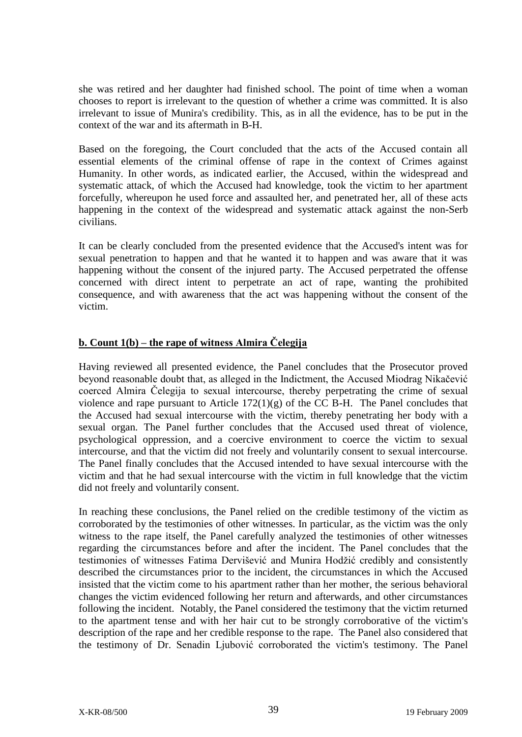she was retired and her daughter had finished school. The point of time when a woman chooses to report is irrelevant to the question of whether a crime was committed. It is also irrelevant to issue of Munira's credibility. This, as in all the evidence, has to be put in the context of the war and its aftermath in B-H.

Based on the foregoing, the Court concluded that the acts of the Accused contain all essential elements of the criminal offense of rape in the context of Crimes against Humanity. In other words, as indicated earlier, the Accused, within the widespread and systematic attack, of which the Accused had knowledge, took the victim to her apartment forcefully, whereupon he used force and assaulted her, and penetrated her, all of these acts happening in the context of the widespread and systematic attack against the non-Serb civilians.

It can be clearly concluded from the presented evidence that the Accused's intent was for sexual penetration to happen and that he wanted it to happen and was aware that it was happening without the consent of the injured party. The Accused perpetrated the offense concerned with direct intent to perpetrate an act of rape, wanting the prohibited consequence, and with awareness that the act was happening without the consent of the victim.

## **b. Count 1(b) – the rape of witness Almira Čelegija**

Having reviewed all presented evidence, the Panel concludes that the Prosecutor proved beyond reasonable doubt that, as alleged in the Indictment, the Accused Miodrag Nikačević coerced Almira Čelegija to sexual intercourse, thereby perpetrating the crime of sexual violence and rape pursuant to Article  $172(1)(g)$  of the CC B-H. The Panel concludes that the Accused had sexual intercourse with the victim, thereby penetrating her body with a sexual organ. The Panel further concludes that the Accused used threat of violence, psychological oppression, and a coercive environment to coerce the victim to sexual intercourse, and that the victim did not freely and voluntarily consent to sexual intercourse. The Panel finally concludes that the Accused intended to have sexual intercourse with the victim and that he had sexual intercourse with the victim in full knowledge that the victim did not freely and voluntarily consent.

In reaching these conclusions, the Panel relied on the credible testimony of the victim as corroborated by the testimonies of other witnesses. In particular, as the victim was the only witness to the rape itself, the Panel carefully analyzed the testimonies of other witnesses regarding the circumstances before and after the incident. The Panel concludes that the testimonies of witnesses Fatima Dervišević and Munira Hodžić credibly and consistently described the circumstances prior to the incident, the circumstances in which the Accused insisted that the victim come to his apartment rather than her mother, the serious behavioral changes the victim evidenced following her return and afterwards, and other circumstances following the incident. Notably, the Panel considered the testimony that the victim returned to the apartment tense and with her hair cut to be strongly corroborative of the victim's description of the rape and her credible response to the rape. The Panel also considered that the testimony of Dr. Senadin Ljubović corroborated the victim's testimony. The Panel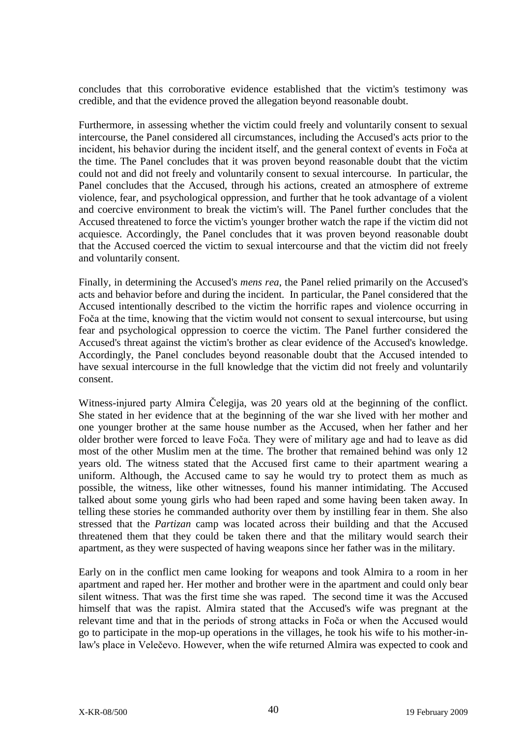concludes that this corroborative evidence established that the victim's testimony was credible, and that the evidence proved the allegation beyond reasonable doubt.

Furthermore, in assessing whether the victim could freely and voluntarily consent to sexual intercourse, the Panel considered all circumstances, including the Accused's acts prior to the incident, his behavior during the incident itself, and the general context of events in Foča at the time. The Panel concludes that it was proven beyond reasonable doubt that the victim could not and did not freely and voluntarily consent to sexual intercourse. In particular, the Panel concludes that the Accused, through his actions, created an atmosphere of extreme violence, fear, and psychological oppression, and further that he took advantage of a violent and coercive environment to break the victim's will. The Panel further concludes that the Accused threatened to force the victim's younger brother watch the rape if the victim did not acquiesce. Accordingly, the Panel concludes that it was proven beyond reasonable doubt that the Accused coerced the victim to sexual intercourse and that the victim did not freely and voluntarily consent.

Finally, in determining the Accused's *mens rea*, the Panel relied primarily on the Accused's acts and behavior before and during the incident. In particular, the Panel considered that the Accused intentionally described to the victim the horrific rapes and violence occurring in Foča at the time, knowing that the victim would not consent to sexual intercourse, but using fear and psychological oppression to coerce the victim. The Panel further considered the Accused's threat against the victim's brother as clear evidence of the Accused's knowledge. Accordingly, the Panel concludes beyond reasonable doubt that the Accused intended to have sexual intercourse in the full knowledge that the victim did not freely and voluntarily consent.

Witness-injured party Almira Čelegija, was 20 years old at the beginning of the conflict. She stated in her evidence that at the beginning of the war she lived with her mother and one younger brother at the same house number as the Accused, when her father and her older brother were forced to leave Foča. They were of military age and had to leave as did most of the other Muslim men at the time. The brother that remained behind was only 12 years old. The witness stated that the Accused first came to their apartment wearing a uniform. Although, the Accused came to say he would try to protect them as much as possible, the witness, like other witnesses, found his manner intimidating. The Accused talked about some young girls who had been raped and some having been taken away. In telling these stories he commanded authority over them by instilling fear in them. She also stressed that the *Partizan* camp was located across their building and that the Accused threatened them that they could be taken there and that the military would search their apartment, as they were suspected of having weapons since her father was in the military.

Early on in the conflict men came looking for weapons and took Almira to a room in her apartment and raped her. Her mother and brother were in the apartment and could only bear silent witness. That was the first time she was raped. The second time it was the Accused himself that was the rapist. Almira stated that the Accused's wife was pregnant at the relevant time and that in the periods of strong attacks in Foča or when the Accused would go to participate in the mop-up operations in the villages, he took his wife to his mother-inlaw's place in Velečevo. However, when the wife returned Almira was expected to cook and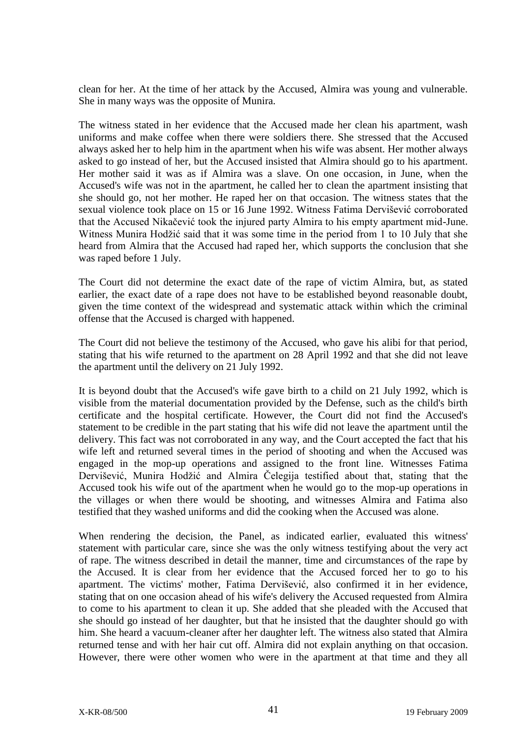clean for her. At the time of her attack by the Accused, Almira was young and vulnerable. She in many ways was the opposite of Munira.

The witness stated in her evidence that the Accused made her clean his apartment, wash uniforms and make coffee when there were soldiers there. She stressed that the Accused always asked her to help him in the apartment when his wife was absent. Her mother always asked to go instead of her, but the Accused insisted that Almira should go to his apartment. Her mother said it was as if Almira was a slave. On one occasion, in June, when the Accused's wife was not in the apartment, he called her to clean the apartment insisting that she should go, not her mother. He raped her on that occasion. The witness states that the sexual violence took place on 15 or 16 June 1992. Witness Fatima Dervišević corroborated that the Accused Nikačević took the injured party Almira to his empty apartment mid-June. Witness Munira Hodžić said that it was some time in the period from 1 to 10 July that she heard from Almira that the Accused had raped her, which supports the conclusion that she was raped before 1 July.

The Court did not determine the exact date of the rape of victim Almira, but, as stated earlier, the exact date of a rape does not have to be established beyond reasonable doubt, given the time context of the widespread and systematic attack within which the criminal offense that the Accused is charged with happened.

The Court did not believe the testimony of the Accused, who gave his alibi for that period, stating that his wife returned to the apartment on 28 April 1992 and that she did not leave the apartment until the delivery on 21 July 1992.

It is beyond doubt that the Accused's wife gave birth to a child on 21 July 1992, which is visible from the material documentation provided by the Defense, such as the child's birth certificate and the hospital certificate. However, the Court did not find the Accused's statement to be credible in the part stating that his wife did not leave the apartment until the delivery. This fact was not corroborated in any way, and the Court accepted the fact that his wife left and returned several times in the period of shooting and when the Accused was engaged in the mop-up operations and assigned to the front line. Witnesses Fatima Dervišević, Munira Hodžić and Almira Čelegija testified about that, stating that the Accused took his wife out of the apartment when he would go to the mop-up operations in the villages or when there would be shooting, and witnesses Almira and Fatima also testified that they washed uniforms and did the cooking when the Accused was alone.

When rendering the decision, the Panel, as indicated earlier, evaluated this witness' statement with particular care, since she was the only witness testifying about the very act of rape. The witness described in detail the manner, time and circumstances of the rape by the Accused. It is clear from her evidence that the Accused forced her to go to his apartment. The victims' mother, Fatima Dervišević, also confirmed it in her evidence, stating that on one occasion ahead of his wife's delivery the Accused requested from Almira to come to his apartment to clean it up. She added that she pleaded with the Accused that she should go instead of her daughter, but that he insisted that the daughter should go with him. She heard a vacuum-cleaner after her daughter left. The witness also stated that Almira returned tense and with her hair cut off. Almira did not explain anything on that occasion. However, there were other women who were in the apartment at that time and they all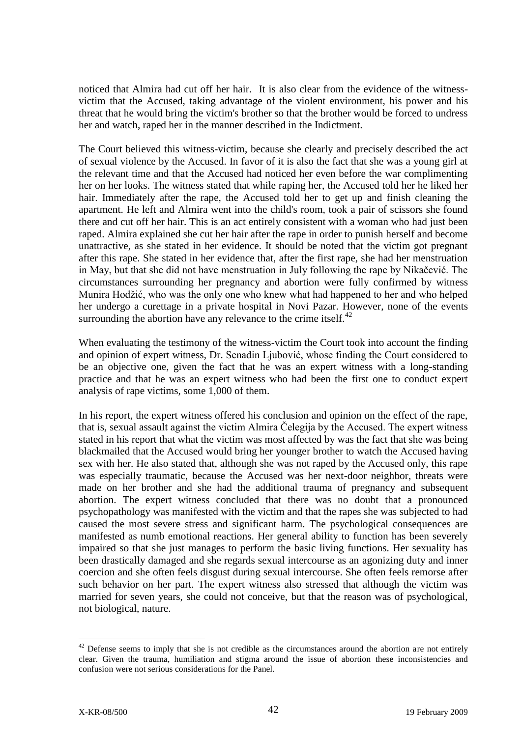noticed that Almira had cut off her hair. It is also clear from the evidence of the witnessvictim that the Accused, taking advantage of the violent environment, his power and his threat that he would bring the victim's brother so that the brother would be forced to undress her and watch, raped her in the manner described in the Indictment.

The Court believed this witness-victim, because she clearly and precisely described the act of sexual violence by the Accused. In favor of it is also the fact that she was a young girl at the relevant time and that the Accused had noticed her even before the war complimenting her on her looks. The witness stated that while raping her, the Accused told her he liked her hair. Immediately after the rape, the Accused told her to get up and finish cleaning the apartment. He left and Almira went into the child's room, took a pair of scissors she found there and cut off her hair. This is an act entirely consistent with a woman who had just been raped. Almira explained she cut her hair after the rape in order to punish herself and become unattractive, as she stated in her evidence. It should be noted that the victim got pregnant after this rape. She stated in her evidence that, after the first rape, she had her menstruation in May, but that she did not have menstruation in July following the rape by Nikačević. The circumstances surrounding her pregnancy and abortion were fully confirmed by witness Munira Hodžić, who was the only one who knew what had happened to her and who helped her undergo a curettage in a private hospital in Novi Pazar. However, none of the events surrounding the abortion have any relevance to the crime itself. $^{42}$ 

When evaluating the testimony of the witness-victim the Court took into account the finding and opinion of expert witness, Dr. Senadin Ljubović, whose finding the Court considered to be an objective one, given the fact that he was an expert witness with a long-standing practice and that he was an expert witness who had been the first one to conduct expert analysis of rape victims, some 1,000 of them.

In his report, the expert witness offered his conclusion and opinion on the effect of the rape, that is, sexual assault against the victim Almira Čelegija by the Accused. The expert witness stated in his report that what the victim was most affected by was the fact that she was being blackmailed that the Accused would bring her younger brother to watch the Accused having sex with her. He also stated that, although she was not raped by the Accused only, this rape was especially traumatic, because the Accused was her next-door neighbor, threats were made on her brother and she had the additional trauma of pregnancy and subsequent abortion. The expert witness concluded that there was no doubt that a pronounced psychopathology was manifested with the victim and that the rapes she was subjected to had caused the most severe stress and significant harm. The psychological consequences are manifested as numb emotional reactions. Her general ability to function has been severely impaired so that she just manages to perform the basic living functions. Her sexuality has been drastically damaged and she regards sexual intercourse as an agonizing duty and inner coercion and she often feels disgust during sexual intercourse. She often feels remorse after such behavior on her part. The expert witness also stressed that although the victim was married for seven years, she could not conceive, but that the reason was of psychological, not biological, nature.

 $42$  Defense seems to imply that she is not credible as the circumstances around the abortion are not entirely clear. Given the trauma, humiliation and stigma around the issue of abortion these inconsistencies and confusion were not serious considerations for the Panel.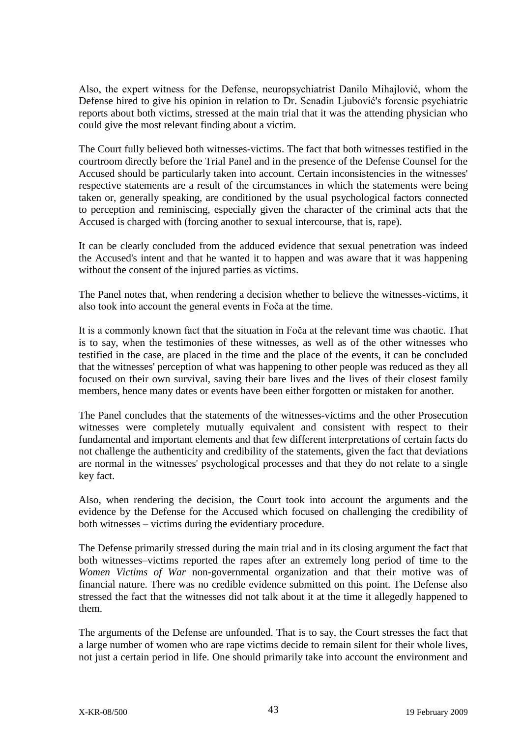Also, the expert witness for the Defense, neuropsychiatrist Danilo Mihajlović, whom the Defense hired to give his opinion in relation to Dr. Senadin Ljubović's forensic psychiatric reports about both victims, stressed at the main trial that it was the attending physician who could give the most relevant finding about a victim.

The Court fully believed both witnesses-victims. The fact that both witnesses testified in the courtroom directly before the Trial Panel and in the presence of the Defense Counsel for the Accused should be particularly taken into account. Certain inconsistencies in the witnesses' respective statements are a result of the circumstances in which the statements were being taken or, generally speaking, are conditioned by the usual psychological factors connected to perception and reminiscing, especially given the character of the criminal acts that the Accused is charged with (forcing another to sexual intercourse, that is, rape).

It can be clearly concluded from the adduced evidence that sexual penetration was indeed the Accused's intent and that he wanted it to happen and was aware that it was happening without the consent of the injured parties as victims.

The Panel notes that, when rendering a decision whether to believe the witnesses-victims, it also took into account the general events in Foča at the time.

It is a commonly known fact that the situation in Foča at the relevant time was chaotic. That is to say, when the testimonies of these witnesses, as well as of the other witnesses who testified in the case, are placed in the time and the place of the events, it can be concluded that the witnesses' perception of what was happening to other people was reduced as they all focused on their own survival, saving their bare lives and the lives of their closest family members, hence many dates or events have been either forgotten or mistaken for another.

The Panel concludes that the statements of the witnesses-victims and the other Prosecution witnesses were completely mutually equivalent and consistent with respect to their fundamental and important elements and that few different interpretations of certain facts do not challenge the authenticity and credibility of the statements, given the fact that deviations are normal in the witnesses' psychological processes and that they do not relate to a single key fact.

Also, when rendering the decision, the Court took into account the arguments and the evidence by the Defense for the Accused which focused on challenging the credibility of both witnesses – victims during the evidentiary procedure.

The Defense primarily stressed during the main trial and in its closing argument the fact that both witnesses–victims reported the rapes after an extremely long period of time to the *Women Victims of War* non-governmental organization and that their motive was of financial nature. There was no credible evidence submitted on this point. The Defense also stressed the fact that the witnesses did not talk about it at the time it allegedly happened to them.

The arguments of the Defense are unfounded. That is to say, the Court stresses the fact that a large number of women who are rape victims decide to remain silent for their whole lives, not just a certain period in life. One should primarily take into account the environment and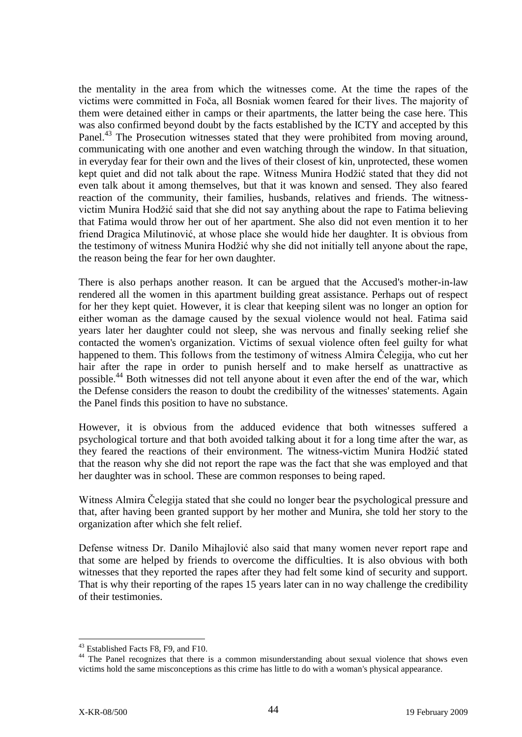the mentality in the area from which the witnesses come. At the time the rapes of the victims were committed in Foča, all Bosniak women feared for their lives. The majority of them were detained either in camps or their apartments, the latter being the case here. This was also confirmed beyond doubt by the facts established by the ICTY and accepted by this Panel.<sup>43</sup> The Prosecution witnesses stated that they were prohibited from moving around, communicating with one another and even watching through the window. In that situation, in everyday fear for their own and the lives of their closest of kin, unprotected, these women kept quiet and did not talk about the rape. Witness Munira Hodžić stated that they did not even talk about it among themselves, but that it was known and sensed. They also feared reaction of the community, their families, husbands, relatives and friends. The witnessvictim Munira Hodžić said that she did not say anything about the rape to Fatima believing that Fatima would throw her out of her apartment. She also did not even mention it to her friend Dragica Milutinović, at whose place she would hide her daughter. It is obvious from the testimony of witness Munira Hodžić why she did not initially tell anyone about the rape, the reason being the fear for her own daughter.

There is also perhaps another reason. It can be argued that the Accused's mother-in-law rendered all the women in this apartment building great assistance. Perhaps out of respect for her they kept quiet. However, it is clear that keeping silent was no longer an option for either woman as the damage caused by the sexual violence would not heal. Fatima said years later her daughter could not sleep, she was nervous and finally seeking relief she contacted the women's organization. Victims of sexual violence often feel guilty for what happened to them. This follows from the testimony of witness Almira Čelegija, who cut her hair after the rape in order to punish herself and to make herself as unattractive as possible.<sup>44</sup> Both witnesses did not tell anyone about it even after the end of the war, which the Defense considers the reason to doubt the credibility of the witnesses' statements. Again the Panel finds this position to have no substance.

However, it is obvious from the adduced evidence that both witnesses suffered a psychological torture and that both avoided talking about it for a long time after the war, as they feared the reactions of their environment. The witness-victim Munira Hodžić stated that the reason why she did not report the rape was the fact that she was employed and that her daughter was in school. These are common responses to being raped.

Witness Almira Čelegija stated that she could no longer bear the psychological pressure and that, after having been granted support by her mother and Munira, she told her story to the organization after which she felt relief.

Defense witness Dr. Danilo Mihajlović also said that many women never report rape and that some are helped by friends to overcome the difficulties. It is also obvious with both witnesses that they reported the rapes after they had felt some kind of security and support. That is why their reporting of the rapes 15 years later can in no way challenge the credibility of their testimonies.

<sup>&</sup>lt;sup>43</sup> Established Facts F8, F9, and F10.

<sup>&</sup>lt;sup>44</sup> The Panel recognizes that there is a common misunderstanding about sexual violence that shows even victims hold the same misconceptions as this crime has little to do with a woman's physical appearance.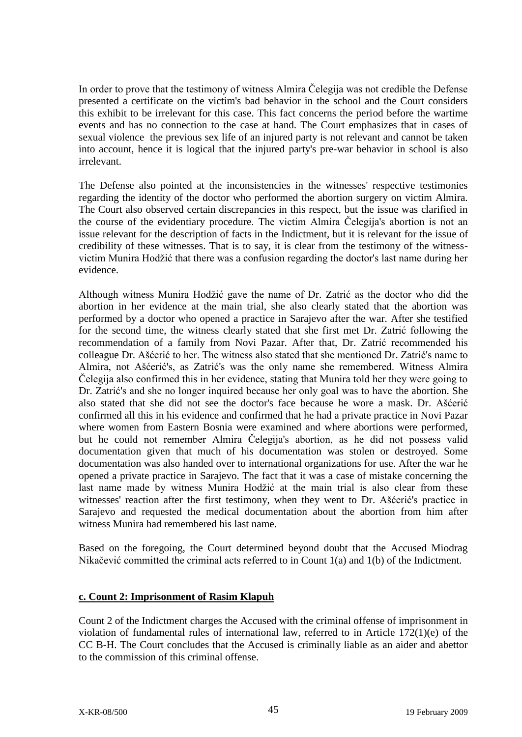In order to prove that the testimony of witness Almira Čelegija was not credible the Defense presented a certificate on the victim's bad behavior in the school and the Court considers this exhibit to be irrelevant for this case. This fact concerns the period before the wartime events and has no connection to the case at hand. The Court emphasizes that in cases of sexual violence the previous sex life of an injured party is not relevant and cannot be taken into account, hence it is logical that the injured party's pre-war behavior in school is also irrelevant.

The Defense also pointed at the inconsistencies in the witnesses' respective testimonies regarding the identity of the doctor who performed the abortion surgery on victim Almira. The Court also observed certain discrepancies in this respect, but the issue was clarified in the course of the evidentiary procedure. The victim Almira Čelegija's abortion is not an issue relevant for the description of facts in the Indictment, but it is relevant for the issue of credibility of these witnesses. That is to say, it is clear from the testimony of the witnessvictim Munira Hodžić that there was a confusion regarding the doctor's last name during her evidence.

Although witness Munira Hodžić gave the name of Dr. Zatrić as the doctor who did the abortion in her evidence at the main trial, she also clearly stated that the abortion was performed by a doctor who opened a practice in Sarajevo after the war. After she testified for the second time, the witness clearly stated that she first met Dr. Zatrić following the recommendation of a family from Novi Pazar. After that, Dr. Zatrić recommended his colleague Dr. Ašćerić to her. The witness also stated that she mentioned Dr. Zatrić's name to Almira, not Ašćerić's, as Zatrić's was the only name she remembered. Witness Almira Čelegija also confirmed this in her evidence, stating that Munira told her they were going to Dr. Zatrić's and she no longer inquired because her only goal was to have the abortion. She also stated that she did not see the doctor's face because he wore a mask. Dr. Ašćerić confirmed all this in his evidence and confirmed that he had a private practice in Novi Pazar where women from Eastern Bosnia were examined and where abortions were performed, but he could not remember Almira Čelegija's abortion, as he did not possess valid documentation given that much of his documentation was stolen or destroyed. Some documentation was also handed over to international organizations for use. After the war he opened a private practice in Sarajevo. The fact that it was a case of mistake concerning the last name made by witness Munira Hodžić at the main trial is also clear from these witnesses' reaction after the first testimony, when they went to Dr. Ašćerić's practice in Sarajevo and requested the medical documentation about the abortion from him after witness Munira had remembered his last name.

Based on the foregoing, the Court determined beyond doubt that the Accused Miodrag Nikačević committed the criminal acts referred to in Count 1(a) and 1(b) of the Indictment.

## **c. Count 2: Imprisonment of Rasim Klapuh**

Count 2 of the Indictment charges the Accused with the criminal offense of imprisonment in violation of fundamental rules of international law, referred to in Article 172(1)(e) of the CC B-H. The Court concludes that the Accused is criminally liable as an aider and abettor to the commission of this criminal offense.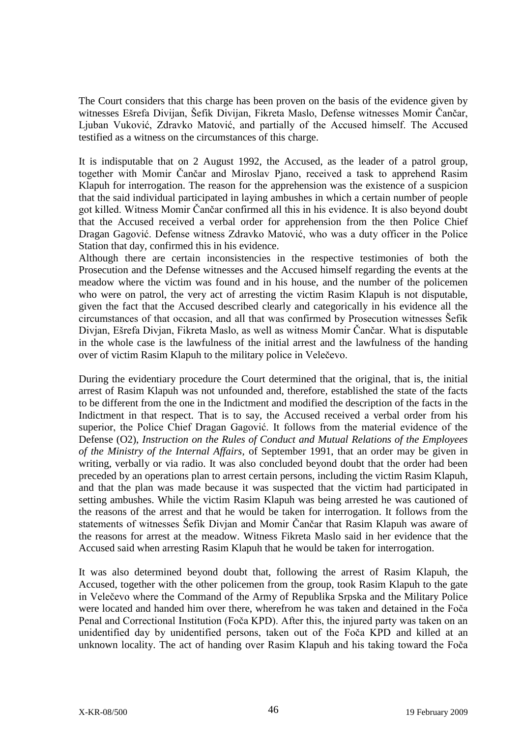The Court considers that this charge has been proven on the basis of the evidence given by witnesses Ešrefa Divijan, Šefik Divijan, Fikreta Maslo, Defense witnesses Momir Čančar, Ljuban Vuković, Zdravko Matović, and partially of the Accused himself. The Accused testified as a witness on the circumstances of this charge.

It is indisputable that on 2 August 1992, the Accused, as the leader of a patrol group, together with Momir Čančar and Miroslav Pjano, received a task to apprehend Rasim Klapuh for interrogation. The reason for the apprehension was the existence of a suspicion that the said individual participated in laying ambushes in which a certain number of people got killed. Witness Momir Čančar confirmed all this in his evidence. It is also beyond doubt that the Accused received a verbal order for apprehension from the then Police Chief Dragan Gagović. Defense witness Zdravko Matović, who was a duty officer in the Police Station that day, confirmed this in his evidence.

Although there are certain inconsistencies in the respective testimonies of both the Prosecution and the Defense witnesses and the Accused himself regarding the events at the meadow where the victim was found and in his house, and the number of the policemen who were on patrol, the very act of arresting the victim Rasim Klapuh is not disputable, given the fact that the Accused described clearly and categorically in his evidence all the circumstances of that occasion, and all that was confirmed by Prosecution witnesses Šefik Divjan, Ešrefa Divjan, Fikreta Maslo, as well as witness Momir Čančar. What is disputable in the whole case is the lawfulness of the initial arrest and the lawfulness of the handing over of victim Rasim Klapuh to the military police in Velečevo.

During the evidentiary procedure the Court determined that the original, that is, the initial arrest of Rasim Klapuh was not unfounded and, therefore, established the state of the facts to be different from the one in the Indictment and modified the description of the facts in the Indictment in that respect. That is to say, the Accused received a verbal order from his superior, the Police Chief Dragan Gagović. It follows from the material evidence of the Defense (O2), *Instruction on the Rules of Conduct and Mutual Relations of the Employees of the Ministry of the Internal Affairs,* of September 1991, that an order may be given in writing, verbally or via radio. It was also concluded beyond doubt that the order had been preceded by an operations plan to arrest certain persons, including the victim Rasim Klapuh, and that the plan was made because it was suspected that the victim had participated in setting ambushes. While the victim Rasim Klapuh was being arrested he was cautioned of the reasons of the arrest and that he would be taken for interrogation. It follows from the statements of witnesses Šefik Divjan and Momir Čančar that Rasim Klapuh was aware of the reasons for arrest at the meadow. Witness Fikreta Maslo said in her evidence that the Accused said when arresting Rasim Klapuh that he would be taken for interrogation.

It was also determined beyond doubt that, following the arrest of Rasim Klapuh, the Accused, together with the other policemen from the group, took Rasim Klapuh to the gate in Velečevo where the Command of the Army of Republika Srpska and the Military Police were located and handed him over there, wherefrom he was taken and detained in the Foča Penal and Correctional Institution (Foča KPD). After this, the injured party was taken on an unidentified day by unidentified persons, taken out of the Foča KPD and killed at an unknown locality. The act of handing over Rasim Klapuh and his taking toward the Foča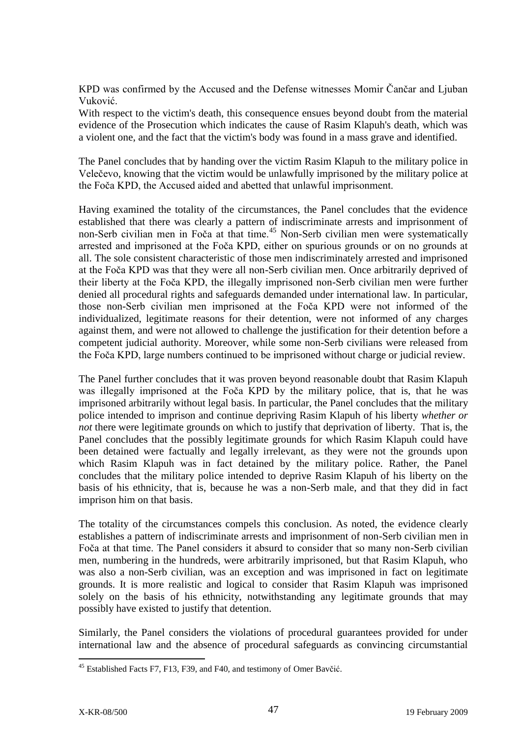KPD was confirmed by the Accused and the Defense witnesses Momir Čančar and Ljuban Vuković.

With respect to the victim's death, this consequence ensues beyond doubt from the material evidence of the Prosecution which indicates the cause of Rasim Klapuh's death, which was a violent one, and the fact that the victim's body was found in a mass grave and identified.

The Panel concludes that by handing over the victim Rasim Klapuh to the military police in Velečevo, knowing that the victim would be unlawfully imprisoned by the military police at the Foča KPD, the Accused aided and abetted that unlawful imprisonment.

Having examined the totality of the circumstances, the Panel concludes that the evidence established that there was clearly a pattern of indiscriminate arrests and imprisonment of non-Serb civilian men in Foča at that time.<sup>45</sup> Non-Serb civilian men were systematically arrested and imprisoned at the Foča KPD, either on spurious grounds or on no grounds at all. The sole consistent characteristic of those men indiscriminately arrested and imprisoned at the Foča KPD was that they were all non-Serb civilian men. Once arbitrarily deprived of their liberty at the Foča KPD, the illegally imprisoned non-Serb civilian men were further denied all procedural rights and safeguards demanded under international law. In particular, those non-Serb civilian men imprisoned at the Foča KPD were not informed of the individualized, legitimate reasons for their detention, were not informed of any charges against them, and were not allowed to challenge the justification for their detention before a competent judicial authority. Moreover, while some non-Serb civilians were released from the Foča KPD, large numbers continued to be imprisoned without charge or judicial review.

The Panel further concludes that it was proven beyond reasonable doubt that Rasim Klapuh was illegally imprisoned at the Foča KPD by the military police, that is, that he was imprisoned arbitrarily without legal basis. In particular, the Panel concludes that the military police intended to imprison and continue depriving Rasim Klapuh of his liberty *whether or not* there were legitimate grounds on which to justify that deprivation of liberty. That is, the Panel concludes that the possibly legitimate grounds for which Rasim Klapuh could have been detained were factually and legally irrelevant, as they were not the grounds upon which Rasim Klapuh was in fact detained by the military police. Rather, the Panel concludes that the military police intended to deprive Rasim Klapuh of his liberty on the basis of his ethnicity, that is, because he was a non-Serb male, and that they did in fact imprison him on that basis.

The totality of the circumstances compels this conclusion. As noted, the evidence clearly establishes a pattern of indiscriminate arrests and imprisonment of non-Serb civilian men in Foča at that time. The Panel considers it absurd to consider that so many non-Serb civilian men, numbering in the hundreds, were arbitrarily imprisoned, but that Rasim Klapuh, who was also a non-Serb civilian, was an exception and was imprisoned in fact on legitimate grounds. It is more realistic and logical to consider that Rasim Klapuh was imprisoned solely on the basis of his ethnicity, notwithstanding any legitimate grounds that may possibly have existed to justify that detention.

Similarly, the Panel considers the violations of procedural guarantees provided for under international law and the absence of procedural safeguards as convincing circumstantial

<sup>&</sup>lt;sup>45</sup> Established Facts F7, F13, F39, and F40, and testimony of Omer Bavčić.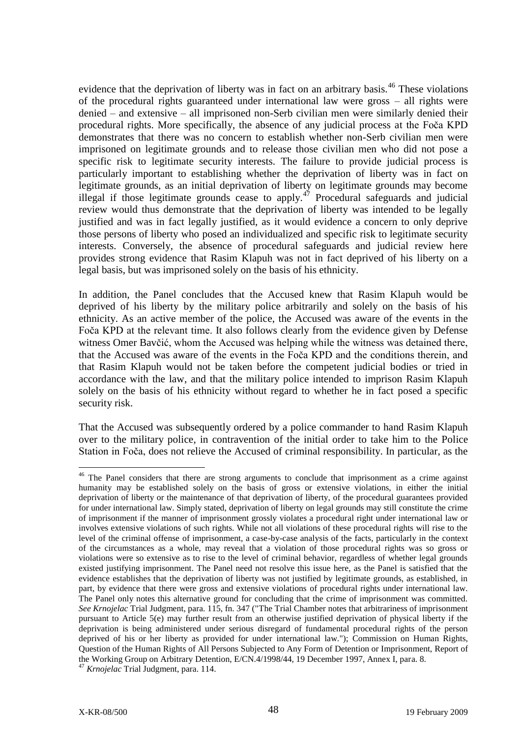evidence that the deprivation of liberty was in fact on an arbitrary basis.<sup>46</sup> These violations of the procedural rights guaranteed under international law were gross – all rights were denied – and extensive – all imprisoned non-Serb civilian men were similarly denied their procedural rights. More specifically, the absence of any judicial process at the Foča KPD demonstrates that there was no concern to establish whether non-Serb civilian men were imprisoned on legitimate grounds and to release those civilian men who did not pose a specific risk to legitimate security interests. The failure to provide judicial process is particularly important to establishing whether the deprivation of liberty was in fact on legitimate grounds, as an initial deprivation of liberty on legitimate grounds may become illegal if those legitimate grounds cease to apply.<sup>47</sup> Procedural safeguards and judicial review would thus demonstrate that the deprivation of liberty was intended to be legally justified and was in fact legally justified, as it would evidence a concern to only deprive those persons of liberty who posed an individualized and specific risk to legitimate security interests. Conversely, the absence of procedural safeguards and judicial review here provides strong evidence that Rasim Klapuh was not in fact deprived of his liberty on a legal basis, but was imprisoned solely on the basis of his ethnicity.

In addition, the Panel concludes that the Accused knew that Rasim Klapuh would be deprived of his liberty by the military police arbitrarily and solely on the basis of his ethnicity. As an active member of the police, the Accused was aware of the events in the Foča KPD at the relevant time. It also follows clearly from the evidence given by Defense witness Omer Bavčić, whom the Accused was helping while the witness was detained there, that the Accused was aware of the events in the Foča KPD and the conditions therein, and that Rasim Klapuh would not be taken before the competent judicial bodies or tried in accordance with the law, and that the military police intended to imprison Rasim Klapuh solely on the basis of his ethnicity without regard to whether he in fact posed a specific security risk.

That the Accused was subsequently ordered by a police commander to hand Rasim Klapuh over to the military police, in contravention of the initial order to take him to the Police Station in Foča, does not relieve the Accused of criminal responsibility. In particular, as the

 $\overline{a}$  $46$  The Panel considers that there are strong arguments to conclude that imprisonment as a crime against humanity may be established solely on the basis of gross or extensive violations, in either the initial deprivation of liberty or the maintenance of that deprivation of liberty, of the procedural guarantees provided for under international law. Simply stated, deprivation of liberty on legal grounds may still constitute the crime of imprisonment if the manner of imprisonment grossly violates a procedural right under international law or involves extensive violations of such rights. While not all violations of these procedural rights will rise to the level of the criminal offense of imprisonment, a case-by-case analysis of the facts, particularly in the context of the circumstances as a whole, may reveal that a violation of those procedural rights was so gross or violations were so extensive as to rise to the level of criminal behavior, regardless of whether legal grounds existed justifying imprisonment. The Panel need not resolve this issue here, as the Panel is satisfied that the evidence establishes that the deprivation of liberty was not justified by legitimate grounds, as established, in part, by evidence that there were gross and extensive violations of procedural rights under international law. The Panel only notes this alternative ground for concluding that the crime of imprisonment was committed. *See Krnojelac* Trial Judgment, para. 115, fn. 347 ("The Trial Chamber notes that arbitrariness of imprisonment pursuant to Article 5(e) may further result from an otherwise justified deprivation of physical liberty if the deprivation is being administered under serious disregard of fundamental procedural rights of the person deprived of his or her liberty as provided for under international law."); Commission on Human Rights, Question of the Human Rights of All Persons Subjected to Any Form of Detention or Imprisonment, Report of the Working Group on Arbitrary Detention, E/CN.4/1998/44, 19 December 1997, Annex I, para. 8.

<sup>47</sup> *Krnojelac* Trial Judgment, para. 114.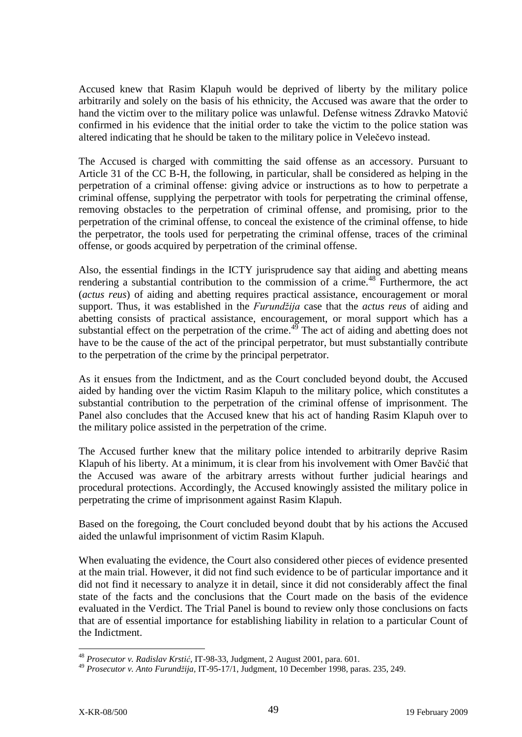Accused knew that Rasim Klapuh would be deprived of liberty by the military police arbitrarily and solely on the basis of his ethnicity, the Accused was aware that the order to hand the victim over to the military police was unlawful. Defense witness Zdravko Matović confirmed in his evidence that the initial order to take the victim to the police station was altered indicating that he should be taken to the military police in Velečevo instead.

The Accused is charged with committing the said offense as an accessory. Pursuant to Article 31 of the CC B-H, the following, in particular, shall be considered as helping in the perpetration of a criminal offense: giving advice or instructions as to how to perpetrate a criminal offense, supplying the perpetrator with tools for perpetrating the criminal offense, removing obstacles to the perpetration of criminal offense, and promising, prior to the perpetration of the criminal offense, to conceal the existence of the criminal offense, to hide the perpetrator, the tools used for perpetrating the criminal offense, traces of the criminal offense, or goods acquired by perpetration of the criminal offense.

Also, the essential findings in the ICTY jurisprudence say that aiding and abetting means rendering a substantial contribution to the commission of a crime.<sup>48</sup> Furthermore, the act (*actus reus*) of aiding and abetting requires practical assistance, encouragement or moral support. Thus, it was established in the *Furundžija* case that the *actus reus* of aiding and abetting consists of practical assistance, encouragement, or moral support which has a substantial effect on the perpetration of the crime.<sup>49</sup> The act of aiding and abetting does not have to be the cause of the act of the principal perpetrator, but must substantially contribute to the perpetration of the crime by the principal perpetrator.

As it ensues from the Indictment, and as the Court concluded beyond doubt, the Accused aided by handing over the victim Rasim Klapuh to the military police, which constitutes a substantial contribution to the perpetration of the criminal offense of imprisonment. The Panel also concludes that the Accused knew that his act of handing Rasim Klapuh over to the military police assisted in the perpetration of the crime.

The Accused further knew that the military police intended to arbitrarily deprive Rasim Klapuh of his liberty. At a minimum, it is clear from his involvement with Omer Bavčić that the Accused was aware of the arbitrary arrests without further judicial hearings and procedural protections. Accordingly, the Accused knowingly assisted the military police in perpetrating the crime of imprisonment against Rasim Klapuh.

Based on the foregoing, the Court concluded beyond doubt that by his actions the Accused aided the unlawful imprisonment of victim Rasim Klapuh.

When evaluating the evidence, the Court also considered other pieces of evidence presented at the main trial. However, it did not find such evidence to be of particular importance and it did not find it necessary to analyze it in detail, since it did not considerably affect the final state of the facts and the conclusions that the Court made on the basis of the evidence evaluated in the Verdict. The Trial Panel is bound to review only those conclusions on facts that are of essential importance for establishing liability in relation to a particular Count of the Indictment.

<sup>48</sup> *Prosecutor v. Radislav Krstić,* IT-98-33, Judgment, 2 August 2001, para. 601.

<sup>49</sup> *Prosecutor v. Anto Furundžija,* IT-95-17/1, Judgment, 10 December 1998, paras. 235, 249.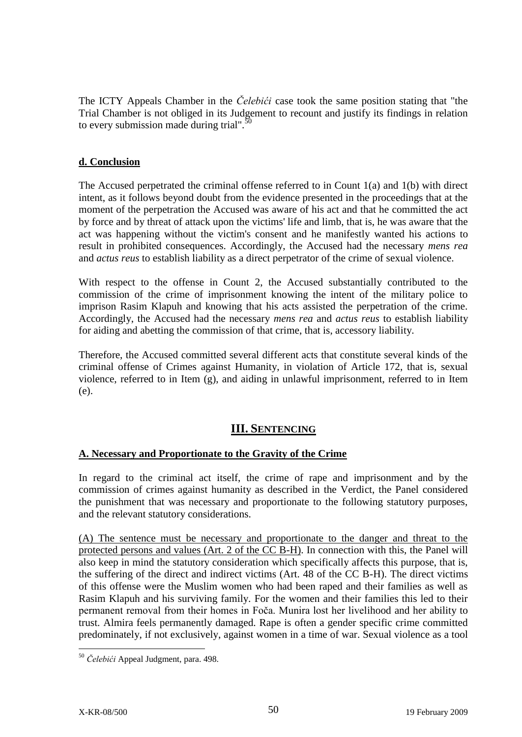The ICTY Appeals Chamber in the *Čelebići* case took the same position stating that "the Trial Chamber is not obliged in its Judgement to recount and justify its findings in relation to every submission made during trial". $50$ 

### **d. Conclusion**

The Accused perpetrated the criminal offense referred to in Count 1(a) and 1(b) with direct intent, as it follows beyond doubt from the evidence presented in the proceedings that at the moment of the perpetration the Accused was aware of his act and that he committed the act by force and by threat of attack upon the victims' life and limb, that is, he was aware that the act was happening without the victim's consent and he manifestly wanted his actions to result in prohibited consequences. Accordingly, the Accused had the necessary *mens rea* and *actus reus* to establish liability as a direct perpetrator of the crime of sexual violence.

With respect to the offense in Count 2, the Accused substantially contributed to the commission of the crime of imprisonment knowing the intent of the military police to imprison Rasim Klapuh and knowing that his acts assisted the perpetration of the crime. Accordingly, the Accused had the necessary *mens rea* and *actus reus* to establish liability for aiding and abetting the commission of that crime, that is, accessory liability.

Therefore, the Accused committed several different acts that constitute several kinds of the criminal offense of Crimes against Humanity, in violation of Article 172, that is, sexual violence, referred to in Item (g), and aiding in unlawful imprisonment, referred to in Item (e).

# **III. SENTENCING**

## **A. Necessary and Proportionate to the Gravity of the Crime**

In regard to the criminal act itself, the crime of rape and imprisonment and by the commission of crimes against humanity as described in the Verdict, the Panel considered the punishment that was necessary and proportionate to the following statutory purposes, and the relevant statutory considerations.

(A) The sentence must be necessary and proportionate to the danger and threat to the protected persons and values (Art. 2 of the CC B-H). In connection with this, the Panel will also keep in mind the statutory consideration which specifically affects this purpose, that is, the suffering of the direct and indirect victims (Art. 48 of the CC B-H). The direct victims of this offense were the Muslim women who had been raped and their families as well as Rasim Klapuh and his surviving family. For the women and their families this led to their permanent removal from their homes in Foča. Munira lost her livelihood and her ability to trust. Almira feels permanently damaged. Rape is often a gender specific crime committed predominately, if not exclusively, against women in a time of war. Sexual violence as a tool

<sup>50</sup> *Čelebići* Appeal Judgment, para. 498.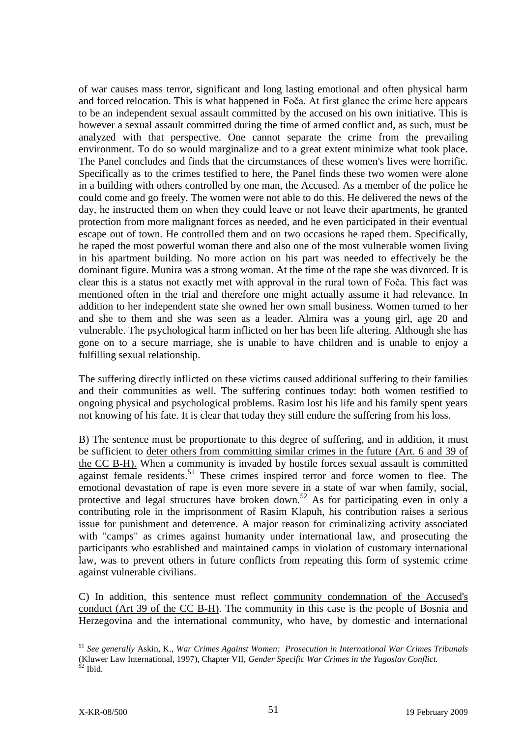of war causes mass terror, significant and long lasting emotional and often physical harm and forced relocation. This is what happened in Foča. At first glance the crime here appears to be an independent sexual assault committed by the accused on his own initiative. This is however a sexual assault committed during the time of armed conflict and, as such, must be analyzed with that perspective. One cannot separate the crime from the prevailing environment. To do so would marginalize and to a great extent minimize what took place. The Panel concludes and finds that the circumstances of these women's lives were horrific. Specifically as to the crimes testified to here, the Panel finds these two women were alone in a building with others controlled by one man, the Accused. As a member of the police he could come and go freely. The women were not able to do this. He delivered the news of the day, he instructed them on when they could leave or not leave their apartments, he granted protection from more malignant forces as needed, and he even participated in their eventual escape out of town. He controlled them and on two occasions he raped them. Specifically, he raped the most powerful woman there and also one of the most vulnerable women living in his apartment building. No more action on his part was needed to effectively be the dominant figure. Munira was a strong woman. At the time of the rape she was divorced. It is clear this is a status not exactly met with approval in the rural town of Foča. This fact was mentioned often in the trial and therefore one might actually assume it had relevance. In addition to her independent state she owned her own small business. Women turned to her and she to them and she was seen as a leader. Almira was a young girl, age 20 and vulnerable. The psychological harm inflicted on her has been life altering. Although she has gone on to a secure marriage, she is unable to have children and is unable to enjoy a fulfilling sexual relationship.

The suffering directly inflicted on these victims caused additional suffering to their families and their communities as well. The suffering continues today: both women testified to ongoing physical and psychological problems. Rasim lost his life and his family spent years not knowing of his fate. It is clear that today they still endure the suffering from his loss.

B) The sentence must be proportionate to this degree of suffering, and in addition, it must be sufficient to deter others from committing similar crimes in the future (Art. 6 and 39 of the CC B-H). When a community is invaded by hostile forces sexual assault is committed against female residents.<sup>51</sup> These crimes inspired terror and force women to flee. The emotional devastation of rape is even more severe in a state of war when family, social, protective and legal structures have broken down.<sup>52</sup> As for participating even in only a contributing role in the imprisonment of Rasim Klapuh, his contribution raises a serious issue for punishment and deterrence. A major reason for criminalizing activity associated with "camps" as crimes against humanity under international law, and prosecuting the participants who established and maintained camps in violation of customary international law, was to prevent others in future conflicts from repeating this form of systemic crime against vulnerable civilians.

C) In addition, this sentence must reflect community condemnation of the Accused's conduct (Art 39 of the CC B-H). The community in this case is the people of Bosnia and Herzegovina and the international community, who have, by domestic and international

<sup>51</sup> *See generally* Askin, K., *War Crimes Against Women: Prosecution in International War Crimes Tribunals* (Kluwer Law International, 1997), Chapter VII, *Gender Specific War Crimes in the Yugoslav Conflict.*  $52$  Ibid.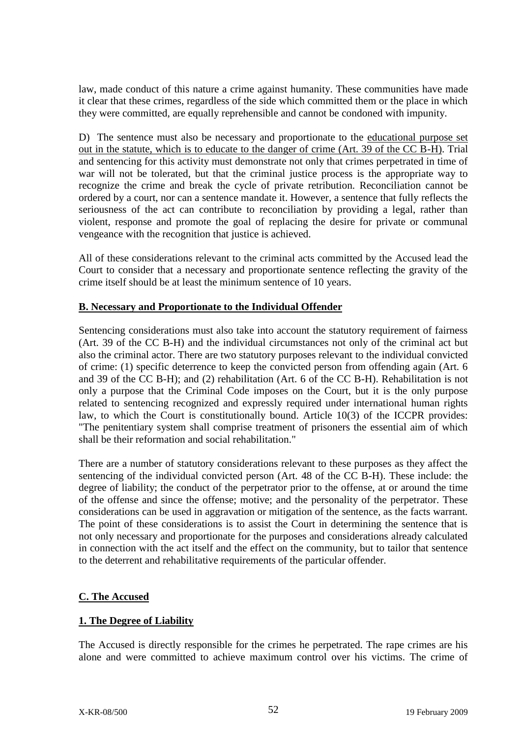law, made conduct of this nature a crime against humanity. These communities have made it clear that these crimes, regardless of the side which committed them or the place in which they were committed, are equally reprehensible and cannot be condoned with impunity.

D) The sentence must also be necessary and proportionate to the educational purpose set out in the statute, which is to educate to the danger of crime (Art. 39 of the CC B-H). Trial and sentencing for this activity must demonstrate not only that crimes perpetrated in time of war will not be tolerated, but that the criminal justice process is the appropriate way to recognize the crime and break the cycle of private retribution. Reconciliation cannot be ordered by a court, nor can a sentence mandate it. However, a sentence that fully reflects the seriousness of the act can contribute to reconciliation by providing a legal, rather than violent, response and promote the goal of replacing the desire for private or communal vengeance with the recognition that justice is achieved.

All of these considerations relevant to the criminal acts committed by the Accused lead the Court to consider that a necessary and proportionate sentence reflecting the gravity of the crime itself should be at least the minimum sentence of 10 years.

### **B. Necessary and Proportionate to the Individual Offender**

Sentencing considerations must also take into account the statutory requirement of fairness (Art. 39 of the CC B-H) and the individual circumstances not only of the criminal act but also the criminal actor. There are two statutory purposes relevant to the individual convicted of crime: (1) specific deterrence to keep the convicted person from offending again (Art. 6 and 39 of the CC B-H); and (2) rehabilitation (Art. 6 of the CC B-H). Rehabilitation is not only a purpose that the Criminal Code imposes on the Court, but it is the only purpose related to sentencing recognized and expressly required under international human rights law, to which the Court is constitutionally bound. Article 10(3) of the ICCPR provides: "The penitentiary system shall comprise treatment of prisoners the essential aim of which shall be their reformation and social rehabilitation."

There are a number of statutory considerations relevant to these purposes as they affect the sentencing of the individual convicted person (Art. 48 of the CC B-H). These include: the degree of liability; the conduct of the perpetrator prior to the offense, at or around the time of the offense and since the offense; motive; and the personality of the perpetrator. These considerations can be used in aggravation or mitigation of the sentence, as the facts warrant. The point of these considerations is to assist the Court in determining the sentence that is not only necessary and proportionate for the purposes and considerations already calculated in connection with the act itself and the effect on the community, but to tailor that sentence to the deterrent and rehabilitative requirements of the particular offender.

## **C. The Accused**

### **1. The Degree of Liability**

The Accused is directly responsible for the crimes he perpetrated. The rape crimes are his alone and were committed to achieve maximum control over his victims. The crime of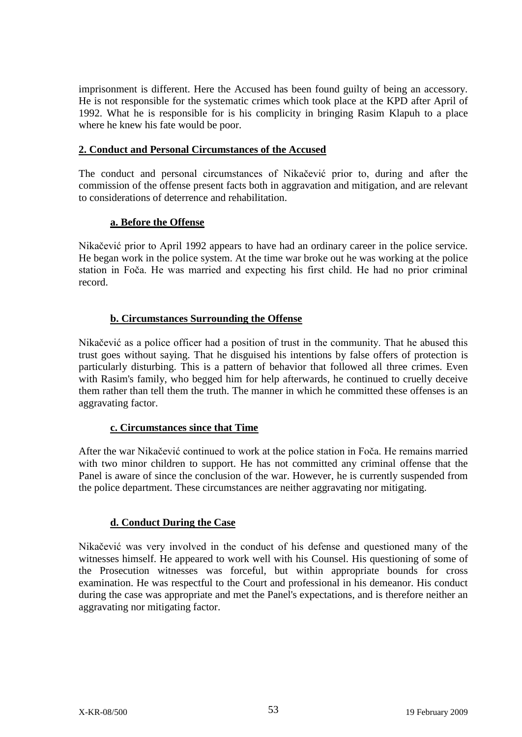imprisonment is different. Here the Accused has been found guilty of being an accessory. He is not responsible for the systematic crimes which took place at the KPD after April of 1992. What he is responsible for is his complicity in bringing Rasim Klapuh to a place where he knew his fate would be poor.

### **2. Conduct and Personal Circumstances of the Accused**

The conduct and personal circumstances of Nikačević prior to, during and after the commission of the offense present facts both in aggravation and mitigation, and are relevant to considerations of deterrence and rehabilitation.

### **a. Before the Offense**

Nikačević prior to April 1992 appears to have had an ordinary career in the police service. He began work in the police system. At the time war broke out he was working at the police station in Foča. He was married and expecting his first child. He had no prior criminal record.

## **b. Circumstances Surrounding the Offense**

Nikačević as a police officer had a position of trust in the community. That he abused this trust goes without saying. That he disguised his intentions by false offers of protection is particularly disturbing. This is a pattern of behavior that followed all three crimes. Even with Rasim's family, who begged him for help afterwards, he continued to cruelly deceive them rather than tell them the truth. The manner in which he committed these offenses is an aggravating factor.

## **c. Circumstances since that Time**

After the war Nikačević continued to work at the police station in Foča. He remains married with two minor children to support. He has not committed any criminal offense that the Panel is aware of since the conclusion of the war. However, he is currently suspended from the police department. These circumstances are neither aggravating nor mitigating.

## **d. Conduct During the Case**

Nikačević was very involved in the conduct of his defense and questioned many of the witnesses himself. He appeared to work well with his Counsel. His questioning of some of the Prosecution witnesses was forceful, but within appropriate bounds for cross examination. He was respectful to the Court and professional in his demeanor. His conduct during the case was appropriate and met the Panel's expectations, and is therefore neither an aggravating nor mitigating factor.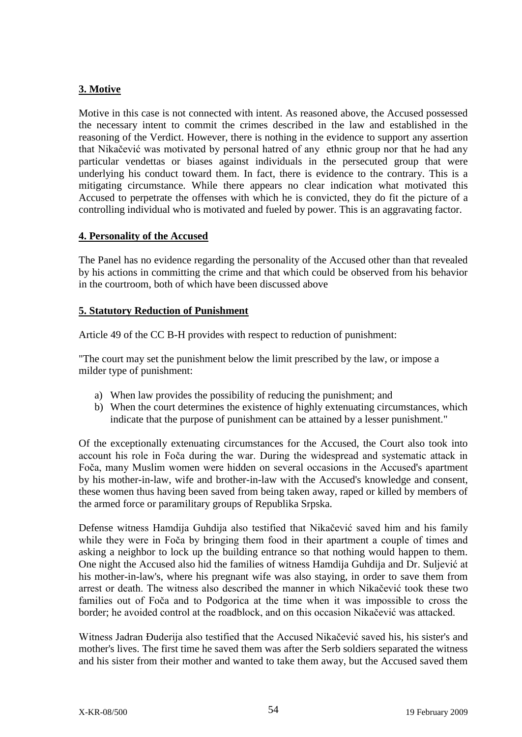## **3. Motive**

Motive in this case is not connected with intent. As reasoned above, the Accused possessed the necessary intent to commit the crimes described in the law and established in the reasoning of the Verdict. However, there is nothing in the evidence to support any assertion that Nikačević was motivated by personal hatred of any ethnic group nor that he had any particular vendettas or biases against individuals in the persecuted group that were underlying his conduct toward them. In fact, there is evidence to the contrary. This is a mitigating circumstance. While there appears no clear indication what motivated this Accused to perpetrate the offenses with which he is convicted, they do fit the picture of a controlling individual who is motivated and fueled by power. This is an aggravating factor.

### **4. Personality of the Accused**

The Panel has no evidence regarding the personality of the Accused other than that revealed by his actions in committing the crime and that which could be observed from his behavior in the courtroom, both of which have been discussed above

### **5. Statutory Reduction of Punishment**

Article 49 of the CC B-H provides with respect to reduction of punishment:

"The court may set the punishment below the limit prescribed by the law, or impose a milder type of punishment:

- a) When law provides the possibility of reducing the punishment; and
- b) When the court determines the existence of highly extenuating circumstances, which indicate that the purpose of punishment can be attained by a lesser punishment."

Of the exceptionally extenuating circumstances for the Accused, the Court also took into account his role in Foča during the war. During the widespread and systematic attack in Foča, many Muslim women were hidden on several occasions in the Accused's apartment by his mother-in-law, wife and brother-in-law with the Accused's knowledge and consent, these women thus having been saved from being taken away, raped or killed by members of the armed force or paramilitary groups of Republika Srpska.

Defense witness Hamdija Guhdija also testified that Nikačević saved him and his family while they were in Foča by bringing them food in their apartment a couple of times and asking a neighbor to lock up the building entrance so that nothing would happen to them. One night the Accused also hid the families of witness Hamdija Guhdija and Dr. Suljević at his mother-in-law's, where his pregnant wife was also staying, in order to save them from arrest or death. The witness also described the manner in which Nikačević took these two families out of Foča and to Podgorica at the time when it was impossible to cross the border; he avoided control at the roadblock, and on this occasion Nikačević was attacked.

Witness Jadran Đuderija also testified that the Accused Nikačević saved his, his sister's and mother's lives. The first time he saved them was after the Serb soldiers separated the witness and his sister from their mother and wanted to take them away, but the Accused saved them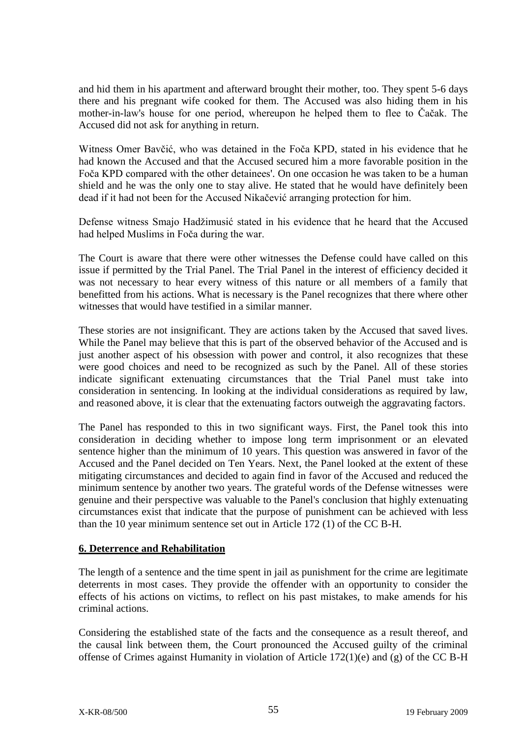and hid them in his apartment and afterward brought their mother, too. They spent 5-6 days there and his pregnant wife cooked for them. The Accused was also hiding them in his mother-in-law's house for one period, whereupon he helped them to flee to Čačak. The Accused did not ask for anything in return.

Witness Omer Bavčić, who was detained in the Foča KPD, stated in his evidence that he had known the Accused and that the Accused secured him a more favorable position in the Foča KPD compared with the other detainees'. On one occasion he was taken to be a human shield and he was the only one to stay alive. He stated that he would have definitely been dead if it had not been for the Accused Nikačević arranging protection for him.

Defense witness Smajo Hadžimusić stated in his evidence that he heard that the Accused had helped Muslims in Foča during the war.

The Court is aware that there were other witnesses the Defense could have called on this issue if permitted by the Trial Panel. The Trial Panel in the interest of efficiency decided it was not necessary to hear every witness of this nature or all members of a family that benefitted from his actions. What is necessary is the Panel recognizes that there where other witnesses that would have testified in a similar manner.

These stories are not insignificant. They are actions taken by the Accused that saved lives. While the Panel may believe that this is part of the observed behavior of the Accused and is just another aspect of his obsession with power and control, it also recognizes that these were good choices and need to be recognized as such by the Panel. All of these stories indicate significant extenuating circumstances that the Trial Panel must take into consideration in sentencing. In looking at the individual considerations as required by law, and reasoned above, it is clear that the extenuating factors outweigh the aggravating factors.

The Panel has responded to this in two significant ways. First, the Panel took this into consideration in deciding whether to impose long term imprisonment or an elevated sentence higher than the minimum of 10 years. This question was answered in favor of the Accused and the Panel decided on Ten Years. Next, the Panel looked at the extent of these mitigating circumstances and decided to again find in favor of the Accused and reduced the minimum sentence by another two years. The grateful words of the Defense witnesses were genuine and their perspective was valuable to the Panel's conclusion that highly extenuating circumstances exist that indicate that the purpose of punishment can be achieved with less than the 10 year minimum sentence set out in Article 172 (1) of the CC B-H.

## **6. Deterrence and Rehabilitation**

The length of a sentence and the time spent in jail as punishment for the crime are legitimate deterrents in most cases. They provide the offender with an opportunity to consider the effects of his actions on victims, to reflect on his past mistakes, to make amends for his criminal actions.

Considering the established state of the facts and the consequence as a result thereof, and the causal link between them, the Court pronounced the Accused guilty of the criminal offense of Crimes against Humanity in violation of Article 172(1)(e) and (g) of the CC B-H